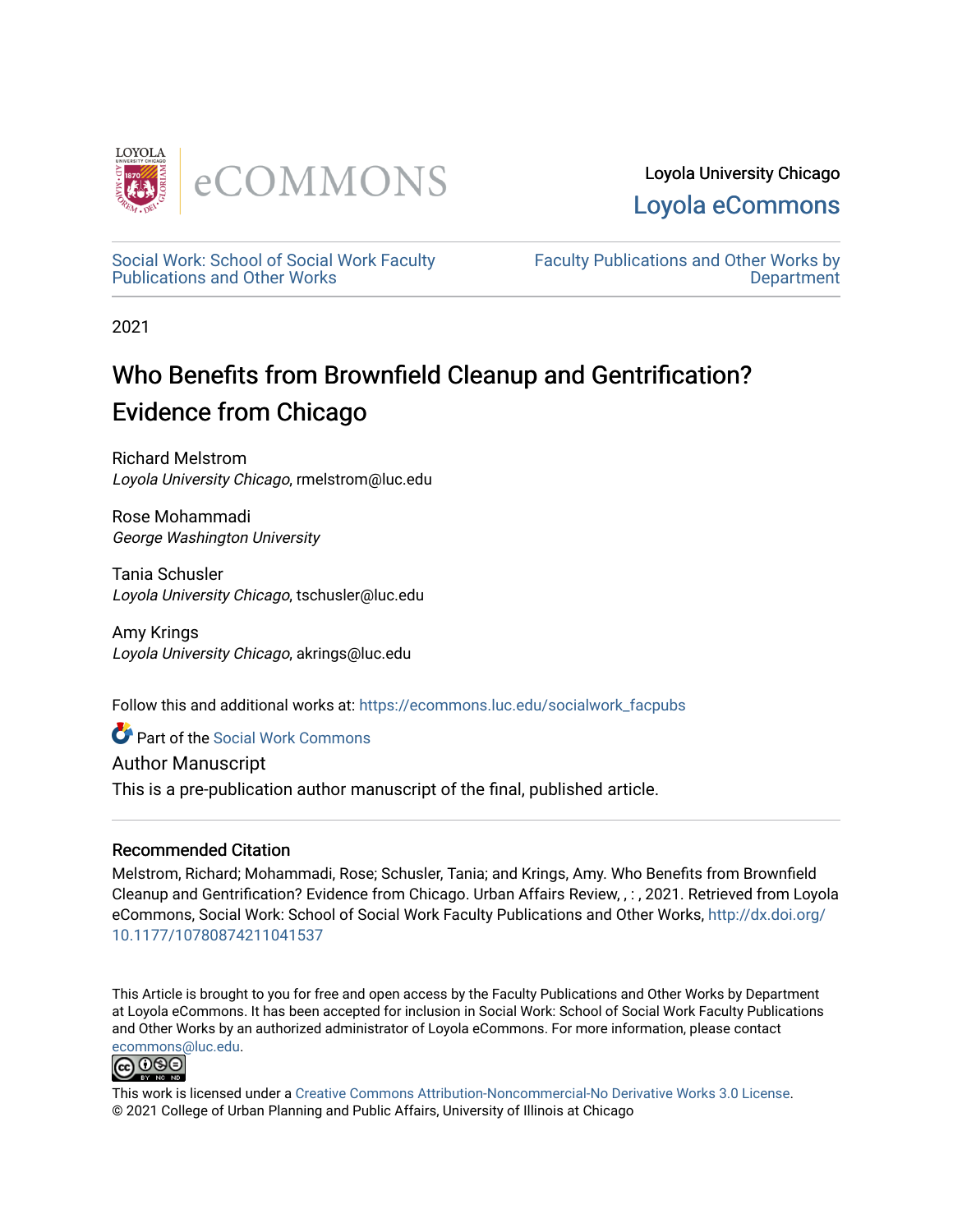

Loyola University Chicago [Loyola eCommons](https://ecommons.luc.edu/) 

[Social Work: School of Social Work Faculty](https://ecommons.luc.edu/socialwork_facpubs)  [Publications and Other Works](https://ecommons.luc.edu/socialwork_facpubs) 

[Faculty Publications and Other Works by](https://ecommons.luc.edu/faculty)  **Department** 

2021

# Who Benefits from Brownfield Cleanup and Gentrification? Evidence from Chicago

Richard Melstrom Loyola University Chicago, rmelstrom@luc.edu

Rose Mohammadi George Washington University

Tania Schusler Loyola University Chicago, tschusler@luc.edu

Amy Krings Loyola University Chicago, akrings@luc.edu

Follow this and additional works at: [https://ecommons.luc.edu/socialwork\\_facpubs](https://ecommons.luc.edu/socialwork_facpubs?utm_source=ecommons.luc.edu%2Fsocialwork_facpubs%2F143&utm_medium=PDF&utm_campaign=PDFCoverPages) 

Part of the [Social Work Commons](https://network.bepress.com/hgg/discipline/713?utm_source=ecommons.luc.edu%2Fsocialwork_facpubs%2F143&utm_medium=PDF&utm_campaign=PDFCoverPages)

Author Manuscript

This is a pre-publication author manuscript of the final, published article.

# Recommended Citation

Melstrom, Richard; Mohammadi, Rose; Schusler, Tania; and Krings, Amy. Who Benefits from Brownfield Cleanup and Gentrification? Evidence from Chicago. Urban Affairs Review, , : , 2021. Retrieved from Loyola eCommons, Social Work: School of Social Work Faculty Publications and Other Works, [http://dx.doi.org/](http://dx.doi.org/10.1177/10780874211041537) [10.1177/10780874211041537](http://dx.doi.org/10.1177/10780874211041537) 

This Article is brought to you for free and open access by the Faculty Publications and Other Works by Department at Loyola eCommons. It has been accepted for inclusion in Social Work: School of Social Work Faculty Publications and Other Works by an authorized administrator of Loyola eCommons. For more information, please contact [ecommons@luc.edu](mailto:ecommons@luc.edu).



This work is licensed under a [Creative Commons Attribution-Noncommercial-No Derivative Works 3.0 License.](https://creativecommons.org/licenses/by-nc-nd/3.0/) © 2021 College of Urban Planning and Public Affairs, University of Illinois at Chicago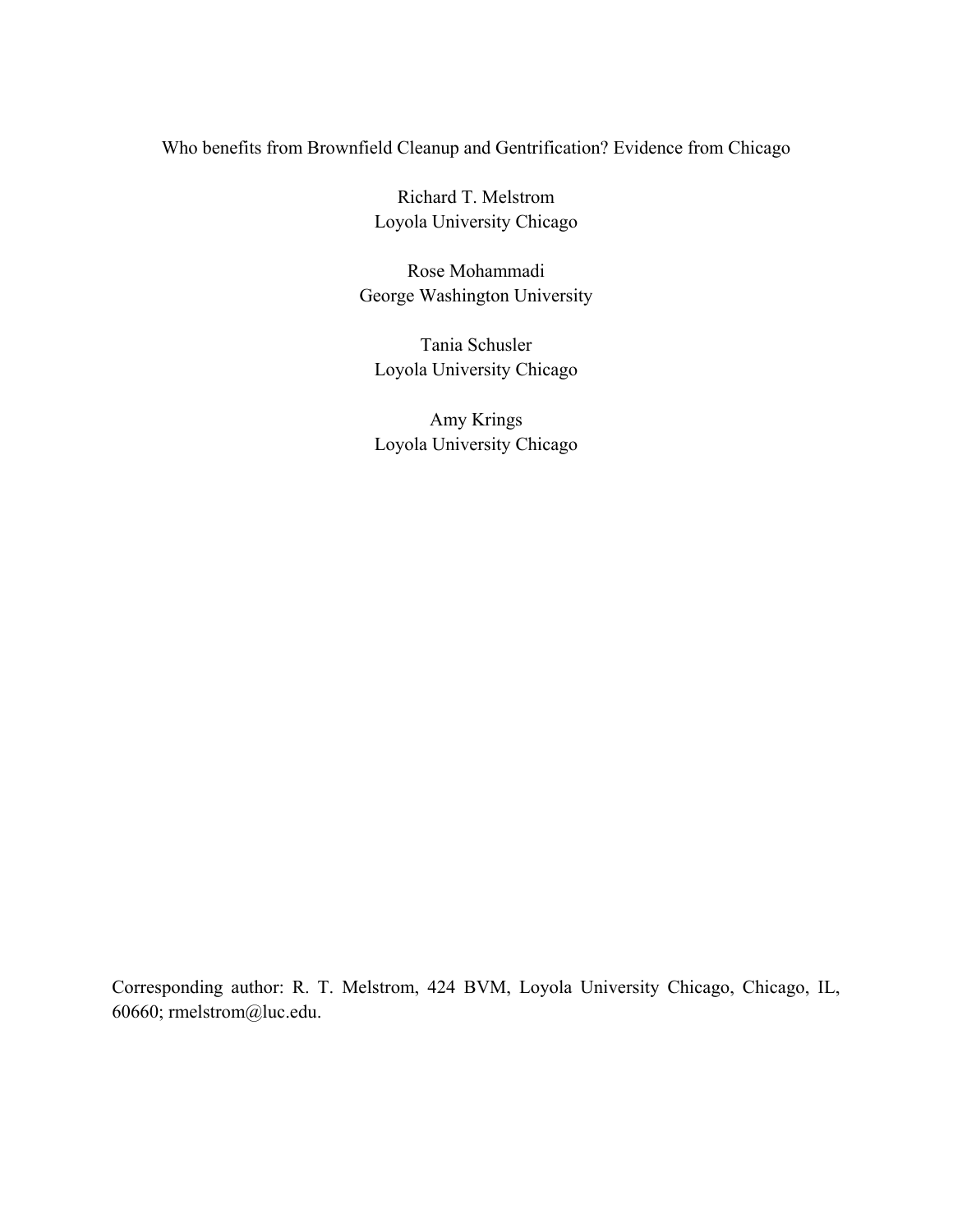# Who benefits from Brownfield Cleanup and Gentrification? Evidence from Chicago

Richard T. Melstrom Loyola University Chicago

Rose Mohammadi George Washington University

Tania Schusler Loyola University Chicago

Amy Krings Loyola University Chicago

Corresponding author: R. T. Melstrom, 424 BVM, Loyola University Chicago, Chicago, IL, 60660; rmelstrom@luc.edu.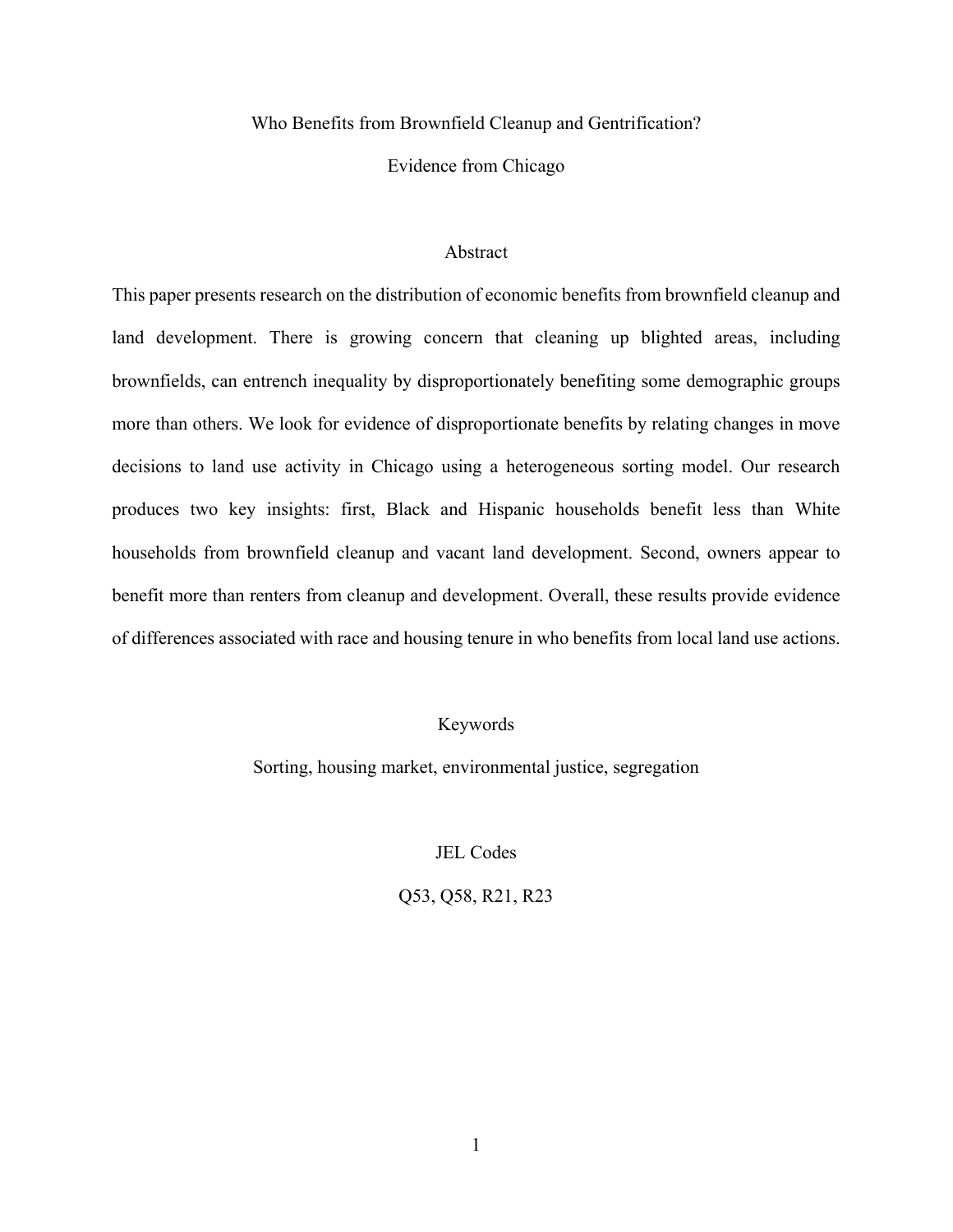Who Benefits from Brownfield Cleanup and Gentrification?

Evidence from Chicago

# Abstract

This paper presents research on the distribution of economic benefits from brownfield cleanup and land development. There is growing concern that cleaning up blighted areas, including brownfields, can entrench inequality by disproportionately benefiting some demographic groups more than others. We look for evidence of disproportionate benefits by relating changes in move decisions to land use activity in Chicago using a heterogeneous sorting model. Our research produces two key insights: first, Black and Hispanic households benefit less than White households from brownfield cleanup and vacant land development. Second, owners appear to benefit more than renters from cleanup and development. Overall, these results provide evidence of differences associated with race and housing tenure in who benefits from local land use actions.

# Keywords

Sorting, housing market, environmental justice, segregation

JEL Codes

Q53, Q58, R21, R23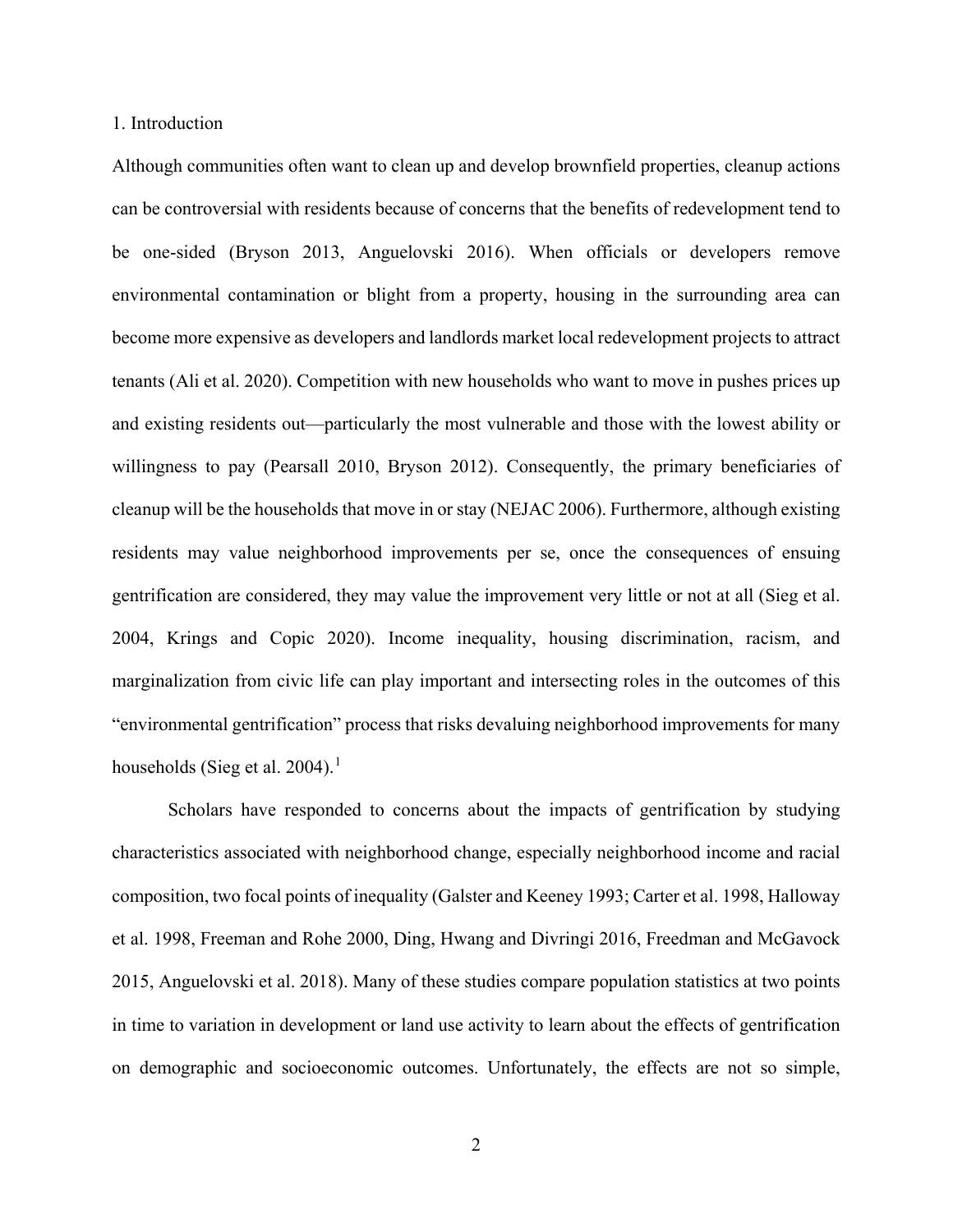#### 1. Introduction

Although communities often want to clean up and develop brownfield properties, cleanup actions can be controversial with residents because of concerns that the benefits of redevelopment tend to be one-sided (Bryson 2013, Anguelovski 2016). When officials or developers remove environmental contamination or blight from a property, housing in the surrounding area can become more expensive as developers and landlords market local redevelopment projects to attract tenants (Ali et al. 2020). Competition with new households who want to move in pushes prices up and existing residents out—particularly the most vulnerable and those with the lowest ability or willingness to pay (Pearsall 2010, Bryson 2012). Consequently, the primary beneficiaries of cleanup will be the households that move in or stay (NEJAC 2006). Furthermore, although existing residents may value neighborhood improvements per se, once the consequences of ensuing gentrification are considered, they may value the improvement very little or not at all (Sieg et al. 2004, Krings and Copic 2020). Income inequality, housing discrimination, racism, and marginalization from civic life can play important and intersecting roles in the outcomes of this "environmental gentrification" process that risks devaluing neighborhood improvements for many households (Sieg et al. 2004).<sup>1</sup>

Scholars have responded to concerns about the impacts of gentrification by studying characteristics associated with neighborhood change, especially neighborhood income and racial composition, two focal points of inequality (Galster and Keeney 1993; Carter et al. 1998, Halloway et al. 1998, Freeman and Rohe 2000, Ding, Hwang and Divringi 2016, Freedman and McGavock 2015, Anguelovski et al. 2018). Many of these studies compare population statistics at two points in time to variation in development or land use activity to learn about the effects of gentrification on demographic and socioeconomic outcomes. Unfortunately, the effects are not so simple,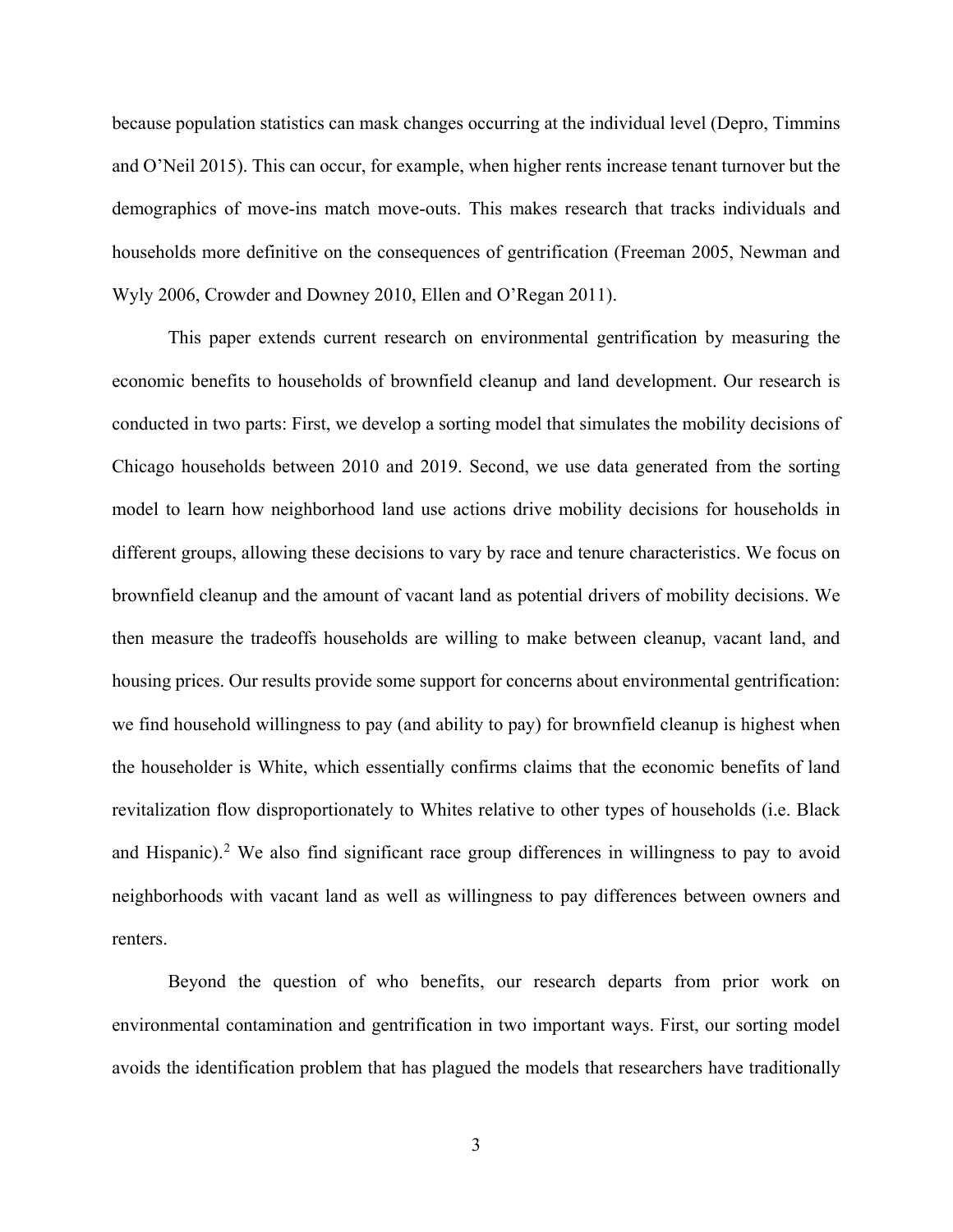because population statistics can mask changes occurring at the individual level (Depro, Timmins and O'Neil 2015). This can occur, for example, when higher rents increase tenant turnover but the demographics of move-ins match move-outs. This makes research that tracks individuals and households more definitive on the consequences of gentrification (Freeman 2005, Newman and Wyly 2006, Crowder and Downey 2010, Ellen and O'Regan 2011).

This paper extends current research on environmental gentrification by measuring the economic benefits to households of brownfield cleanup and land development. Our research is conducted in two parts: First, we develop a sorting model that simulates the mobility decisions of Chicago households between 2010 and 2019. Second, we use data generated from the sorting model to learn how neighborhood land use actions drive mobility decisions for households in different groups, allowing these decisions to vary by race and tenure characteristics. We focus on brownfield cleanup and the amount of vacant land as potential drivers of mobility decisions. We then measure the tradeoffs households are willing to make between cleanup, vacant land, and housing prices. Our results provide some support for concerns about environmental gentrification: we find household willingness to pay (and ability to pay) for brownfield cleanup is highest when the householder is White, which essentially confirms claims that the economic benefits of land revitalization flow disproportionately to Whites relative to other types of households (i.e. Black and Hispanic).<sup>2</sup> We also find significant race group differences in willingness to pay to avoid neighborhoods with vacant land as well as willingness to pay differences between owners and renters.

Beyond the question of who benefits, our research departs from prior work on environmental contamination and gentrification in two important ways. First, our sorting model avoids the identification problem that has plagued the models that researchers have traditionally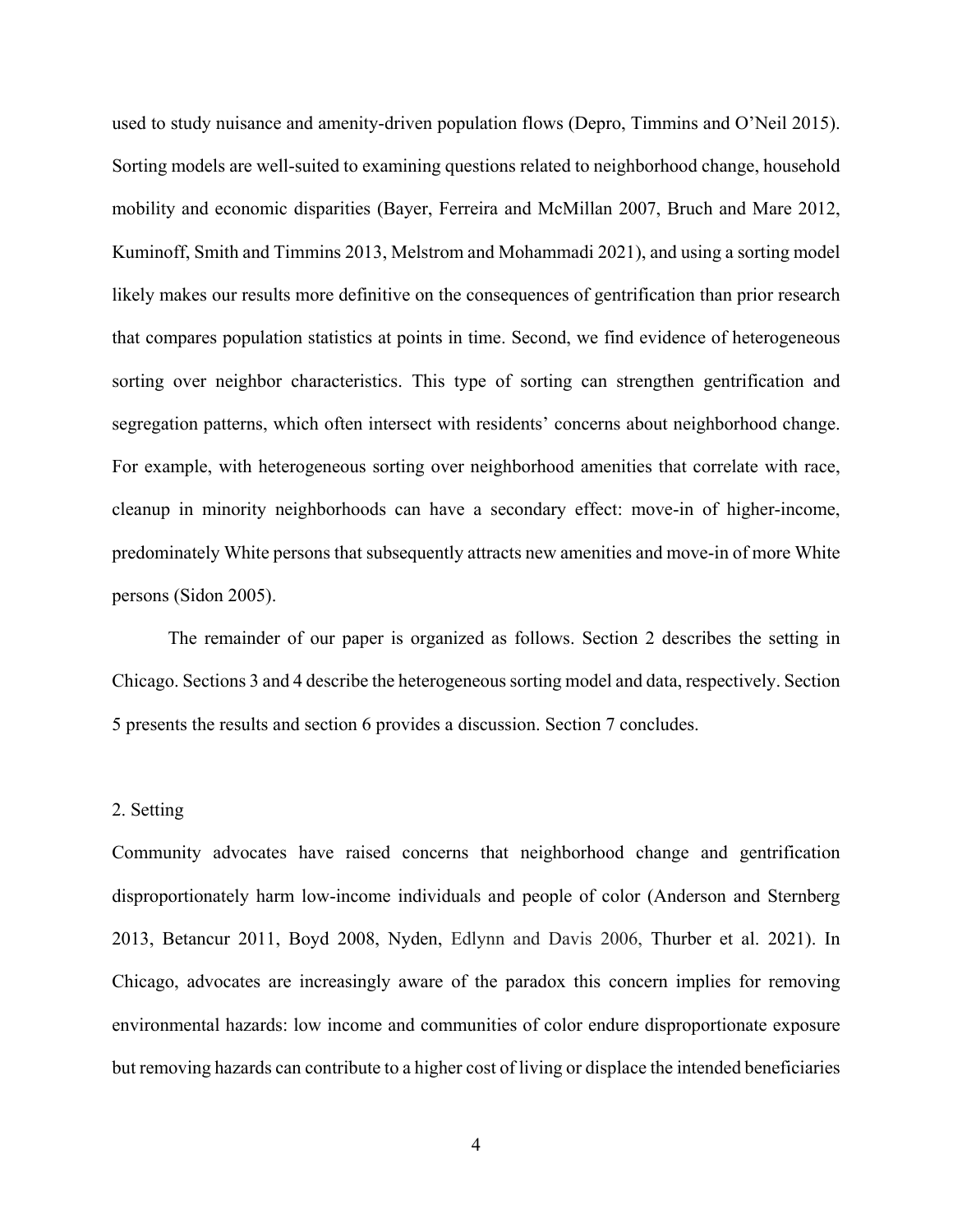used to study nuisance and amenity-driven population flows (Depro, Timmins and O'Neil 2015). Sorting models are well-suited to examining questions related to neighborhood change, household mobility and economic disparities (Bayer, Ferreira and McMillan 2007, Bruch and Mare 2012, Kuminoff, Smith and Timmins 2013, Melstrom and Mohammadi 2021), and using a sorting model likely makes our results more definitive on the consequences of gentrification than prior research that compares population statistics at points in time. Second, we find evidence of heterogeneous sorting over neighbor characteristics. This type of sorting can strengthen gentrification and segregation patterns, which often intersect with residents' concerns about neighborhood change. For example, with heterogeneous sorting over neighborhood amenities that correlate with race, cleanup in minority neighborhoods can have a secondary effect: move-in of higher-income, predominately White persons that subsequently attracts new amenities and move-in of more White persons (Sidon 2005).

The remainder of our paper is organized as follows. Section 2 describes the setting in Chicago. Sections 3 and 4 describe the heterogeneous sorting model and data, respectively. Section 5 presents the results and section 6 provides a discussion. Section 7 concludes.

#### 2. Setting

Community advocates have raised concerns that neighborhood change and gentrification disproportionately harm low-income individuals and people of color (Anderson and Sternberg 2013, Betancur 2011, Boyd 2008, Nyden, Edlynn and Davis 2006, Thurber et al. 2021). In Chicago, advocates are increasingly aware of the paradox this concern implies for removing environmental hazards: low income and communities of color endure disproportionate exposure but removing hazards can contribute to a higher cost of living or displace the intended beneficiaries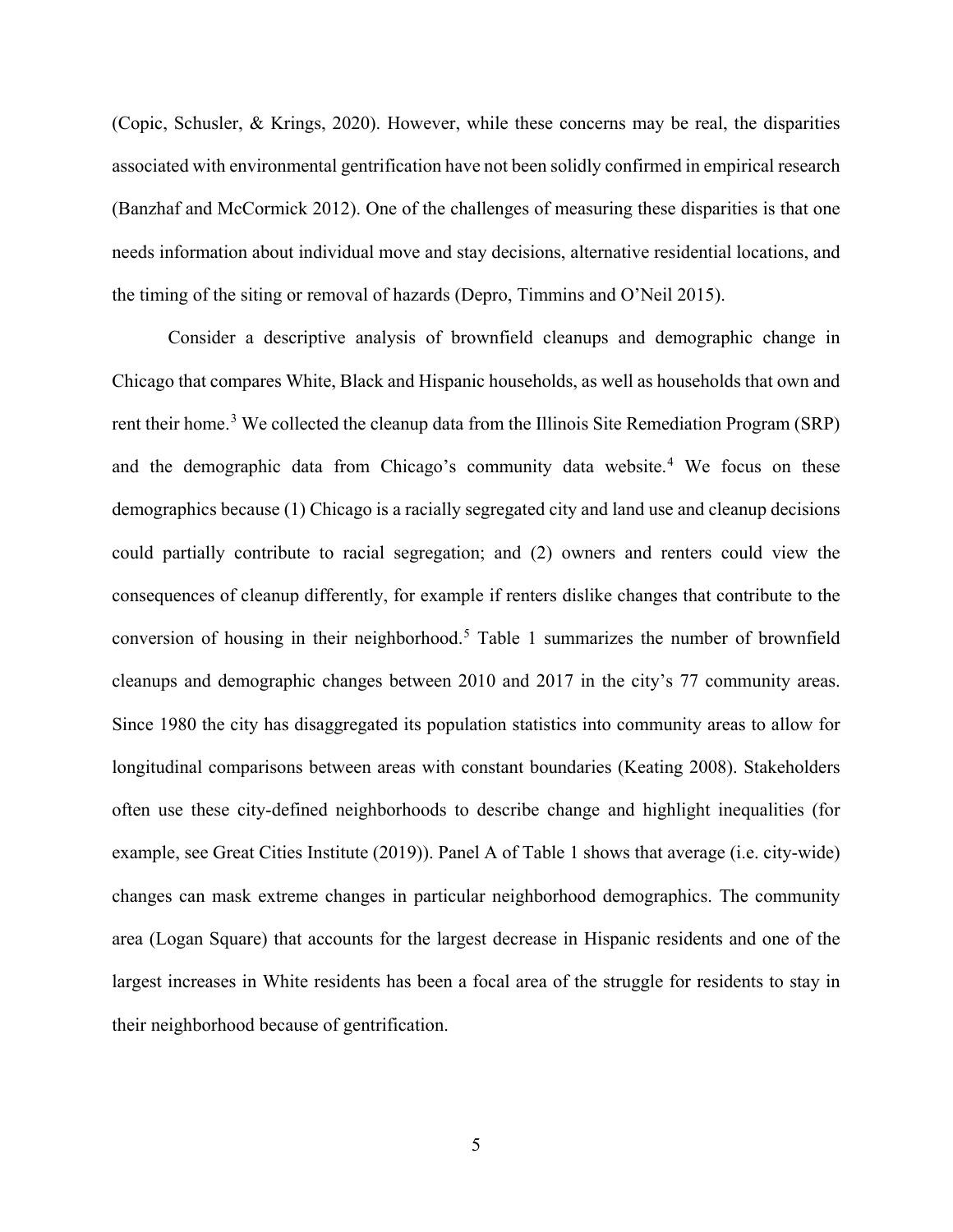(Copic, Schusler, & Krings, 2020). However, while these concerns may be real, the disparities associated with environmental gentrification have not been solidly confirmed in empirical research (Banzhaf and McCormick 2012). One of the challenges of measuring these disparities is that one needs information about individual move and stay decisions, alternative residential locations, and the timing of the siting or removal of hazards (Depro, Timmins and O'Neil 2015).

Consider a descriptive analysis of brownfield cleanups and demographic change in Chicago that compares White, Black and Hispanic households, as well as households that own and rent their home.<sup>3</sup> We collected the cleanup data from the Illinois Site Remediation Program (SRP) and the demographic data from Chicago's community data website.<sup>4</sup> We focus on these demographics because (1) Chicago is a racially segregated city and land use and cleanup decisions could partially contribute to racial segregation; and (2) owners and renters could view the consequences of cleanup differently, for example if renters dislike changes that contribute to the conversion of housing in their neighborhood.<sup>5</sup> Table 1 summarizes the number of brownfield cleanups and demographic changes between 2010 and 2017 in the city's 77 community areas. Since 1980 the city has disaggregated its population statistics into community areas to allow for longitudinal comparisons between areas with constant boundaries (Keating 2008). Stakeholders often use these city-defined neighborhoods to describe change and highlight inequalities (for example, see Great Cities Institute (2019)). Panel A of Table 1 shows that average (i.e. city-wide) changes can mask extreme changes in particular neighborhood demographics. The community area (Logan Square) that accounts for the largest decrease in Hispanic residents and one of the largest increases in White residents has been a focal area of the struggle for residents to stay in their neighborhood because of gentrification.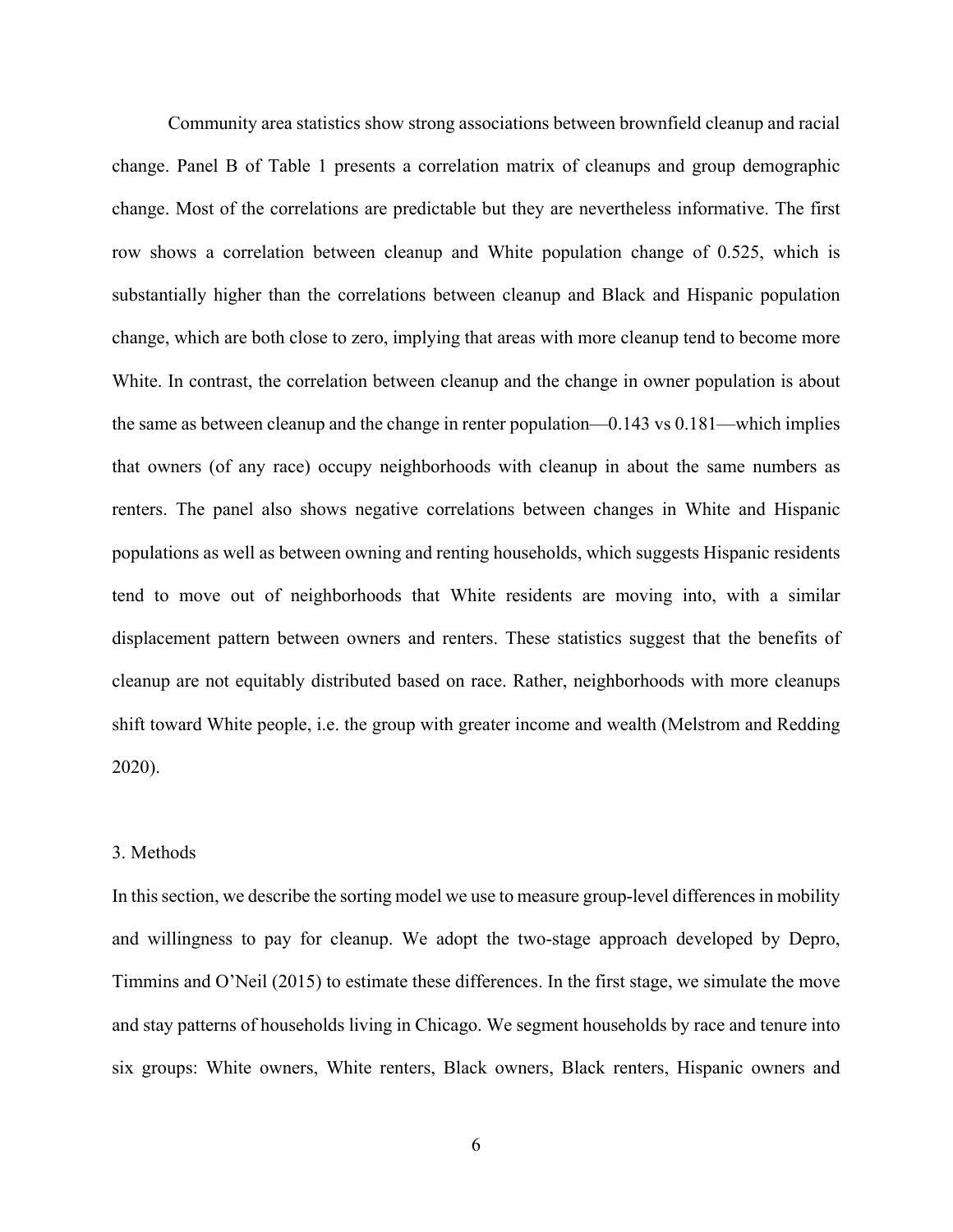Community area statistics show strong associations between brownfield cleanup and racial change. Panel B of Table 1 presents a correlation matrix of cleanups and group demographic change. Most of the correlations are predictable but they are nevertheless informative. The first row shows a correlation between cleanup and White population change of 0.525, which is substantially higher than the correlations between cleanup and Black and Hispanic population change, which are both close to zero, implying that areas with more cleanup tend to become more White. In contrast, the correlation between cleanup and the change in owner population is about the same as between cleanup and the change in renter population—0.143 vs 0.181—which implies that owners (of any race) occupy neighborhoods with cleanup in about the same numbers as renters. The panel also shows negative correlations between changes in White and Hispanic populations as well as between owning and renting households, which suggests Hispanic residents tend to move out of neighborhoods that White residents are moving into, with a similar displacement pattern between owners and renters. These statistics suggest that the benefits of cleanup are not equitably distributed based on race. Rather, neighborhoods with more cleanups shift toward White people, i.e. the group with greater income and wealth (Melstrom and Redding 2020).

## 3. Methods

In this section, we describe the sorting model we use to measure group-level differences in mobility and willingness to pay for cleanup. We adopt the two-stage approach developed by Depro, Timmins and O'Neil (2015) to estimate these differences. In the first stage, we simulate the move and stay patterns of households living in Chicago. We segment households by race and tenure into six groups: White owners, White renters, Black owners, Black renters, Hispanic owners and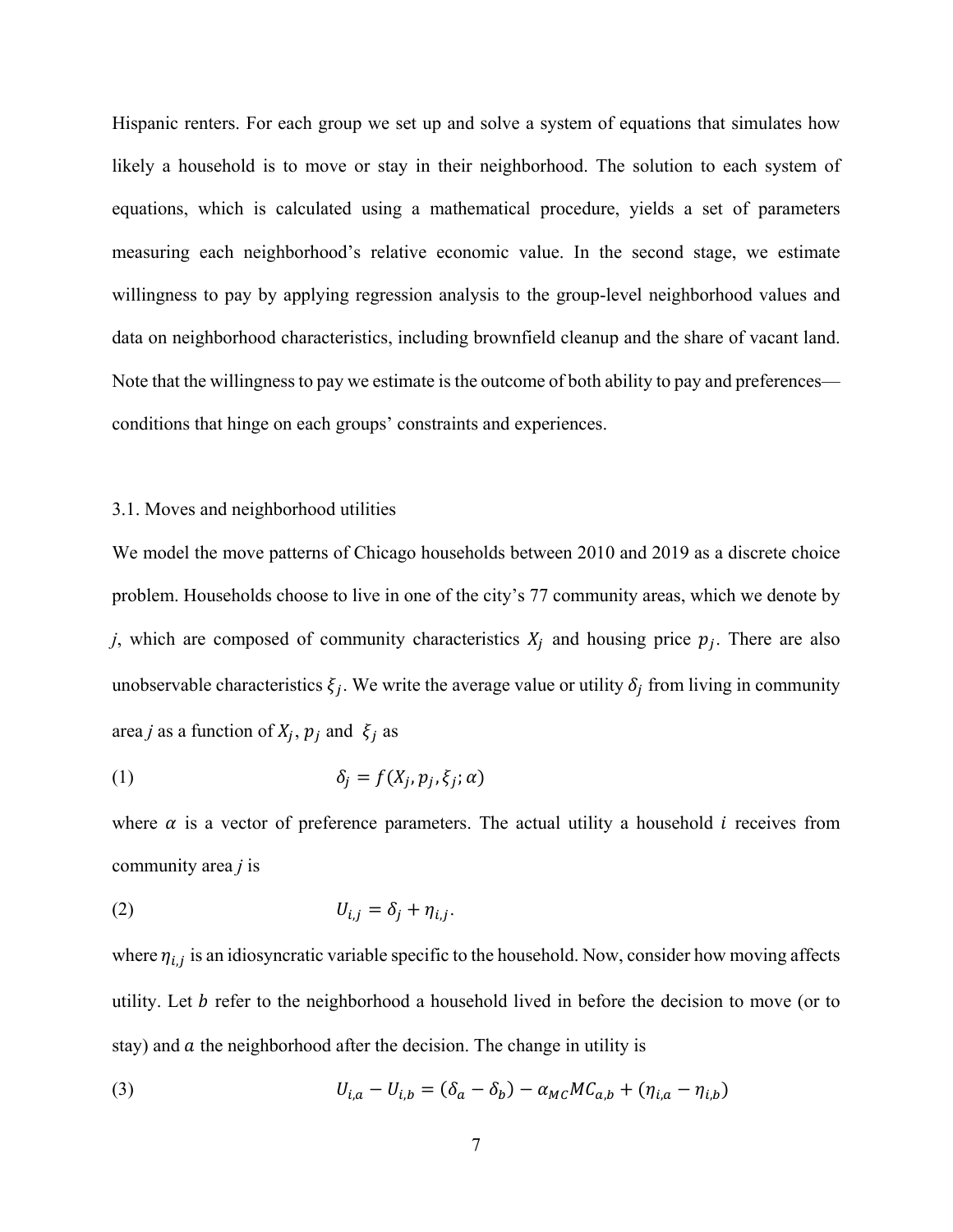Hispanic renters. For each group we set up and solve a system of equations that simulates how likely a household is to move or stay in their neighborhood. The solution to each system of equations, which is calculated using a mathematical procedure, yields a set of parameters measuring each neighborhood's relative economic value. In the second stage, we estimate willingness to pay by applying regression analysis to the group-level neighborhood values and data on neighborhood characteristics, including brownfield cleanup and the share of vacant land. Note that the willingness to pay we estimate is the outcome of both ability to pay and preferences conditions that hinge on each groups' constraints and experiences.

#### 3.1. Moves and neighborhood utilities

We model the move patterns of Chicago households between 2010 and 2019 as a discrete choice problem. Households choose to live in one of the city's 77 community areas, which we denote by *j*, which are composed of community characteristics  $X_j$  and housing price  $p_j$ . There are also unobservable characteristics  $\xi_i$ . We write the average value or utility  $\delta_i$  from living in community area *j* as a function of  $X_j$ ,  $p_j$  and  $\xi_j$  as

(1) 
$$
\delta_j = f(X_j, p_j, \xi_j; \alpha)
$$

where  $\alpha$  is a vector of preference parameters. The actual utility a household *i* receives from community area *j* is

$$
(2) \t\t\t U_{i,j} = \delta_j + \eta_{i,j}.
$$

where  $\eta_{i,j}$  is an idiosyncratic variable specific to the household. Now, consider how moving affects utility. Let  $b$  refer to the neighborhood a household lived in before the decision to move (or to stay) and  $\alpha$  the neighborhood after the decision. The change in utility is

(3) 
$$
U_{i,a} - U_{i,b} = (\delta_a - \delta_b) - \alpha_{MC} M C_{a,b} + (\eta_{i,a} - \eta_{i,b})
$$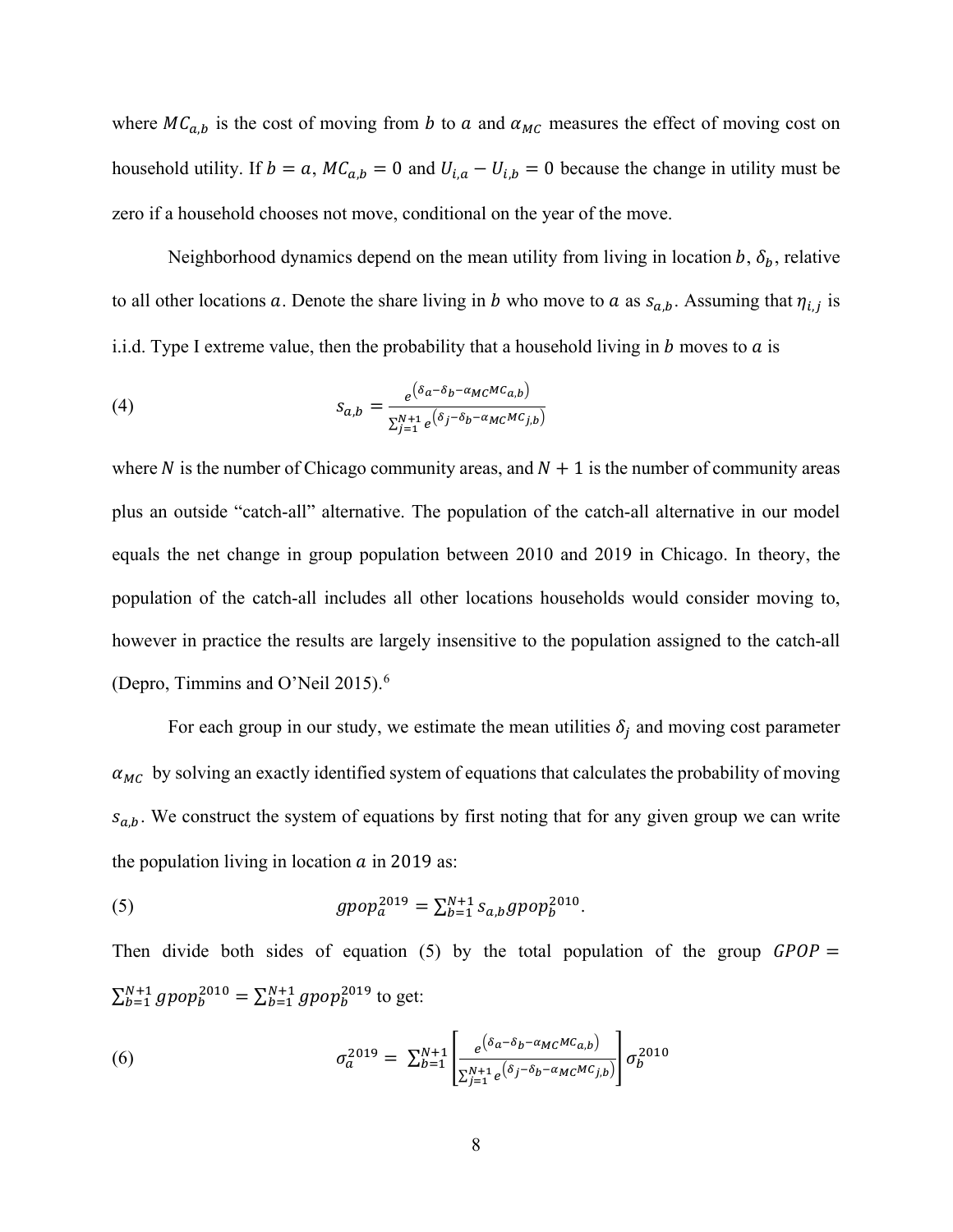where  $MC_{a,b}$  is the cost of moving from b to a and  $\alpha_{MC}$  measures the effect of moving cost on household utility. If  $b = a$ ,  $MC_{a,b} = 0$  and  $U_{i,a} - U_{i,b} = 0$  because the change in utility must be zero if a household chooses not move, conditional on the year of the move.

Neighborhood dynamics depend on the mean utility from living in location b,  $\delta_b$ , relative to all other locations a. Denote the share living in b who move to a as  $s_{a,b}$ . Assuming that  $\eta_{i,j}$  is i.i.d. Type I extreme value, then the probability that a household living in  $b$  moves to  $a$  is

(4) 
$$
s_{a,b} = \frac{e^{(\delta_a - \delta_b - \alpha_{MC} MC_{a,b})}}{\sum_{j=1}^{N+1} e^{(\delta_j - \delta_b - \alpha_{MC} MC_{j,b})}}
$$

where N is the number of Chicago community areas, and  $N + 1$  is the number of community areas plus an outside "catch-all" alternative. The population of the catch-all alternative in our model equals the net change in group population between 2010 and 2019 in Chicago. In theory, the population of the catch-all includes all other locations households would consider moving to, however in practice the results are largely insensitive to the population assigned to the catch-all (Depro, Timmins and O'Neil 2015).<sup>6</sup>

For each group in our study, we estimate the mean utilities  $\delta_i$  and moving cost parameter  $\alpha_{MC}$  by solving an exactly identified system of equations that calculates the probability of moving  $s_{a,b}$ . We construct the system of equations by first noting that for any given group we can write the population living in location  $\alpha$  in 2019 as:

(5) 
$$
gpop_a^{2019} = \sum_{b=1}^{N+1} s_{a,b} gpop_b^{2010}.
$$

Then divide both sides of equation (5) by the total population of the group  $GPOP =$  $\sum_{b=1}^{N+1} g p \circ p_b^{2010} = \sum_{b=1}^{N+1} g p \circ p_b^{2019}$  to get:

(6) 
$$
\sigma_a^{2019} = \sum_{b=1}^{N+1} \left[ \frac{e^{(\delta_a - \delta_b - \alpha_{MC} MC_{a,b})}}{\sum_{j=1}^{N+1} e^{(\delta_j - \delta_b - \alpha_{MC} MC_{j,b})}} \right] \sigma_b^{2010}
$$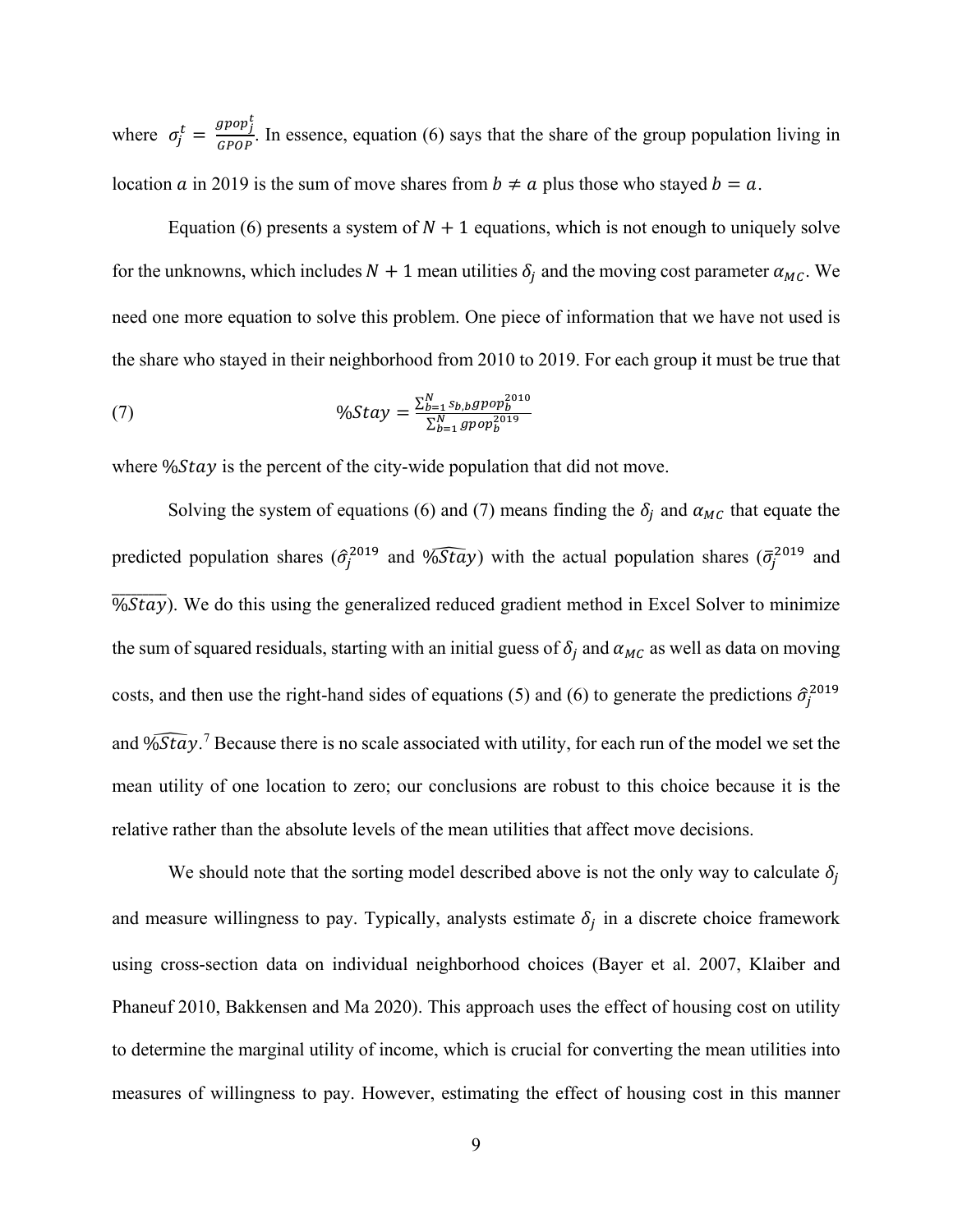where  $\sigma_j^t = \frac{gpop_j^t}{Gpop}$  $\frac{GPOP}{GPOP}$ . In essence, equation (6) says that the share of the group population living in location a in 2019 is the sum of move shares from  $b \neq a$  plus those who stayed  $b = a$ .

Equation (6) presents a system of  $N + 1$  equations, which is not enough to uniquely solve for the unknowns, which includes  $N + 1$  mean utilities  $\delta_i$  and the moving cost parameter  $\alpha_{MC}$ . We need one more equation to solve this problem. One piece of information that we have not used is the share who stayed in their neighborhood from 2010 to 2019. For each group it must be true that

(7) 
$$
\%Stay = \frac{\sum_{b=1}^{N} s_{b,b}gpop_b^{2010}}{\sum_{b=1}^{N} gpop_b^{2019}}
$$

where  $\frac{6}{5}$  is the percent of the city-wide population that did not move.

Solving the system of equations (6) and (7) means finding the  $\delta_j$  and  $\alpha_{MC}$  that equate the predicted population shares  $(\hat{\sigma}_j^{2019})$  and  $\widehat{v}_j$  with the actual population shares  $(\bar{\sigma}_j^{2019})$  and  $\sqrt{0.064}$ . We do this using the generalized reduced gradient method in Excel Solver to minimize the sum of squared residuals, starting with an initial guess of  $\delta_i$  and  $\alpha_{MC}$  as well as data on moving costs, and then use the right-hand sides of equations (5) and (6) to generate the predictions  $\hat{\sigma}_j^{2019}$ and  $\sqrt{65t}$ ,<sup>7</sup> Because there is no scale associated with utility, for each run of the model we set the mean utility of one location to zero; our conclusions are robust to this choice because it is the relative rather than the absolute levels of the mean utilities that affect move decisions.

We should note that the sorting model described above is not the only way to calculate  $\delta_i$ and measure willingness to pay. Typically, analysts estimate  $\delta_j$  in a discrete choice framework using cross-section data on individual neighborhood choices (Bayer et al. 2007, Klaiber and Phaneuf 2010, Bakkensen and Ma 2020). This approach uses the effect of housing cost on utility to determine the marginal utility of income, which is crucial for converting the mean utilities into measures of willingness to pay. However, estimating the effect of housing cost in this manner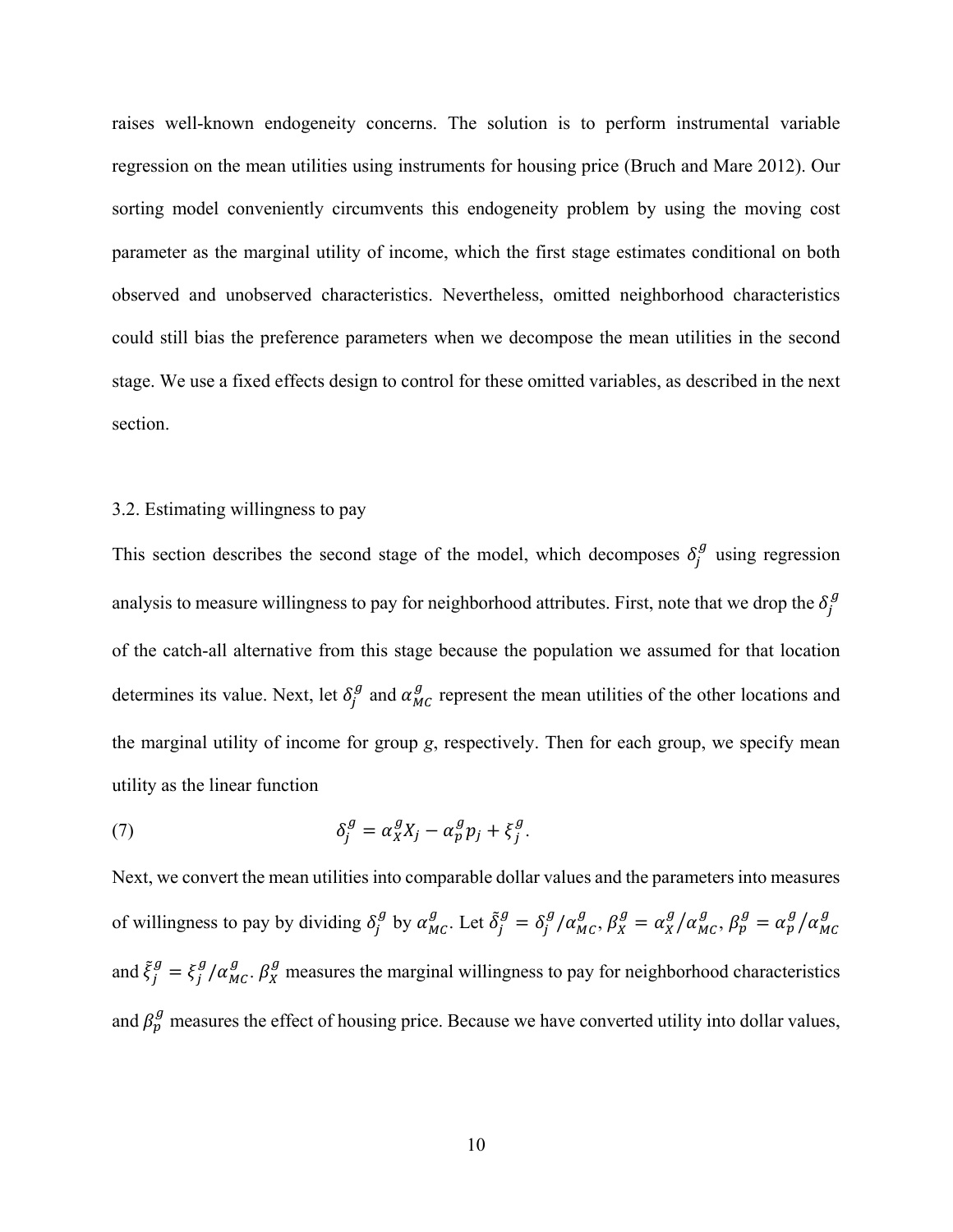raises well-known endogeneity concerns. The solution is to perform instrumental variable regression on the mean utilities using instruments for housing price (Bruch and Mare 2012). Our sorting model conveniently circumvents this endogeneity problem by using the moving cost parameter as the marginal utility of income, which the first stage estimates conditional on both observed and unobserved characteristics. Nevertheless, omitted neighborhood characteristics could still bias the preference parameters when we decompose the mean utilities in the second stage. We use a fixed effects design to control for these omitted variables, as described in the next section.

#### 3.2. Estimating willingness to pay

This section describes the second stage of the model, which decomposes  $\delta_j^g$  using regression analysis to measure willingness to pay for neighborhood attributes. First, note that we drop the  $\delta_j^g$ of the catch-all alternative from this stage because the population we assumed for that location determines its value. Next, let  $\delta_j^g$  and  $\alpha_{MC}^g$  represent the mean utilities of the other locations and the marginal utility of income for group *g*, respectively. Then for each group, we specify mean utility as the linear function

(7) 
$$
\delta_j^g = \alpha_X^g X_j - \alpha_p^g p_j + \xi_j^g.
$$

Next, we convert the mean utilities into comparable dollar values and the parameters into measures of willingness to pay by dividing  $\delta_j^g$  by  $\alpha_{MC}^g$ . Let  $\tilde{\delta}_j^g = \delta_j^g / \alpha_{MC}^g$ ,  $\beta_X^g = \alpha_X^g / \alpha_{MC}^g$ ,  $\beta_p^g = \alpha_p^g / \alpha_{MC}^g$ and  $\tilde{\xi}_j^g = \xi_j^g / \alpha_{MC}^g$ .  $\beta_X^g$  measures the marginal willingness to pay for neighborhood characteristics and  $\beta_p^g$  measures the effect of housing price. Because we have converted utility into dollar values,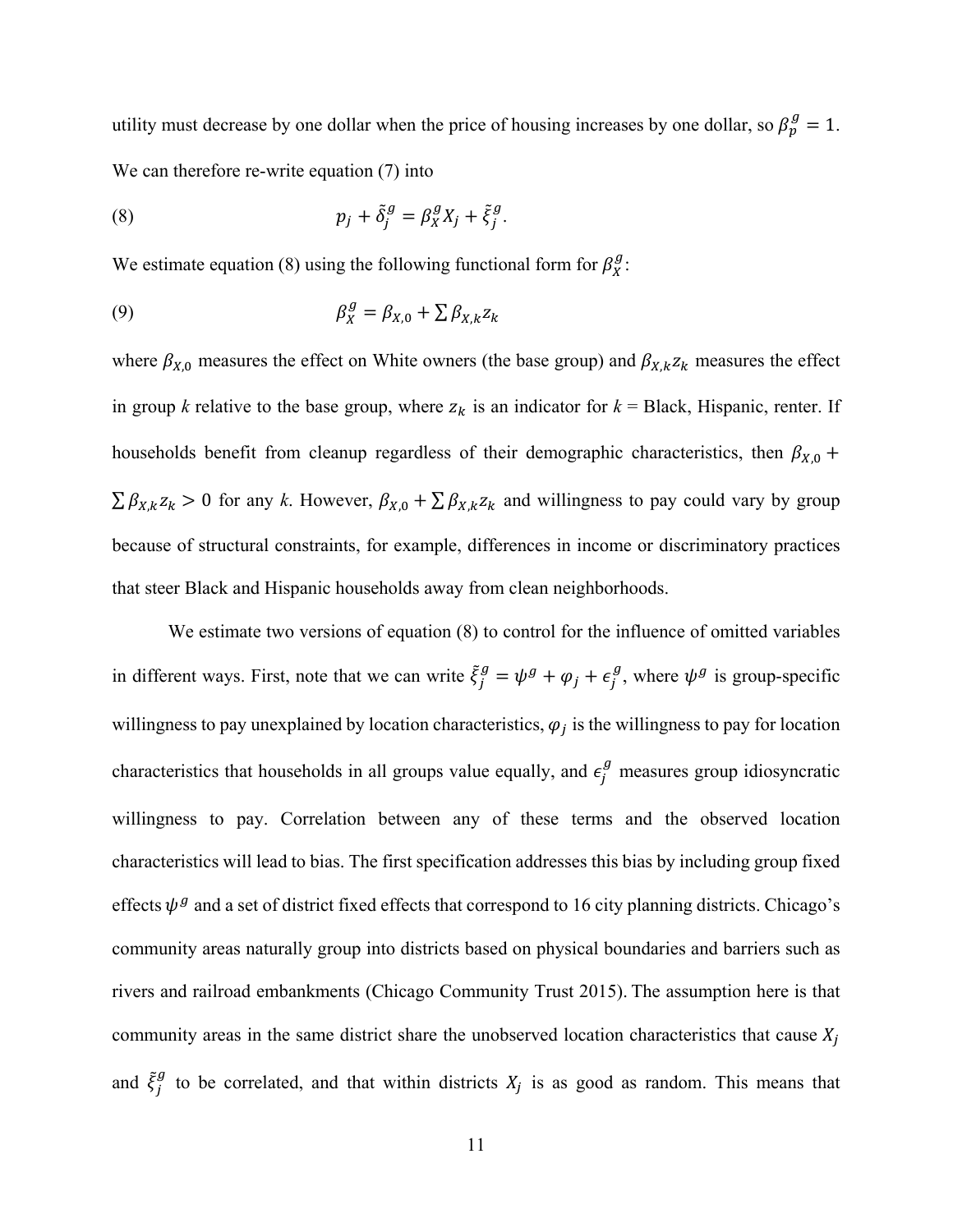utility must decrease by one dollar when the price of housing increases by one dollar, so  $\beta_p^g = 1$ . We can therefore re-write equation (7) into

(8) 
$$
p_j + \tilde{\delta}_j^g = \beta_x^g X_j + \tilde{\xi}_j^g.
$$

We estimate equation (8) using the following functional form for  $\beta_{X}^{g}$ :

$$
\beta_X^g = \beta_{X,0} + \sum \beta_{X,k} z_k
$$

where  $\beta_{X,0}$  measures the effect on White owners (the base group) and  $\beta_{X,k} z_k$  measures the effect in group *k* relative to the base group, where  $z_k$  is an indicator for  $k = Black$ , Hispanic, renter. If households benefit from cleanup regardless of their demographic characteristics, then  $\beta_{X,0}$  +  $\sum \beta_{X,k} z_k > 0$  for any *k*. However,  $\beta_{X,0} + \sum \beta_{X,k} z_k$  and willingness to pay could vary by group because of structural constraints, for example, differences in income or discriminatory practices that steer Black and Hispanic households away from clean neighborhoods.

We estimate two versions of equation (8) to control for the influence of omitted variables in different ways. First, note that we can write  $\xi_j^g = \psi^g + \varphi_j + \epsilon_j^g$ , where  $\psi^g$  is group-specific willingness to pay unexplained by location characteristics,  $\varphi_i$  is the willingness to pay for location characteristics that households in all groups value equally, and  $\epsilon_j^g$  measures group idiosyncratic willingness to pay. Correlation between any of these terms and the observed location characteristics will lead to bias. The first specification addresses this bias by including group fixed effects  $\psi^g$  and a set of district fixed effects that correspond to 16 city planning districts. Chicago's community areas naturally group into districts based on physical boundaries and barriers such as rivers and railroad embankments (Chicago Community Trust 2015). The assumption here is that community areas in the same district share the unobserved location characteristics that cause  $X_i$ and  $\tilde{\xi}_j^g$  to be correlated, and that within districts  $X_j$  is as good as random. This means that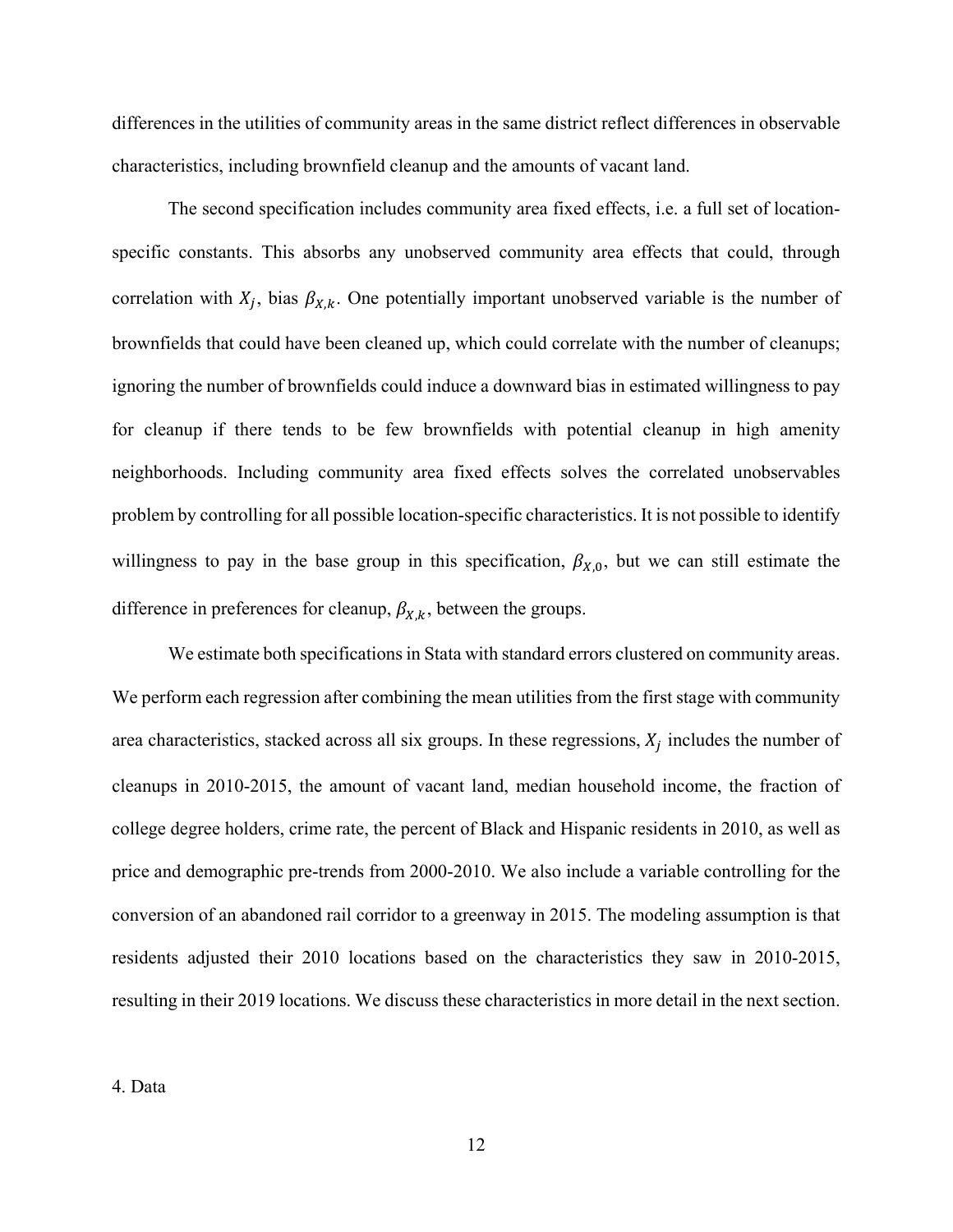differences in the utilities of community areas in the same district reflect differences in observable characteristics, including brownfield cleanup and the amounts of vacant land.

The second specification includes community area fixed effects, i.e. a full set of locationspecific constants. This absorbs any unobserved community area effects that could, through correlation with  $X_j$ , bias  $\beta_{X,k}$ . One potentially important unobserved variable is the number of brownfields that could have been cleaned up, which could correlate with the number of cleanups; ignoring the number of brownfields could induce a downward bias in estimated willingness to pay for cleanup if there tends to be few brownfields with potential cleanup in high amenity neighborhoods. Including community area fixed effects solves the correlated unobservables problem by controlling for all possible location-specific characteristics. It is not possible to identify willingness to pay in the base group in this specification,  $\beta_{X,0}$ , but we can still estimate the difference in preferences for cleanup,  $\beta_{X,k}$ , between the groups.

We estimate both specifications in Stata with standard errors clustered on community areas. We perform each regression after combining the mean utilities from the first stage with community area characteristics, stacked across all six groups. In these regressions,  $X_i$  includes the number of cleanups in 2010-2015, the amount of vacant land, median household income, the fraction of college degree holders, crime rate, the percent of Black and Hispanic residents in 2010, as well as price and demographic pre-trends from 2000-2010. We also include a variable controlling for the conversion of an abandoned rail corridor to a greenway in 2015. The modeling assumption is that residents adjusted their 2010 locations based on the characteristics they saw in 2010-2015, resulting in their 2019 locations. We discuss these characteristics in more detail in the next section.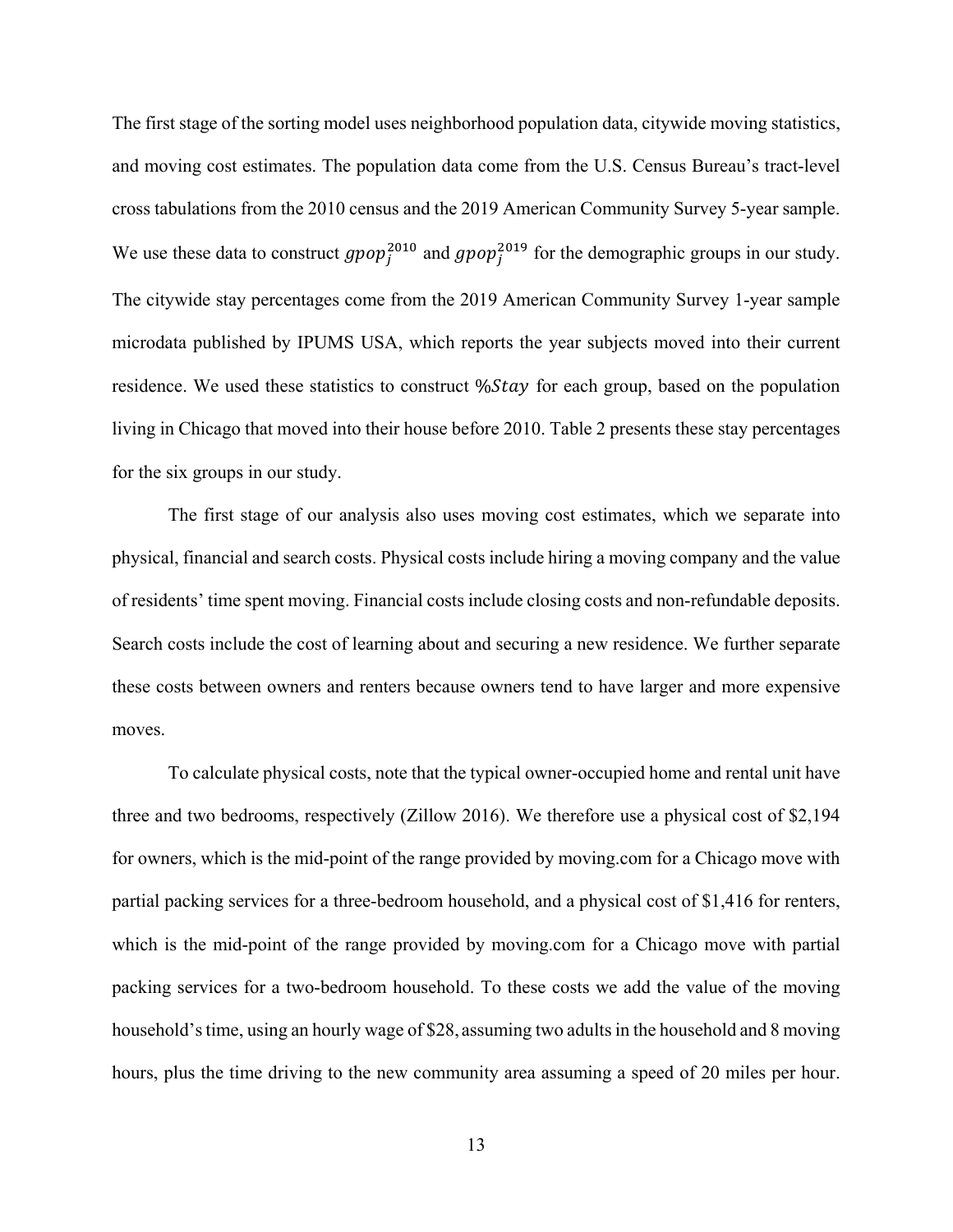The first stage of the sorting model uses neighborhood population data, citywide moving statistics, and moving cost estimates. The population data come from the U.S. Census Bureau's tract-level cross tabulations from the 2010 census and the 2019 American Community Survey 5-year sample. We use these data to construct  $gpop_j^{2010}$  and  $gpop_j^{2019}$  for the demographic groups in our study. The citywide stay percentages come from the 2019 American Community Survey 1-year sample microdata published by IPUMS USA, which reports the year subjects moved into their current residence. We used these statistics to construct  $\%$ *Stay* for each group, based on the population living in Chicago that moved into their house before 2010. Table 2 presents these stay percentages for the six groups in our study.

The first stage of our analysis also uses moving cost estimates, which we separate into physical, financial and search costs. Physical costs include hiring a moving company and the value of residents' time spent moving. Financial costs include closing costs and non-refundable deposits. Search costs include the cost of learning about and securing a new residence. We further separate these costs between owners and renters because owners tend to have larger and more expensive moves.

To calculate physical costs, note that the typical owner-occupied home and rental unit have three and two bedrooms, respectively (Zillow 2016). We therefore use a physical cost of \$2,194 for owners, which is the mid-point of the range provided by moving.com for a Chicago move with partial packing services for a three-bedroom household, and a physical cost of \$1,416 for renters, which is the mid-point of the range provided by moving.com for a Chicago move with partial packing services for a two-bedroom household. To these costs we add the value of the moving household's time, using an hourly wage of \$28, assuming two adults in the household and 8 moving hours, plus the time driving to the new community area assuming a speed of 20 miles per hour.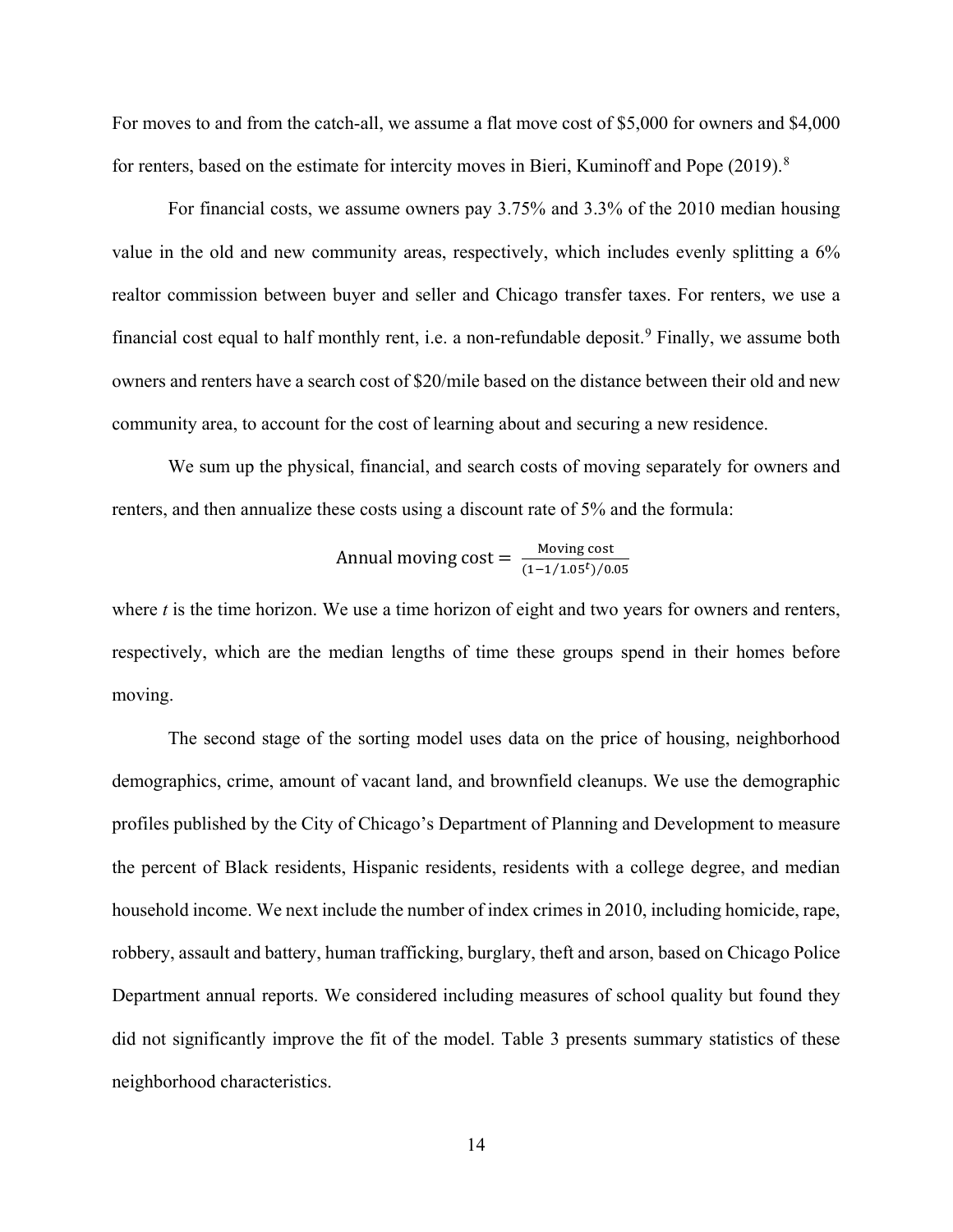For moves to and from the catch-all, we assume a flat move cost of \$5,000 for owners and \$4,000 for renters, based on the estimate for intercity moves in Bieri, Kuminoff and Pope (2019).<sup>8</sup>

For financial costs, we assume owners pay 3.75% and 3.3% of the 2010 median housing value in the old and new community areas, respectively, which includes evenly splitting a 6% realtor commission between buyer and seller and Chicago transfer taxes. For renters, we use a financial cost equal to half monthly rent, i.e. a non-refundable deposit.<sup>9</sup> Finally, we assume both owners and renters have a search cost of \$20/mile based on the distance between their old and new community area, to account for the cost of learning about and securing a new residence.

We sum up the physical, financial, and search costs of moving separately for owners and renters, and then annualize these costs using a discount rate of 5% and the formula:

Annual moving cost = 
$$
\frac{\text{Moving cost}}{(1-1/1.05^t)/0.05}
$$

where *t* is the time horizon. We use a time horizon of eight and two years for owners and renters, respectively, which are the median lengths of time these groups spend in their homes before moving.

The second stage of the sorting model uses data on the price of housing, neighborhood demographics, crime, amount of vacant land, and brownfield cleanups. We use the demographic profiles published by the City of Chicago's Department of Planning and Development to measure the percent of Black residents, Hispanic residents, residents with a college degree, and median household income. We next include the number of index crimes in 2010, including homicide, rape, robbery, assault and battery, human trafficking, burglary, theft and arson, based on Chicago Police Department annual reports. We considered including measures of school quality but found they did not significantly improve the fit of the model. Table 3 presents summary statistics of these neighborhood characteristics.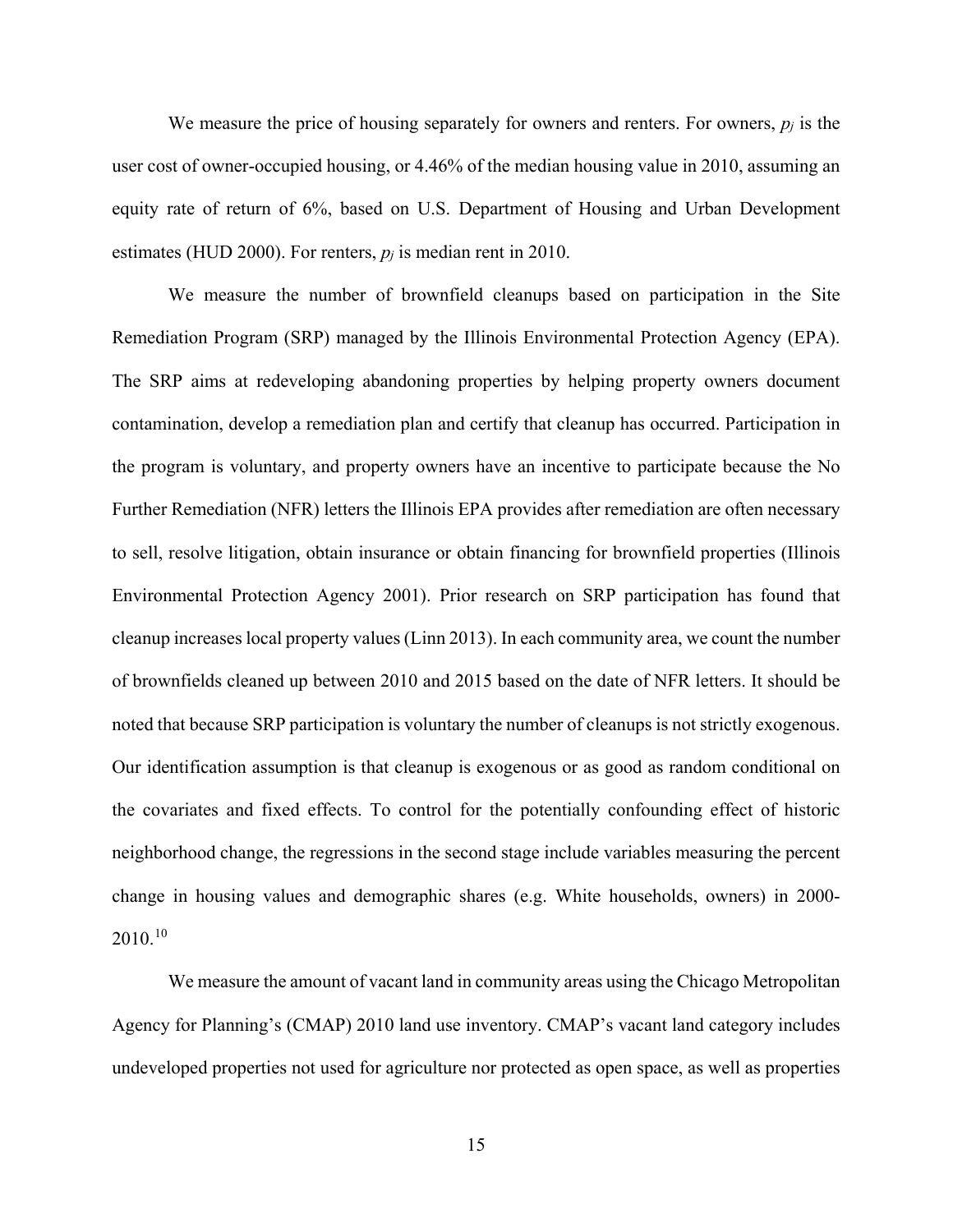We measure the price of housing separately for owners and renters. For owners, *pj* is the user cost of owner-occupied housing, or 4.46% of the median housing value in 2010, assuming an equity rate of return of 6%, based on U.S. Department of Housing and Urban Development estimates (HUD 2000). For renters,  $p_i$  is median rent in 2010.

We measure the number of brownfield cleanups based on participation in the Site Remediation Program (SRP) managed by the Illinois Environmental Protection Agency (EPA). The SRP aims at redeveloping abandoning properties by helping property owners document contamination, develop a remediation plan and certify that cleanup has occurred. Participation in the program is voluntary, and property owners have an incentive to participate because the No Further Remediation (NFR) letters the Illinois EPA provides after remediation are often necessary to sell, resolve litigation, obtain insurance or obtain financing for brownfield properties (Illinois Environmental Protection Agency 2001). Prior research on SRP participation has found that cleanup increases local property values (Linn 2013). In each community area, we count the number of brownfields cleaned up between 2010 and 2015 based on the date of NFR letters. It should be noted that because SRP participation is voluntary the number of cleanups is not strictly exogenous. Our identification assumption is that cleanup is exogenous or as good as random conditional on the covariates and fixed effects. To control for the potentially confounding effect of historic neighborhood change, the regressions in the second stage include variables measuring the percent change in housing values and demographic shares (e.g. White households, owners) in 2000- 2010.<sup>10</sup>

We measure the amount of vacant land in community areas using the Chicago Metropolitan Agency for Planning's (CMAP) 2010 land use inventory. CMAP's vacant land category includes undeveloped properties not used for agriculture nor protected as open space, as well as properties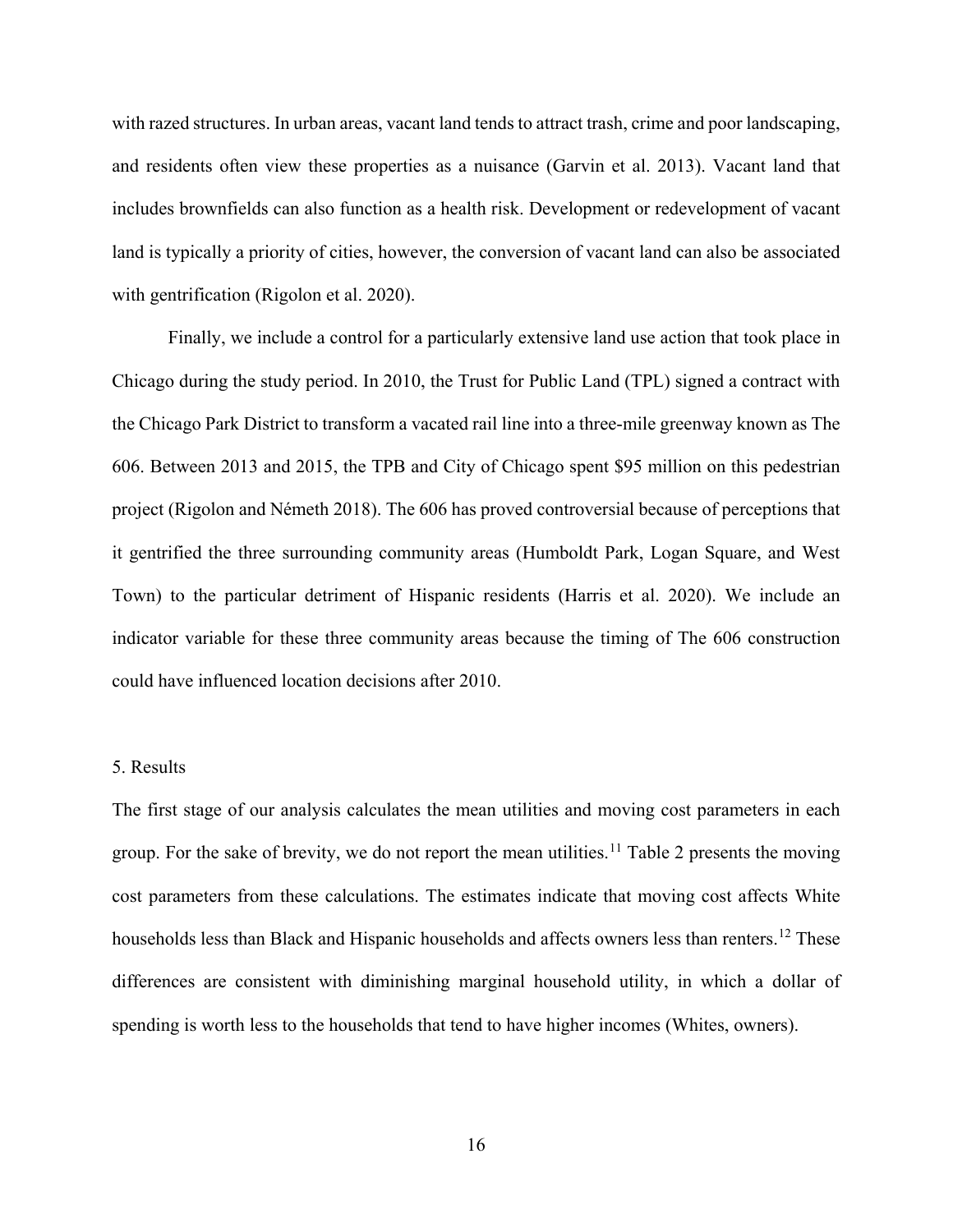with razed structures. In urban areas, vacant land tends to attract trash, crime and poor landscaping, and residents often view these properties as a nuisance (Garvin et al. 2013). Vacant land that includes brownfields can also function as a health risk. Development or redevelopment of vacant land is typically a priority of cities, however, the conversion of vacant land can also be associated with gentrification (Rigolon et al. 2020).

Finally, we include a control for a particularly extensive land use action that took place in Chicago during the study period. In 2010, the Trust for Public Land (TPL) signed a contract with the Chicago Park District to transform a vacated rail line into a three-mile greenway known as The 606. Between 2013 and 2015, the TPB and City of Chicago spent \$95 million on this pedestrian project (Rigolon and Németh 2018). The 606 has proved controversial because of perceptions that it gentrified the three surrounding community areas (Humboldt Park, Logan Square, and West Town) to the particular detriment of Hispanic residents (Harris et al. 2020). We include an indicator variable for these three community areas because the timing of The 606 construction could have influenced location decisions after 2010.

#### 5. Results

The first stage of our analysis calculates the mean utilities and moving cost parameters in each group. For the sake of brevity, we do not report the mean utilities.<sup>11</sup> Table 2 presents the moving cost parameters from these calculations. The estimates indicate that moving cost affects White households less than Black and Hispanic households and affects owners less than renters.<sup>12</sup> These differences are consistent with diminishing marginal household utility, in which a dollar of spending is worth less to the households that tend to have higher incomes (Whites, owners).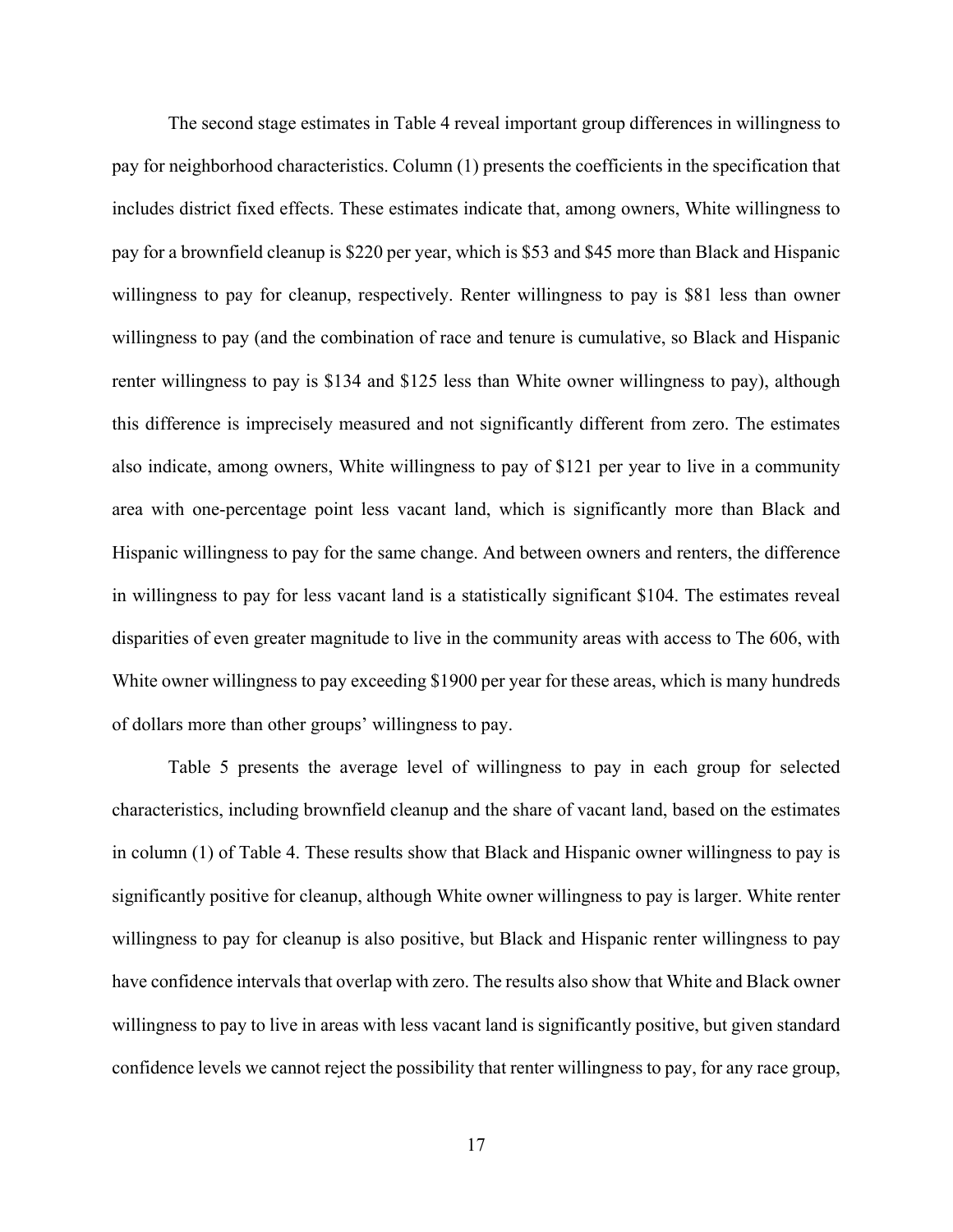The second stage estimates in Table 4 reveal important group differences in willingness to pay for neighborhood characteristics. Column (1) presents the coefficients in the specification that includes district fixed effects. These estimates indicate that, among owners, White willingness to pay for a brownfield cleanup is \$220 per year, which is \$53 and \$45 more than Black and Hispanic willingness to pay for cleanup, respectively. Renter willingness to pay is \$81 less than owner willingness to pay (and the combination of race and tenure is cumulative, so Black and Hispanic renter willingness to pay is \$134 and \$125 less than White owner willingness to pay), although this difference is imprecisely measured and not significantly different from zero. The estimates also indicate, among owners, White willingness to pay of \$121 per year to live in a community area with one-percentage point less vacant land, which is significantly more than Black and Hispanic willingness to pay for the same change. And between owners and renters, the difference in willingness to pay for less vacant land is a statistically significant \$104. The estimates reveal disparities of even greater magnitude to live in the community areas with access to The 606, with White owner willingness to pay exceeding \$1900 per year for these areas, which is many hundreds of dollars more than other groups' willingness to pay.

Table 5 presents the average level of willingness to pay in each group for selected characteristics, including brownfield cleanup and the share of vacant land, based on the estimates in column (1) of Table 4. These results show that Black and Hispanic owner willingness to pay is significantly positive for cleanup, although White owner willingness to pay is larger. White renter willingness to pay for cleanup is also positive, but Black and Hispanic renter willingness to pay have confidence intervals that overlap with zero. The results also show that White and Black owner willingness to pay to live in areas with less vacant land is significantly positive, but given standard confidence levels we cannot reject the possibility that renter willingness to pay, for any race group,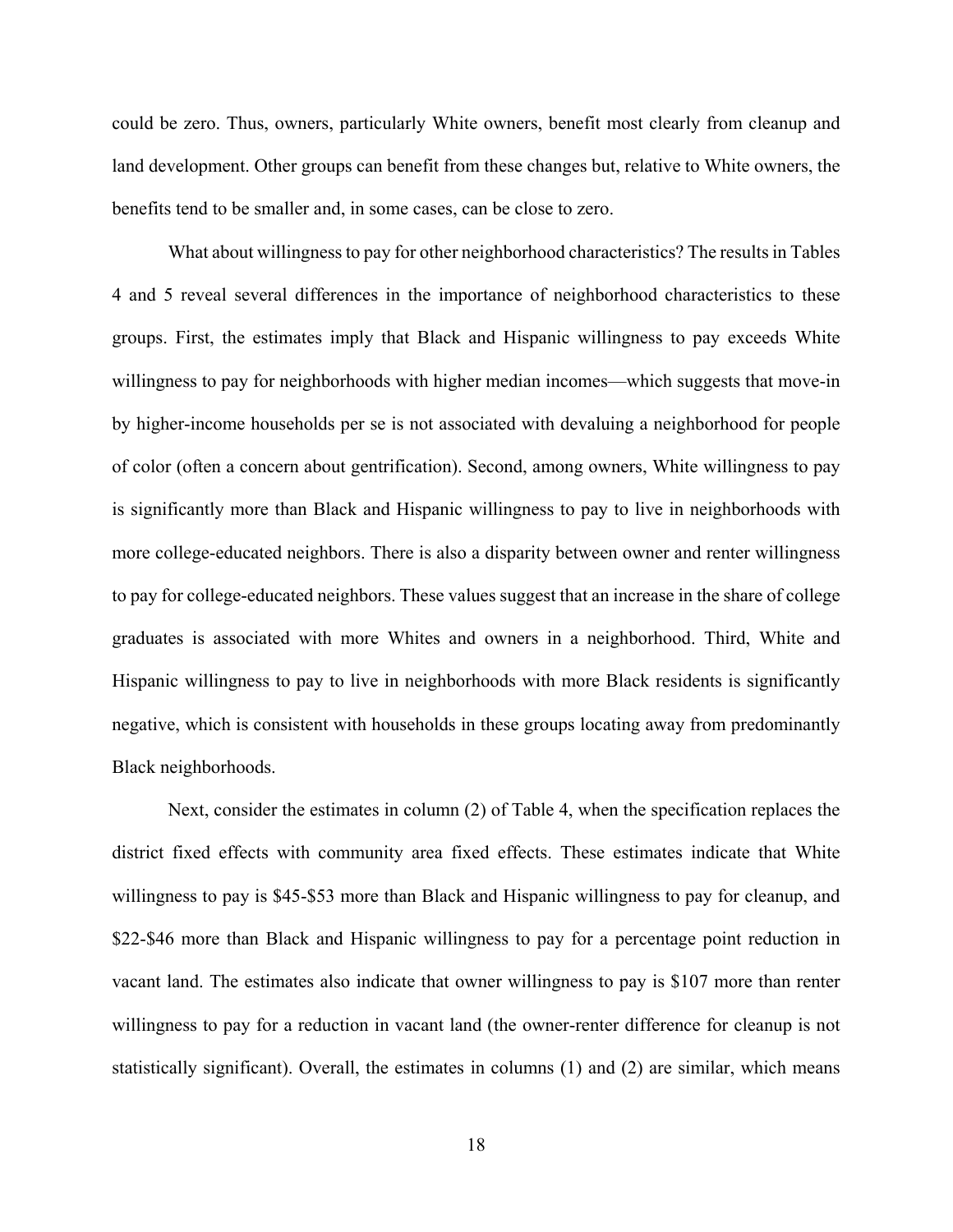could be zero. Thus, owners, particularly White owners, benefit most clearly from cleanup and land development. Other groups can benefit from these changes but, relative to White owners, the benefits tend to be smaller and, in some cases, can be close to zero.

What about willingness to pay for other neighborhood characteristics? The results in Tables 4 and 5 reveal several differences in the importance of neighborhood characteristics to these groups. First, the estimates imply that Black and Hispanic willingness to pay exceeds White willingness to pay for neighborhoods with higher median incomes—which suggests that move-in by higher-income households per se is not associated with devaluing a neighborhood for people of color (often a concern about gentrification). Second, among owners, White willingness to pay is significantly more than Black and Hispanic willingness to pay to live in neighborhoods with more college-educated neighbors. There is also a disparity between owner and renter willingness to pay for college-educated neighbors. These values suggest that an increase in the share of college graduates is associated with more Whites and owners in a neighborhood. Third, White and Hispanic willingness to pay to live in neighborhoods with more Black residents is significantly negative, which is consistent with households in these groups locating away from predominantly Black neighborhoods.

Next, consider the estimates in column (2) of Table 4, when the specification replaces the district fixed effects with community area fixed effects. These estimates indicate that White willingness to pay is \$45-\$53 more than Black and Hispanic willingness to pay for cleanup, and \$22-\$46 more than Black and Hispanic willingness to pay for a percentage point reduction in vacant land. The estimates also indicate that owner willingness to pay is \$107 more than renter willingness to pay for a reduction in vacant land (the owner-renter difference for cleanup is not statistically significant). Overall, the estimates in columns (1) and (2) are similar, which means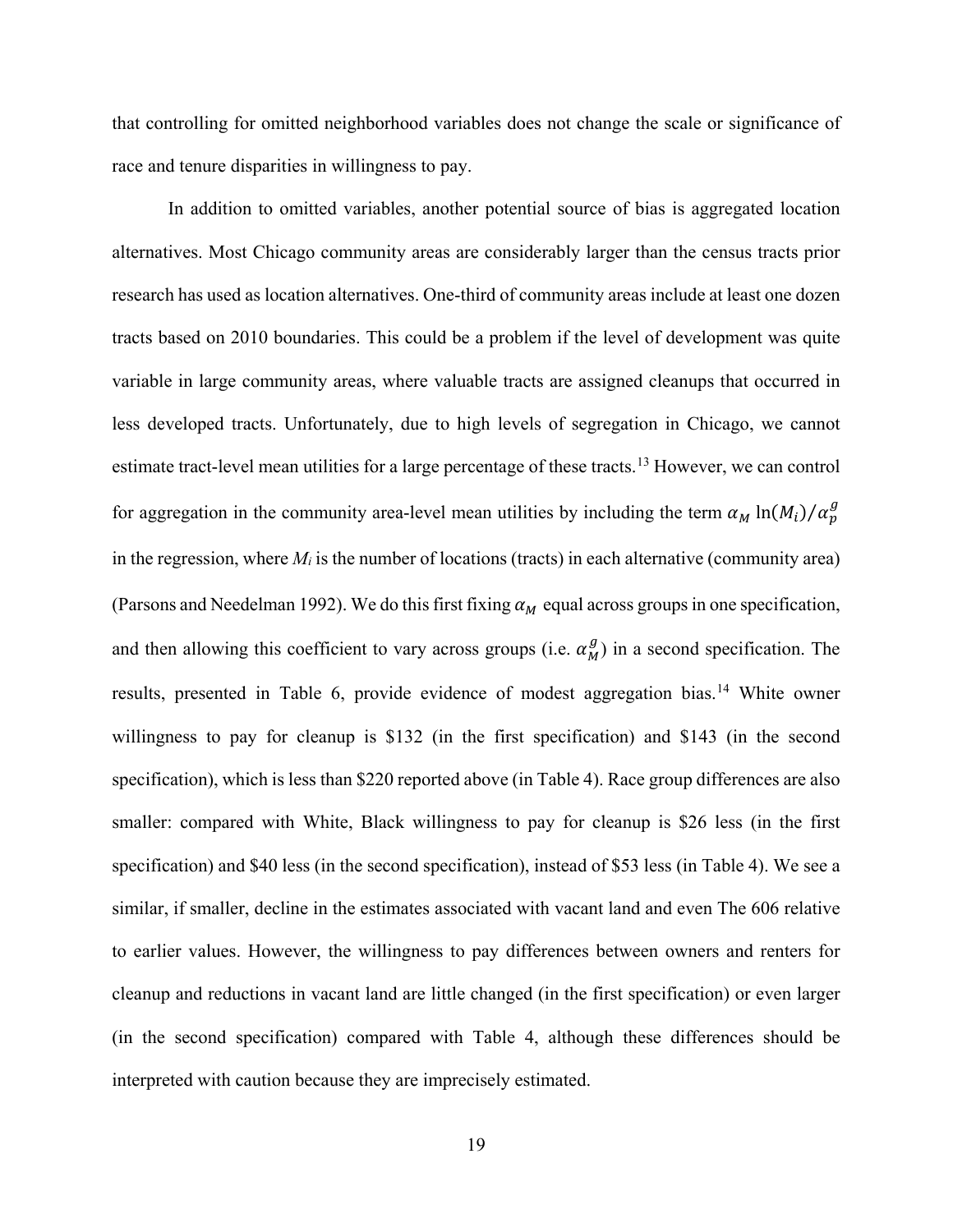that controlling for omitted neighborhood variables does not change the scale or significance of race and tenure disparities in willingness to pay.

In addition to omitted variables, another potential source of bias is aggregated location alternatives. Most Chicago community areas are considerably larger than the census tracts prior research has used as location alternatives. One-third of community areas include at least one dozen tracts based on 2010 boundaries. This could be a problem if the level of development was quite variable in large community areas, where valuable tracts are assigned cleanups that occurred in less developed tracts. Unfortunately, due to high levels of segregation in Chicago, we cannot estimate tract-level mean utilities for a large percentage of these tracts.<sup>13</sup> However, we can control for aggregation in the community area-level mean utilities by including the term  $\alpha_M \ln(M_i) / \alpha_p^g$ in the regression, where *Mi* is the number of locations (tracts) in each alternative (community area) (Parsons and Needelman 1992). We do this first fixing  $\alpha_M$  equal across groups in one specification, and then allowing this coefficient to vary across groups (i.e.  $\alpha_M^g$ ) in a second specification. The results, presented in Table 6, provide evidence of modest aggregation bias.<sup>14</sup> White owner willingness to pay for cleanup is \$132 (in the first specification) and \$143 (in the second specification), which is less than \$220 reported above (in Table 4). Race group differences are also smaller: compared with White, Black willingness to pay for cleanup is \$26 less (in the first specification) and \$40 less (in the second specification), instead of \$53 less (in Table 4). We see a similar, if smaller, decline in the estimates associated with vacant land and even The 606 relative to earlier values. However, the willingness to pay differences between owners and renters for cleanup and reductions in vacant land are little changed (in the first specification) or even larger (in the second specification) compared with Table 4, although these differences should be interpreted with caution because they are imprecisely estimated.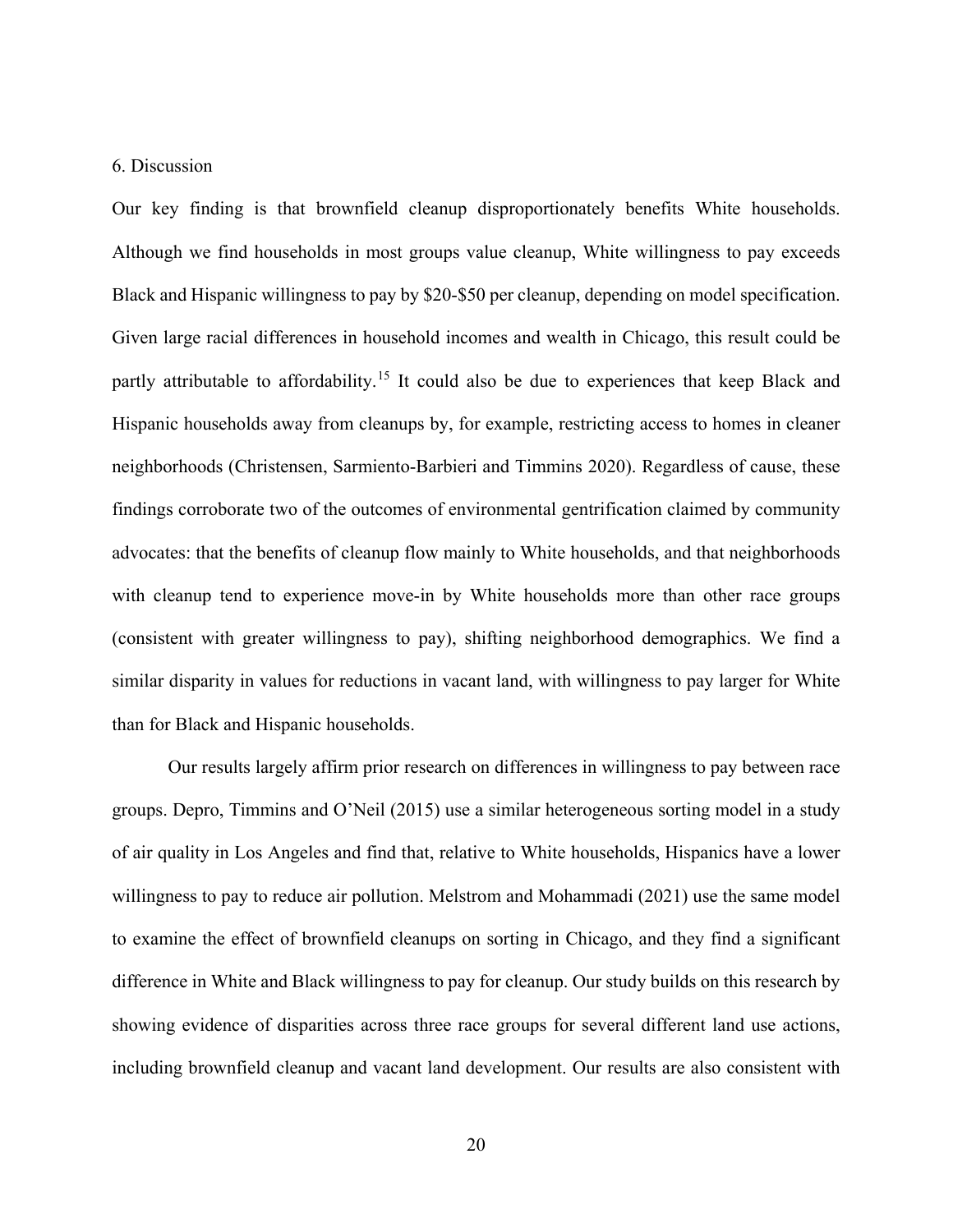#### 6. Discussion

Our key finding is that brownfield cleanup disproportionately benefits White households. Although we find households in most groups value cleanup, White willingness to pay exceeds Black and Hispanic willingness to pay by \$20-\$50 per cleanup, depending on model specification. Given large racial differences in household incomes and wealth in Chicago, this result could be partly attributable to affordability.<sup>15</sup> It could also be due to experiences that keep Black and Hispanic households away from cleanups by, for example, restricting access to homes in cleaner neighborhoods (Christensen, Sarmiento-Barbieri and Timmins 2020). Regardless of cause, these findings corroborate two of the outcomes of environmental gentrification claimed by community advocates: that the benefits of cleanup flow mainly to White households, and that neighborhoods with cleanup tend to experience move-in by White households more than other race groups (consistent with greater willingness to pay), shifting neighborhood demographics. We find a similar disparity in values for reductions in vacant land, with willingness to pay larger for White than for Black and Hispanic households.

Our results largely affirm prior research on differences in willingness to pay between race groups. Depro, Timmins and O'Neil (2015) use a similar heterogeneous sorting model in a study of air quality in Los Angeles and find that, relative to White households, Hispanics have a lower willingness to pay to reduce air pollution. Melstrom and Mohammadi (2021) use the same model to examine the effect of brownfield cleanups on sorting in Chicago, and they find a significant difference in White and Black willingness to pay for cleanup. Our study builds on this research by showing evidence of disparities across three race groups for several different land use actions, including brownfield cleanup and vacant land development. Our results are also consistent with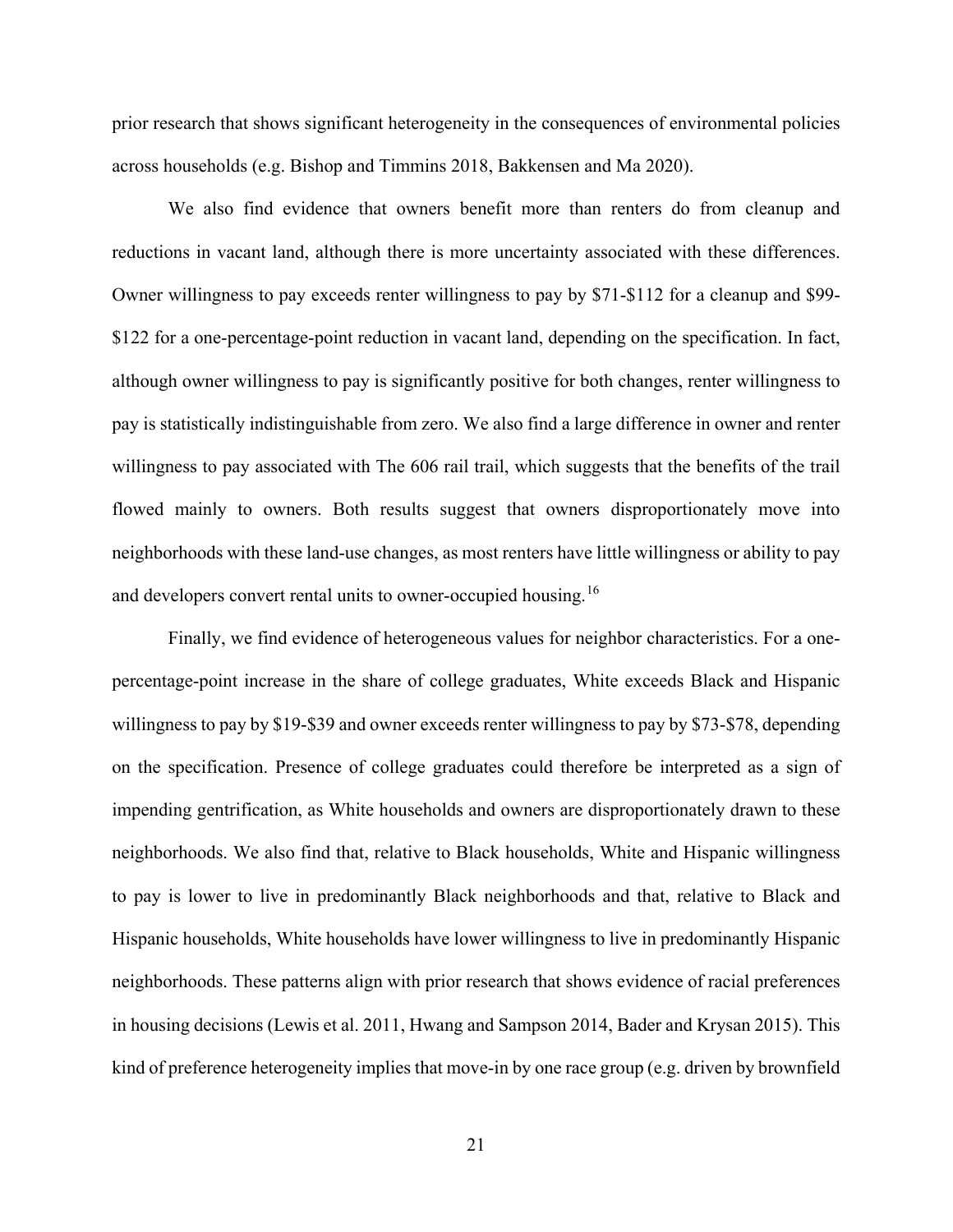prior research that shows significant heterogeneity in the consequences of environmental policies across households (e.g. Bishop and Timmins 2018, Bakkensen and Ma 2020).

We also find evidence that owners benefit more than renters do from cleanup and reductions in vacant land, although there is more uncertainty associated with these differences. Owner willingness to pay exceeds renter willingness to pay by \$71-\$112 for a cleanup and \$99- \$122 for a one-percentage-point reduction in vacant land, depending on the specification. In fact, although owner willingness to pay is significantly positive for both changes, renter willingness to pay is statistically indistinguishable from zero. We also find a large difference in owner and renter willingness to pay associated with The 606 rail trail, which suggests that the benefits of the trail flowed mainly to owners. Both results suggest that owners disproportionately move into neighborhoods with these land-use changes, as most renters have little willingness or ability to pay and developers convert rental units to owner-occupied housing.<sup>16</sup>

Finally, we find evidence of heterogeneous values for neighbor characteristics. For a onepercentage-point increase in the share of college graduates, White exceeds Black and Hispanic willingness to pay by \$19-\$39 and owner exceeds renter willingness to pay by \$73-\$78, depending on the specification. Presence of college graduates could therefore be interpreted as a sign of impending gentrification, as White households and owners are disproportionately drawn to these neighborhoods. We also find that, relative to Black households, White and Hispanic willingness to pay is lower to live in predominantly Black neighborhoods and that, relative to Black and Hispanic households, White households have lower willingness to live in predominantly Hispanic neighborhoods. These patterns align with prior research that shows evidence of racial preferences in housing decisions (Lewis et al. 2011, Hwang and Sampson 2014, Bader and Krysan 2015). This kind of preference heterogeneity implies that move-in by one race group (e.g. driven by brownfield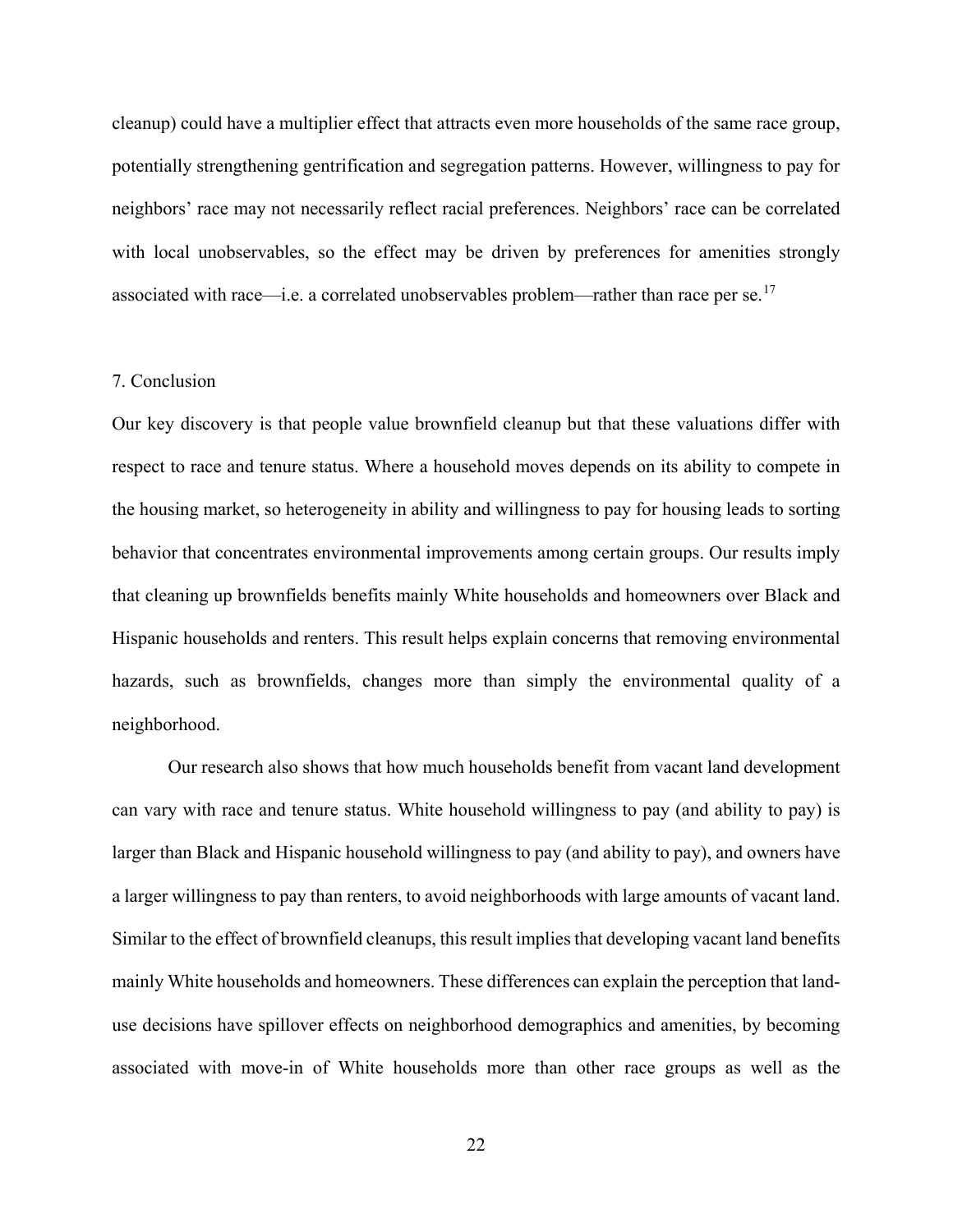cleanup) could have a multiplier effect that attracts even more households of the same race group, potentially strengthening gentrification and segregation patterns. However, willingness to pay for neighbors' race may not necessarily reflect racial preferences. Neighbors' race can be correlated with local unobservables, so the effect may be driven by preferences for amenities strongly associated with race—i.e. a correlated unobservables problem—rather than race per se.<sup>17</sup>

#### 7. Conclusion

Our key discovery is that people value brownfield cleanup but that these valuations differ with respect to race and tenure status. Where a household moves depends on its ability to compete in the housing market, so heterogeneity in ability and willingness to pay for housing leads to sorting behavior that concentrates environmental improvements among certain groups. Our results imply that cleaning up brownfields benefits mainly White households and homeowners over Black and Hispanic households and renters. This result helps explain concerns that removing environmental hazards, such as brownfields, changes more than simply the environmental quality of a neighborhood.

Our research also shows that how much households benefit from vacant land development can vary with race and tenure status. White household willingness to pay (and ability to pay) is larger than Black and Hispanic household willingness to pay (and ability to pay), and owners have a larger willingness to pay than renters, to avoid neighborhoods with large amounts of vacant land. Similar to the effect of brownfield cleanups, this result implies that developing vacant land benefits mainly White households and homeowners. These differences can explain the perception that landuse decisions have spillover effects on neighborhood demographics and amenities, by becoming associated with move-in of White households more than other race groups as well as the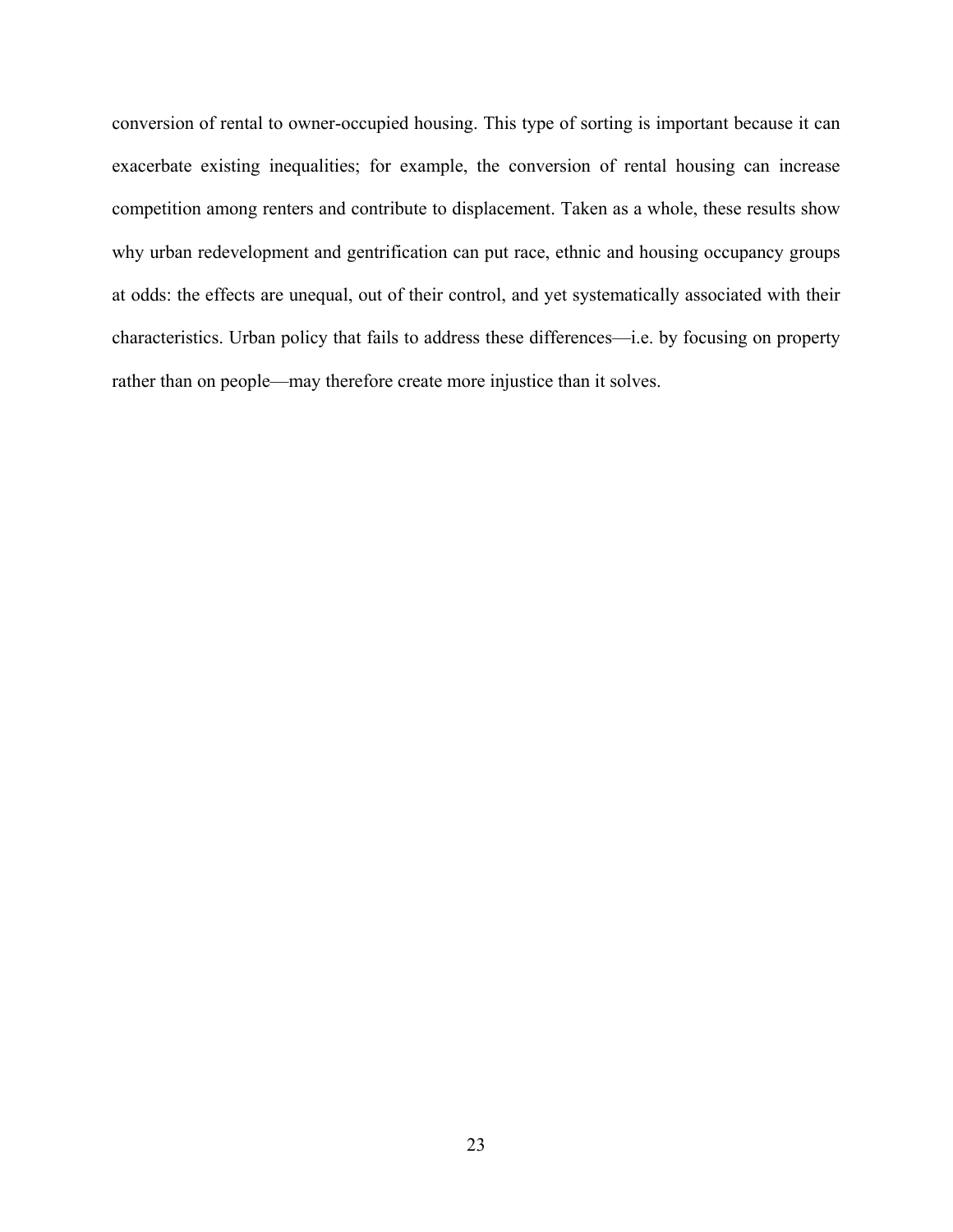conversion of rental to owner-occupied housing. This type of sorting is important because it can exacerbate existing inequalities; for example, the conversion of rental housing can increase competition among renters and contribute to displacement. Taken as a whole, these results show why urban redevelopment and gentrification can put race, ethnic and housing occupancy groups at odds: the effects are unequal, out of their control, and yet systematically associated with their characteristics. Urban policy that fails to address these differences—i.e. by focusing on property rather than on people—may therefore create more injustice than it solves.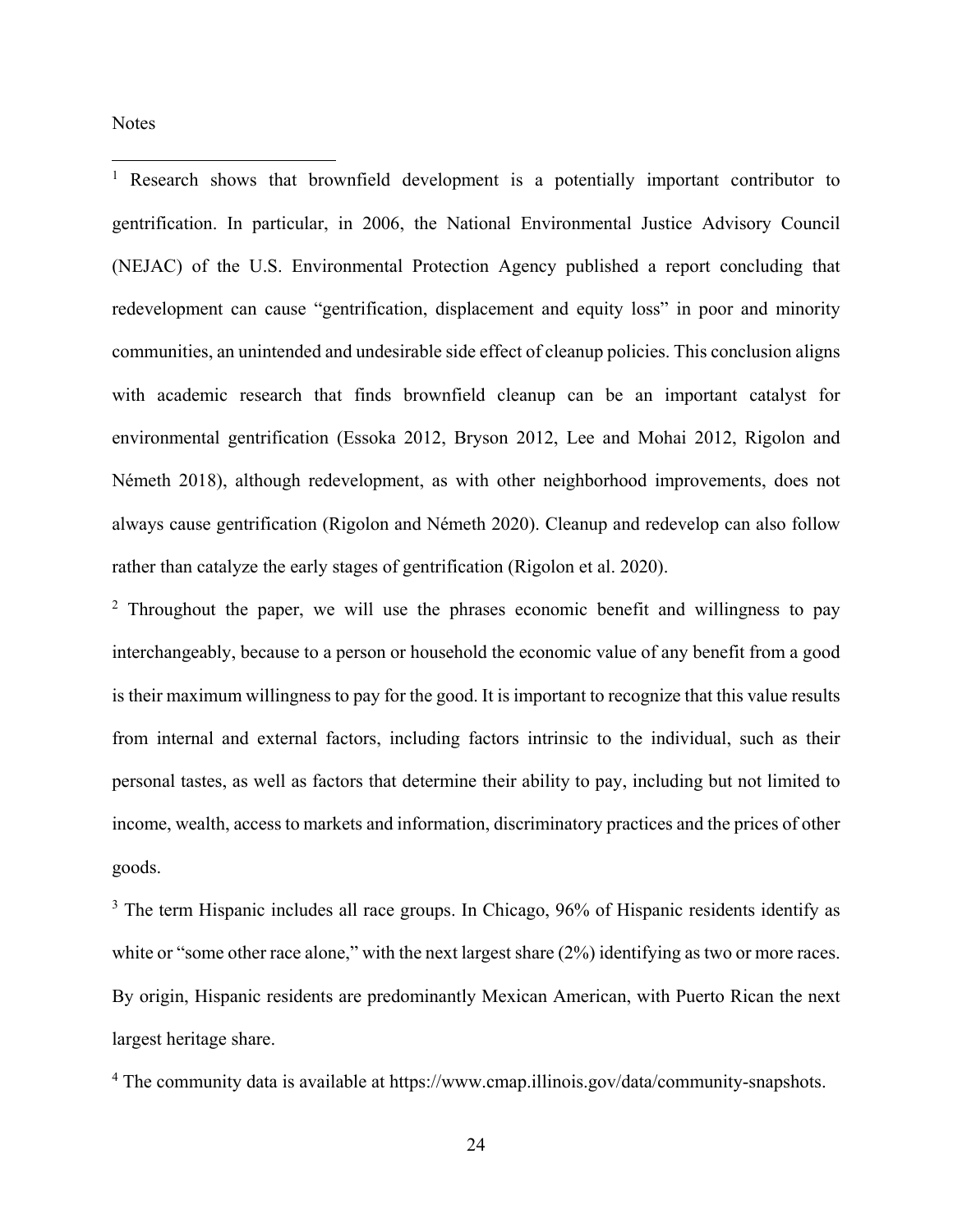**Notes** 

 $\overline{a}$ 

<sup>1</sup> Research shows that brownfield development is a potentially important contributor to gentrification. In particular, in 2006, the National Environmental Justice Advisory Council (NEJAC) of the U.S. Environmental Protection Agency published a report concluding that redevelopment can cause "gentrification, displacement and equity loss" in poor and minority communities, an unintended and undesirable side effect of cleanup policies. This conclusion aligns with academic research that finds brownfield cleanup can be an important catalyst for environmental gentrification (Essoka 2012, Bryson 2012, Lee and Mohai 2012, Rigolon and Németh 2018), although redevelopment, as with other neighborhood improvements, does not always cause gentrification (Rigolon and Németh 2020). Cleanup and redevelop can also follow rather than catalyze the early stages of gentrification (Rigolon et al. 2020).

<sup>2</sup> Throughout the paper, we will use the phrases economic benefit and willingness to pay interchangeably, because to a person or household the economic value of any benefit from a good is their maximum willingness to pay for the good. It is important to recognize that this value results from internal and external factors, including factors intrinsic to the individual, such as their personal tastes, as well as factors that determine their ability to pay, including but not limited to income, wealth, access to markets and information, discriminatory practices and the prices of other goods.

<sup>3</sup> The term Hispanic includes all race groups. In Chicago, 96% of Hispanic residents identify as white or "some other race alone," with the next largest share  $(2%)$  identifying as two or more races. By origin, Hispanic residents are predominantly Mexican American, with Puerto Rican the next largest heritage share.

<sup>4</sup> The community data is available at https://www.cmap.illinois.gov/data/community-snapshots.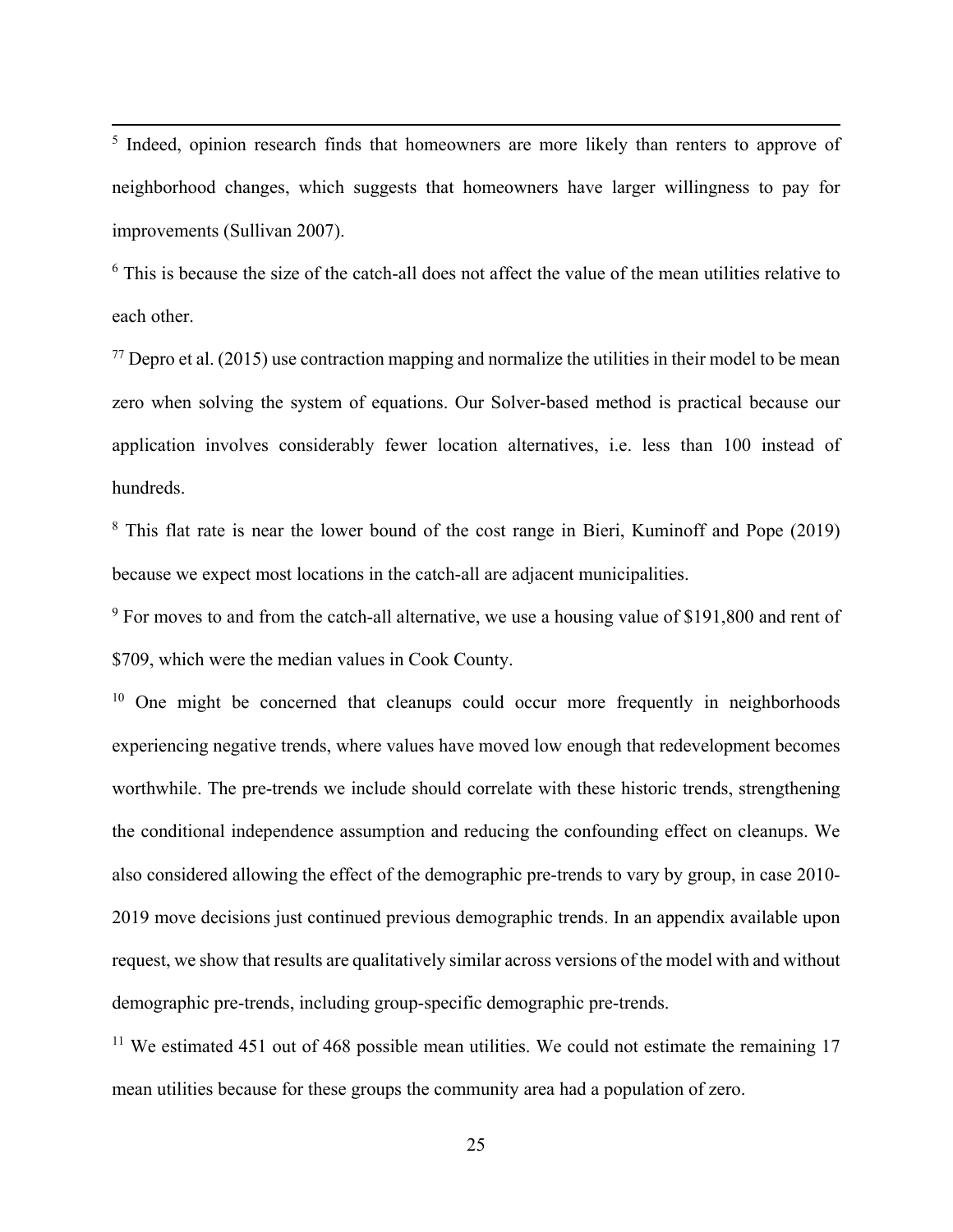<sup>5</sup> Indeed, opinion research finds that homeowners are more likely than renters to approve of neighborhood changes, which suggests that homeowners have larger willingness to pay for improvements (Sullivan 2007).

<sup>6</sup> This is because the size of the catch-all does not affect the value of the mean utilities relative to each other.

 $^{77}$  Depro et al. (2015) use contraction mapping and normalize the utilities in their model to be mean zero when solving the system of equations. Our Solver-based method is practical because our application involves considerably fewer location alternatives, i.e. less than 100 instead of hundreds.

<sup>8</sup> This flat rate is near the lower bound of the cost range in Bieri, Kuminoff and Pope (2019) because we expect most locations in the catch-all are adjacent municipalities.

<sup>9</sup> For moves to and from the catch-all alternative, we use a housing value of \$191,800 and rent of \$709, which were the median values in Cook County.

<sup>10</sup> One might be concerned that cleanups could occur more frequently in neighborhoods experiencing negative trends, where values have moved low enough that redevelopment becomes worthwhile. The pre-trends we include should correlate with these historic trends, strengthening the conditional independence assumption and reducing the confounding effect on cleanups. We also considered allowing the effect of the demographic pre-trends to vary by group, in case 2010- 2019 move decisions just continued previous demographic trends. In an appendix available upon request, we show that results are qualitatively similar across versions of the model with and without demographic pre-trends, including group-specific demographic pre-trends.

 $11$  We estimated 451 out of 468 possible mean utilities. We could not estimate the remaining 17 mean utilities because for these groups the community area had a population of zero.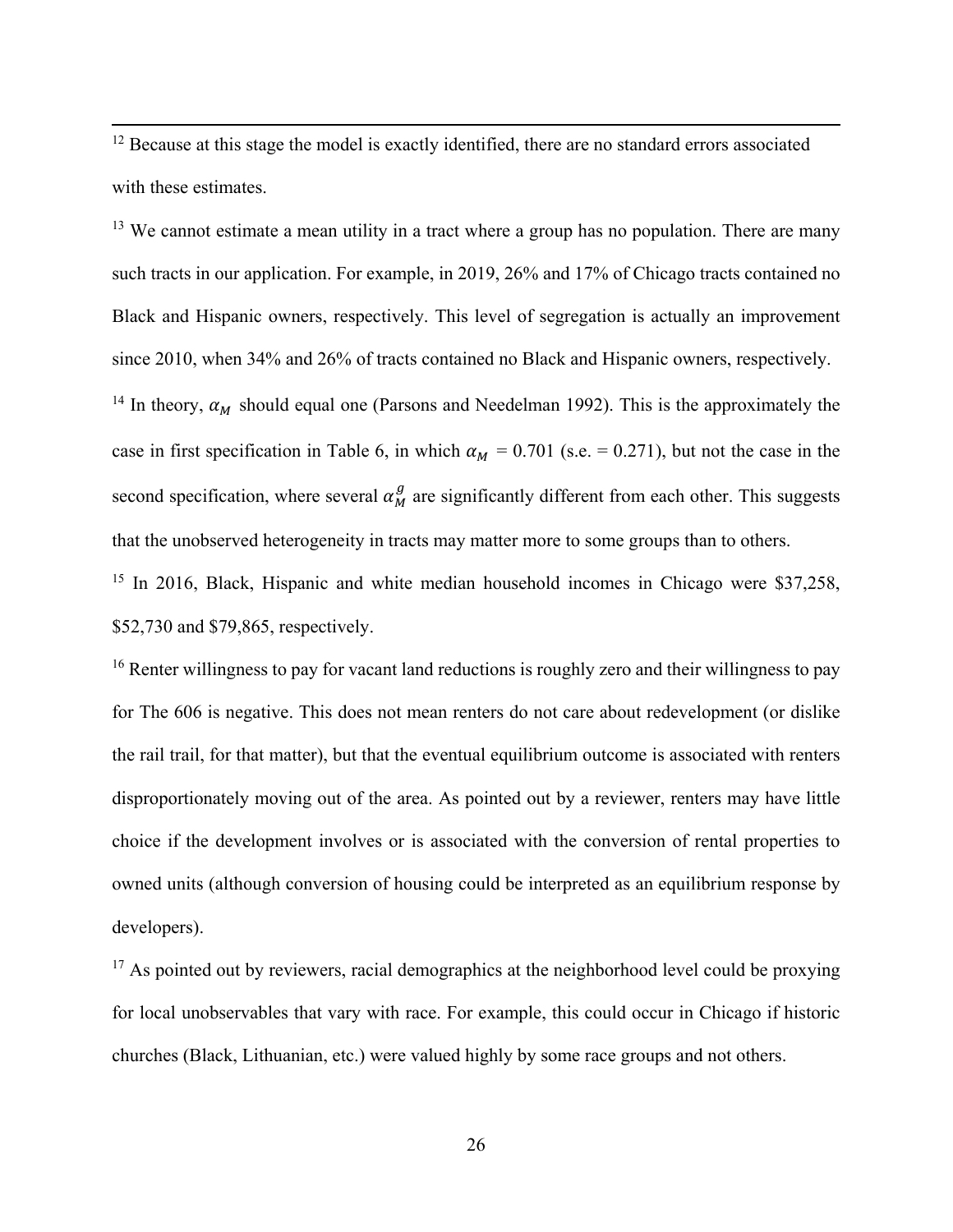$12$  Because at this stage the model is exactly identified, there are no standard errors associated with these estimates.

 $13$  We cannot estimate a mean utility in a tract where a group has no population. There are many such tracts in our application. For example, in 2019, 26% and 17% of Chicago tracts contained no Black and Hispanic owners, respectively. This level of segregation is actually an improvement since 2010, when 34% and 26% of tracts contained no Black and Hispanic owners, respectively. <sup>14</sup> In theory,  $\alpha_M$  should equal one (Parsons and Needelman 1992). This is the approximately the case in first specification in Table 6, in which  $\alpha_M = 0.701$  (s.e. = 0.271), but not the case in the second specification, where several  $\alpha_M^g$  are significantly different from each other. This suggests that the unobserved heterogeneity in tracts may matter more to some groups than to others.

<sup>15</sup> In 2016, Black, Hispanic and white median household incomes in Chicago were \$37,258, \$52,730 and \$79,865, respectively.

<sup>16</sup> Renter willingness to pay for vacant land reductions is roughly zero and their willingness to pay for The 606 is negative. This does not mean renters do not care about redevelopment (or dislike the rail trail, for that matter), but that the eventual equilibrium outcome is associated with renters disproportionately moving out of the area. As pointed out by a reviewer, renters may have little choice if the development involves or is associated with the conversion of rental properties to owned units (although conversion of housing could be interpreted as an equilibrium response by developers).

 $17$  As pointed out by reviewers, racial demographics at the neighborhood level could be proxying for local unobservables that vary with race. For example, this could occur in Chicago if historic churches (Black, Lithuanian, etc.) were valued highly by some race groups and not others.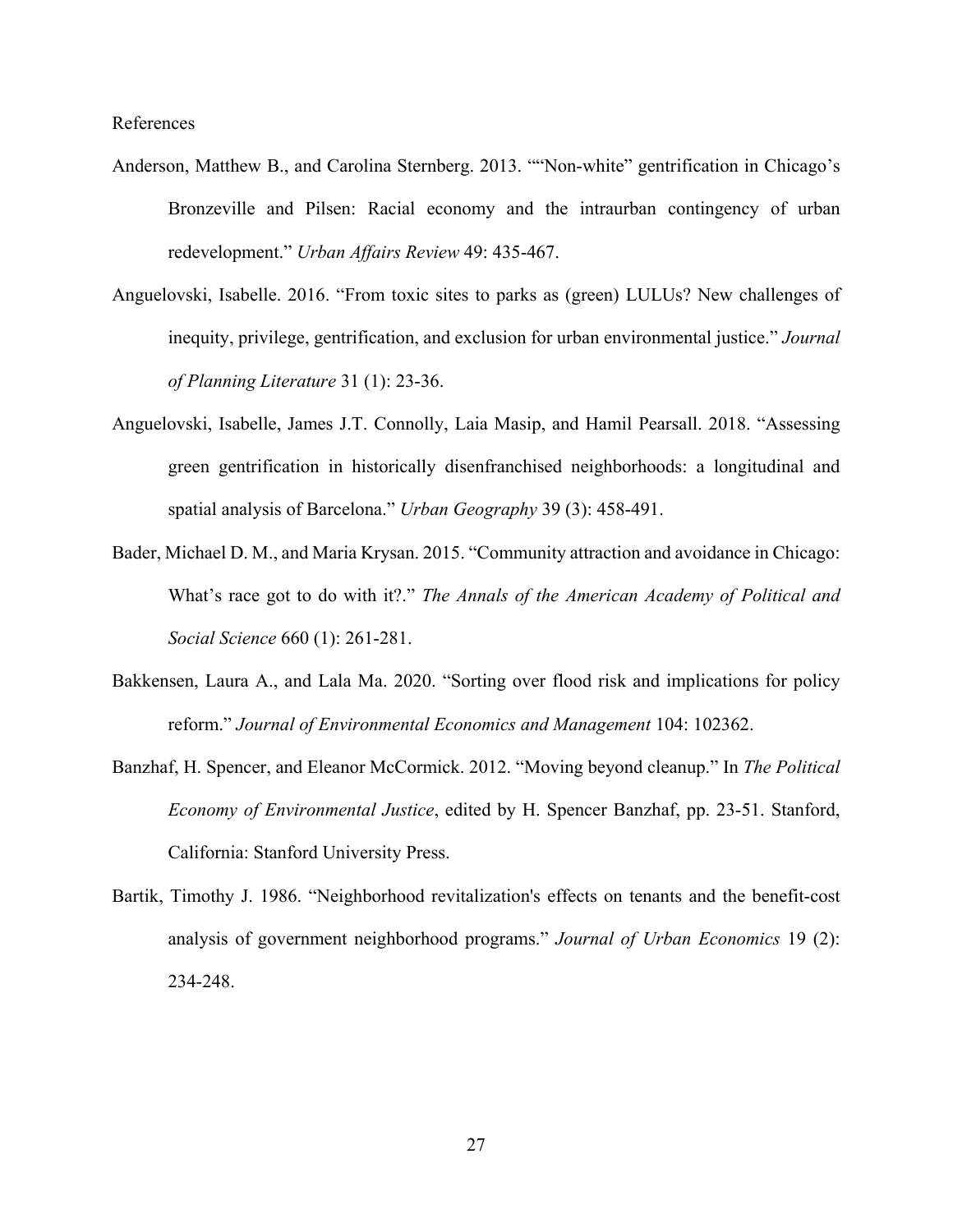References

- Anderson, Matthew B., and Carolina Sternberg. 2013. ""Non-white" gentrification in Chicago's Bronzeville and Pilsen: Racial economy and the intraurban contingency of urban redevelopment." *Urban Affairs Review* 49: 435-467.
- Anguelovski, Isabelle. 2016. "From toxic sites to parks as (green) LULUs? New challenges of inequity, privilege, gentrification, and exclusion for urban environmental justice." *Journal of Planning Literature* 31 (1): 23-36.
- Anguelovski, Isabelle, James J.T. Connolly, Laia Masip, and Hamil Pearsall. 2018. "Assessing green gentrification in historically disenfranchised neighborhoods: a longitudinal and spatial analysis of Barcelona." *Urban Geography* 39 (3): 458-491.
- Bader, Michael D. M., and Maria Krysan. 2015. "Community attraction and avoidance in Chicago: What's race got to do with it?." *The Annals of the American Academy of Political and Social Science* 660 (1): 261-281.
- Bakkensen, Laura A., and Lala Ma. 2020. "Sorting over flood risk and implications for policy reform." *Journal of Environmental Economics and Management* 104: 102362.
- Banzhaf, H. Spencer, and Eleanor McCormick. 2012. "Moving beyond cleanup." In *The Political Economy of Environmental Justice*, edited by H. Spencer Banzhaf, pp. 23-51. Stanford, California: Stanford University Press.
- Bartik, Timothy J. 1986. "Neighborhood revitalization's effects on tenants and the benefit-cost analysis of government neighborhood programs." *Journal of Urban Economics* 19 (2): 234-248.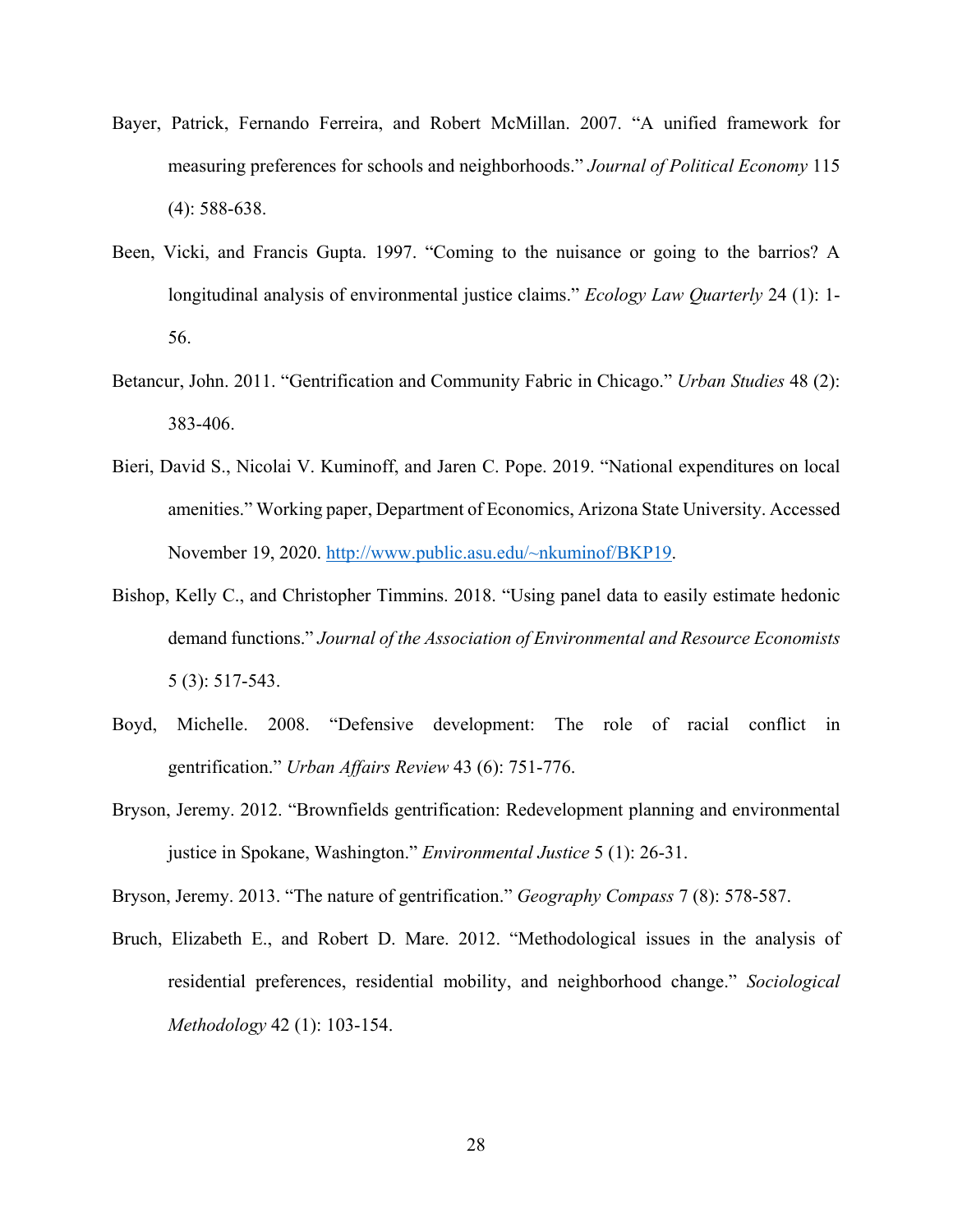- Bayer, Patrick, Fernando Ferreira, and Robert McMillan. 2007. "A unified framework for measuring preferences for schools and neighborhoods." *Journal of Political Economy* 115 (4): 588-638.
- Been, Vicki, and Francis Gupta. 1997. "Coming to the nuisance or going to the barrios? A longitudinal analysis of environmental justice claims." *Ecology Law Quarterly* 24 (1): 1- 56.
- Betancur, John. 2011. "Gentrification and Community Fabric in Chicago." *Urban Studies* 48 (2): 383-406.
- Bieri, David S., Nicolai V. Kuminoff, and Jaren C. Pope. 2019. "National expenditures on local amenities." Working paper, Department of Economics, Arizona State University. Accessed November 19, 2020. http://www.public.asu.edu/~nkuminof/BKP19.
- Bishop, Kelly C., and Christopher Timmins. 2018. "Using panel data to easily estimate hedonic demand functions." *Journal of the Association of Environmental and Resource Economists* 5 (3): 517-543.
- Boyd, Michelle. 2008. "Defensive development: The role of racial conflict in gentrification." *Urban Affairs Review* 43 (6): 751-776.
- Bryson, Jeremy. 2012. "Brownfields gentrification: Redevelopment planning and environmental justice in Spokane, Washington." *Environmental Justice* 5 (1): 26-31.

Bryson, Jeremy. 2013. "The nature of gentrification." *Geography Compass* 7 (8): 578-587.

Bruch, Elizabeth E., and Robert D. Mare. 2012. "Methodological issues in the analysis of residential preferences, residential mobility, and neighborhood change." *Sociological Methodology* 42 (1): 103-154.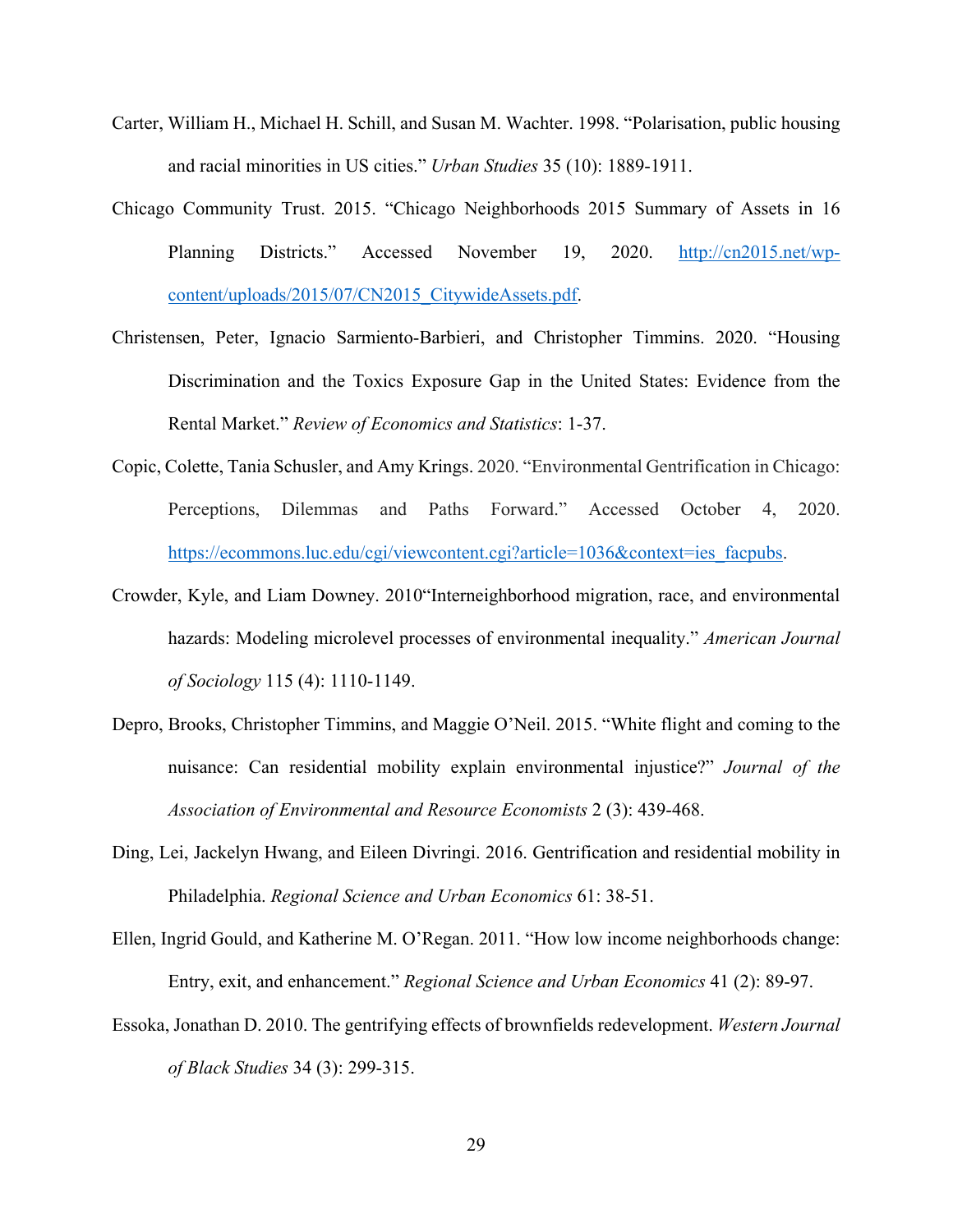- Carter, William H., Michael H. Schill, and Susan M. Wachter. 1998. "Polarisation, public housing and racial minorities in US cities." *Urban Studies* 35 (10): 1889-1911.
- Chicago Community Trust. 2015. "Chicago Neighborhoods 2015 Summary of Assets in 16 Planning Districts." Accessed November 19, 2020. http://cn2015.net/wpcontent/uploads/2015/07/CN2015\_CitywideAssets.pdf.
- Christensen, Peter, Ignacio Sarmiento-Barbieri, and Christopher Timmins. 2020. "Housing Discrimination and the Toxics Exposure Gap in the United States: Evidence from the Rental Market." *Review of Economics and Statistics*: 1-37.
- Copic, Colette, Tania Schusler, and Amy Krings. 2020. "Environmental Gentrification in Chicago: Perceptions, Dilemmas and Paths Forward." Accessed October 4, 2020. https://ecommons.luc.edu/cgi/viewcontent.cgi?article=1036&context=ies\_facpubs.
- Crowder, Kyle, and Liam Downey. 2010"Interneighborhood migration, race, and environmental hazards: Modeling microlevel processes of environmental inequality." *American Journal of Sociology* 115 (4): 1110-1149.
- Depro, Brooks, Christopher Timmins, and Maggie O'Neil. 2015. "White flight and coming to the nuisance: Can residential mobility explain environmental injustice?" *Journal of the Association of Environmental and Resource Economists* 2 (3): 439-468.
- Ding, Lei, Jackelyn Hwang, and Eileen Divringi. 2016. Gentrification and residential mobility in Philadelphia. *Regional Science and Urban Economics* 61: 38-51.
- Ellen, Ingrid Gould, and Katherine M. O'Regan. 2011. "How low income neighborhoods change: Entry, exit, and enhancement." *Regional Science and Urban Economics* 41 (2): 89-97.
- Essoka, Jonathan D. 2010. The gentrifying effects of brownfields redevelopment. *Western Journal of Black Studies* 34 (3): 299-315.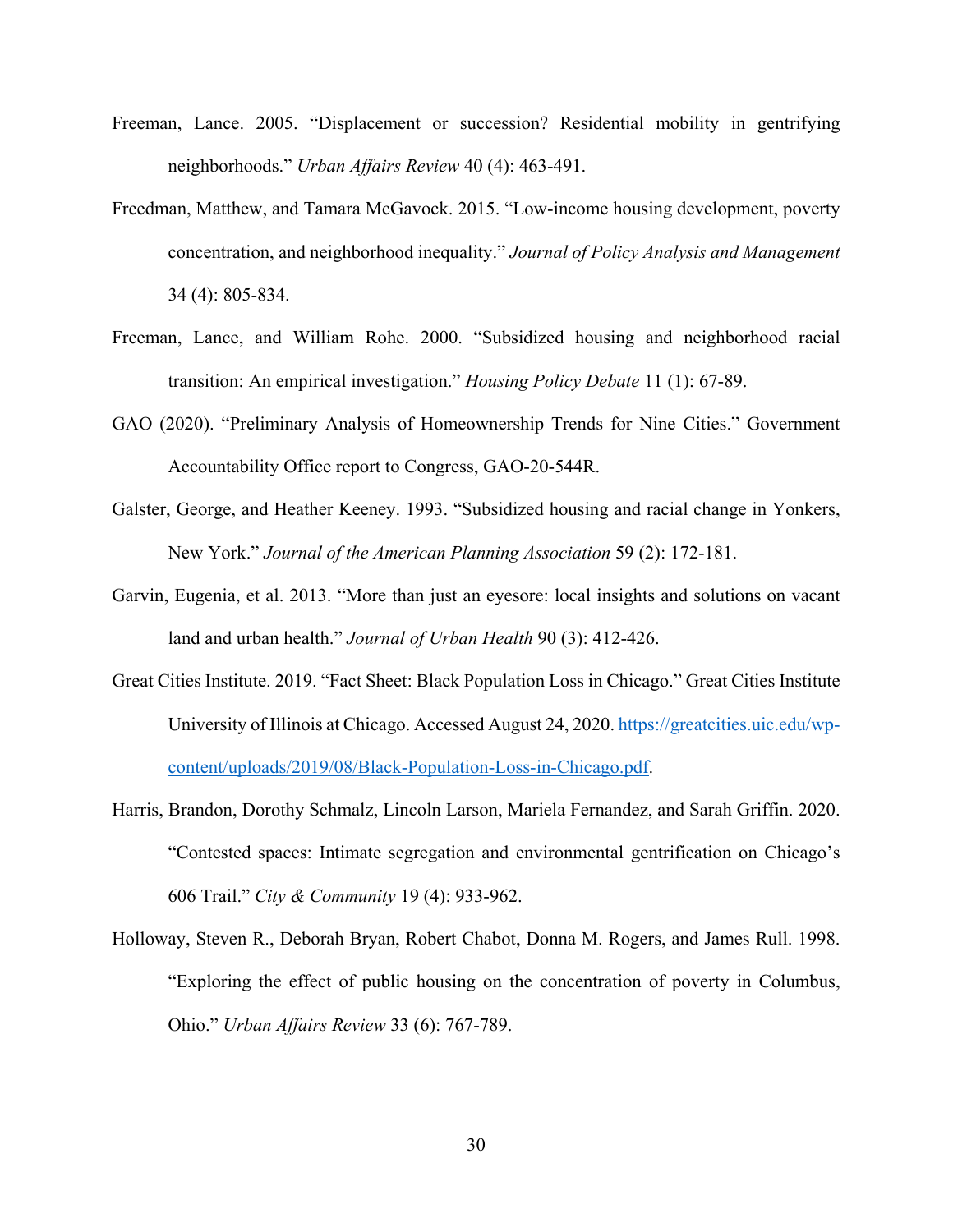- Freeman, Lance. 2005. "Displacement or succession? Residential mobility in gentrifying neighborhoods." *Urban Affairs Review* 40 (4): 463-491.
- Freedman, Matthew, and Tamara McGavock. 2015. "Low‐income housing development, poverty concentration, and neighborhood inequality." *Journal of Policy Analysis and Management* 34 (4): 805-834.
- Freeman, Lance, and William Rohe. 2000. "Subsidized housing and neighborhood racial transition: An empirical investigation." *Housing Policy Debate* 11 (1): 67-89.
- GAO (2020). "Preliminary Analysis of Homeownership Trends for Nine Cities." Government Accountability Office report to Congress, GAO-20-544R.
- Galster, George, and Heather Keeney. 1993. "Subsidized housing and racial change in Yonkers, New York." *Journal of the American Planning Association* 59 (2): 172-181.
- Garvin, Eugenia, et al. 2013. "More than just an eyesore: local insights and solutions on vacant land and urban health." *Journal of Urban Health* 90 (3): 412-426.
- Great Cities Institute. 2019. "Fact Sheet: Black Population Loss in Chicago." Great Cities Institute University of Illinois at Chicago. Accessed August 24, 2020. https://greatcities.uic.edu/wpcontent/uploads/2019/08/Black-Population-Loss-in-Chicago.pdf.
- Harris, Brandon, Dorothy Schmalz, Lincoln Larson, Mariela Fernandez, and Sarah Griffin. 2020. "Contested spaces: Intimate segregation and environmental gentrification on Chicago's 606 Trail." *City & Community* 19 (4): 933-962.
- Holloway, Steven R., Deborah Bryan, Robert Chabot, Donna M. Rogers, and James Rull. 1998. "Exploring the effect of public housing on the concentration of poverty in Columbus, Ohio." *Urban Affairs Review* 33 (6): 767-789.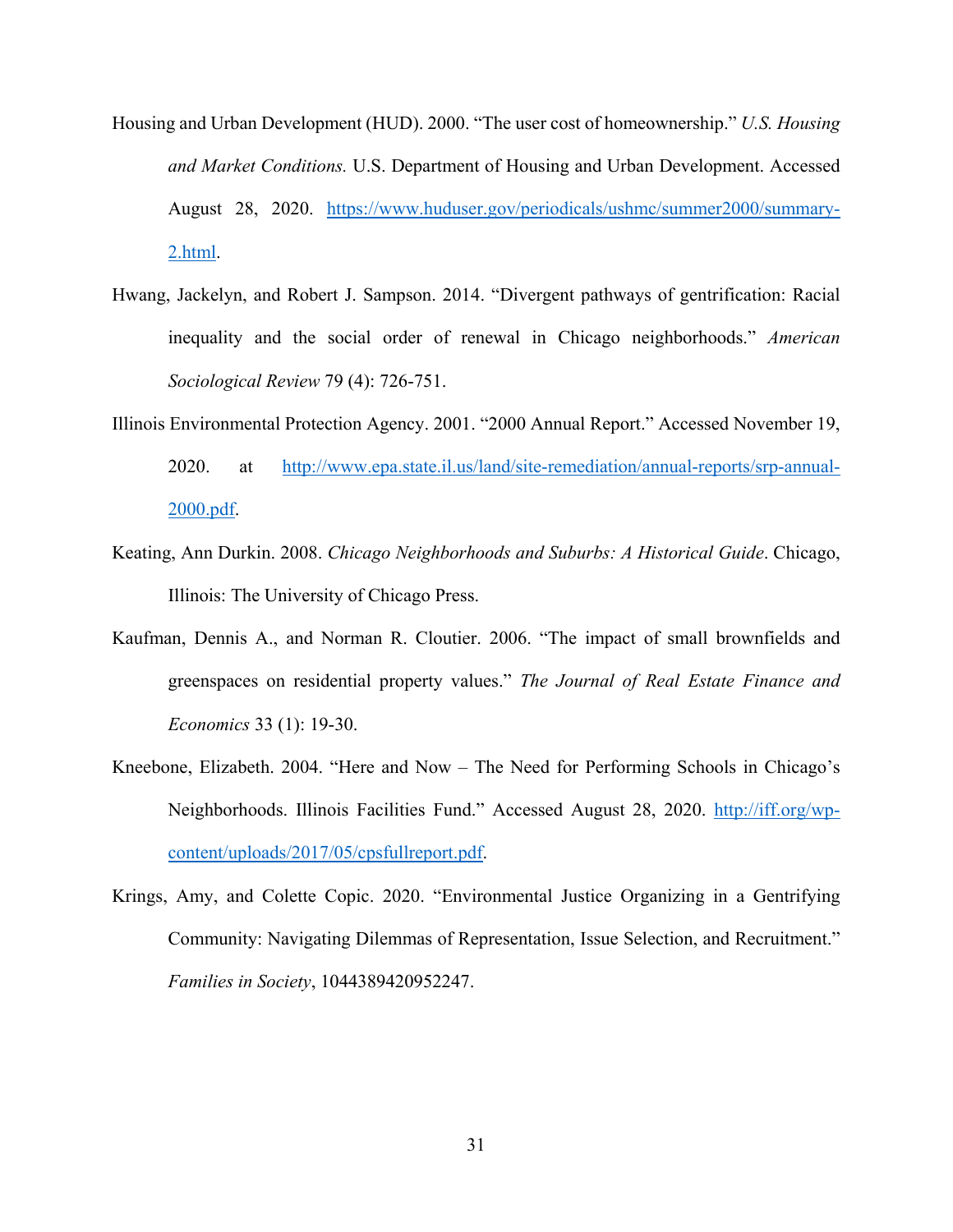- Housing and Urban Development (HUD). 2000. "The user cost of homeownership." *U.S. Housing and Market Conditions.* U.S. Department of Housing and Urban Development. Accessed August 28, 2020. https://www.huduser.gov/periodicals/ushmc/summer2000/summary-2.html.
- Hwang, Jackelyn, and Robert J. Sampson. 2014. "Divergent pathways of gentrification: Racial inequality and the social order of renewal in Chicago neighborhoods." *American Sociological Review* 79 (4): 726-751.
- Illinois Environmental Protection Agency. 2001. "2000 Annual Report." Accessed November 19, 2020. at http://www.epa.state.il.us/land/site-remediation/annual-reports/srp-annual-2000.pdf.
- Keating, Ann Durkin. 2008. *Chicago Neighborhoods and Suburbs: A Historical Guide*. Chicago, Illinois: The University of Chicago Press.
- Kaufman, Dennis A., and Norman R. Cloutier. 2006. "The impact of small brownfields and greenspaces on residential property values." *The Journal of Real Estate Finance and Economics* 33 (1): 19-30.
- Kneebone, Elizabeth. 2004. "Here and Now The Need for Performing Schools in Chicago's Neighborhoods. Illinois Facilities Fund." Accessed August 28, 2020. http://iff.org/wpcontent/uploads/2017/05/cpsfullreport.pdf.
- Krings, Amy, and Colette Copic. 2020. "Environmental Justice Organizing in a Gentrifying Community: Navigating Dilemmas of Representation, Issue Selection, and Recruitment." *Families in Society*, 1044389420952247.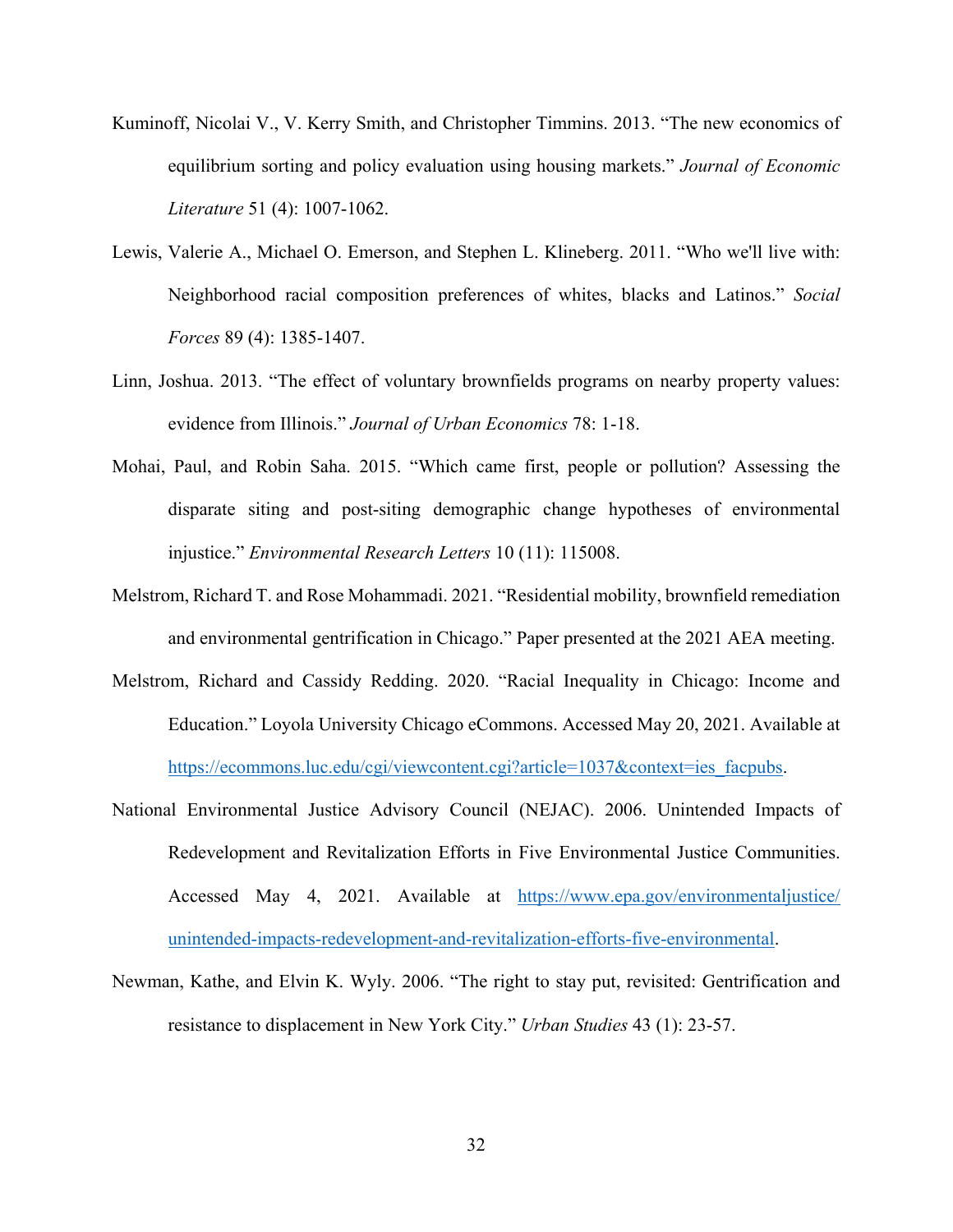- Kuminoff, Nicolai V., V. Kerry Smith, and Christopher Timmins. 2013. "The new economics of equilibrium sorting and policy evaluation using housing markets." *Journal of Economic Literature* 51 (4): 1007-1062.
- Lewis, Valerie A., Michael O. Emerson, and Stephen L. Klineberg. 2011. "Who we'll live with: Neighborhood racial composition preferences of whites, blacks and Latinos." *Social Forces* 89 (4): 1385-1407.
- Linn, Joshua. 2013. "The effect of voluntary brownfields programs on nearby property values: evidence from Illinois." *Journal of Urban Economics* 78: 1-18.
- Mohai, Paul, and Robin Saha. 2015. "Which came first, people or pollution? Assessing the disparate siting and post-siting demographic change hypotheses of environmental injustice." *Environmental Research Letters* 10 (11): 115008.
- Melstrom, Richard T. and Rose Mohammadi. 2021. "Residential mobility, brownfield remediation and environmental gentrification in Chicago." Paper presented at the 2021 AEA meeting.
- Melstrom, Richard and Cassidy Redding. 2020. "Racial Inequality in Chicago: Income and Education." Loyola University Chicago eCommons. Accessed May 20, 2021. Available at https://ecommons.luc.edu/cgi/viewcontent.cgi?article=1037&context=ies\_facpubs.
- National Environmental Justice Advisory Council (NEJAC). 2006. Unintended Impacts of Redevelopment and Revitalization Efforts in Five Environmental Justice Communities. Accessed May 4, 2021. Available at https://www.epa.gov/environmentaljustice/ unintended-impacts-redevelopment-and-revitalization-efforts-five-environmental.
- Newman, Kathe, and Elvin K. Wyly. 2006. "The right to stay put, revisited: Gentrification and resistance to displacement in New York City." *Urban Studies* 43 (1): 23-57.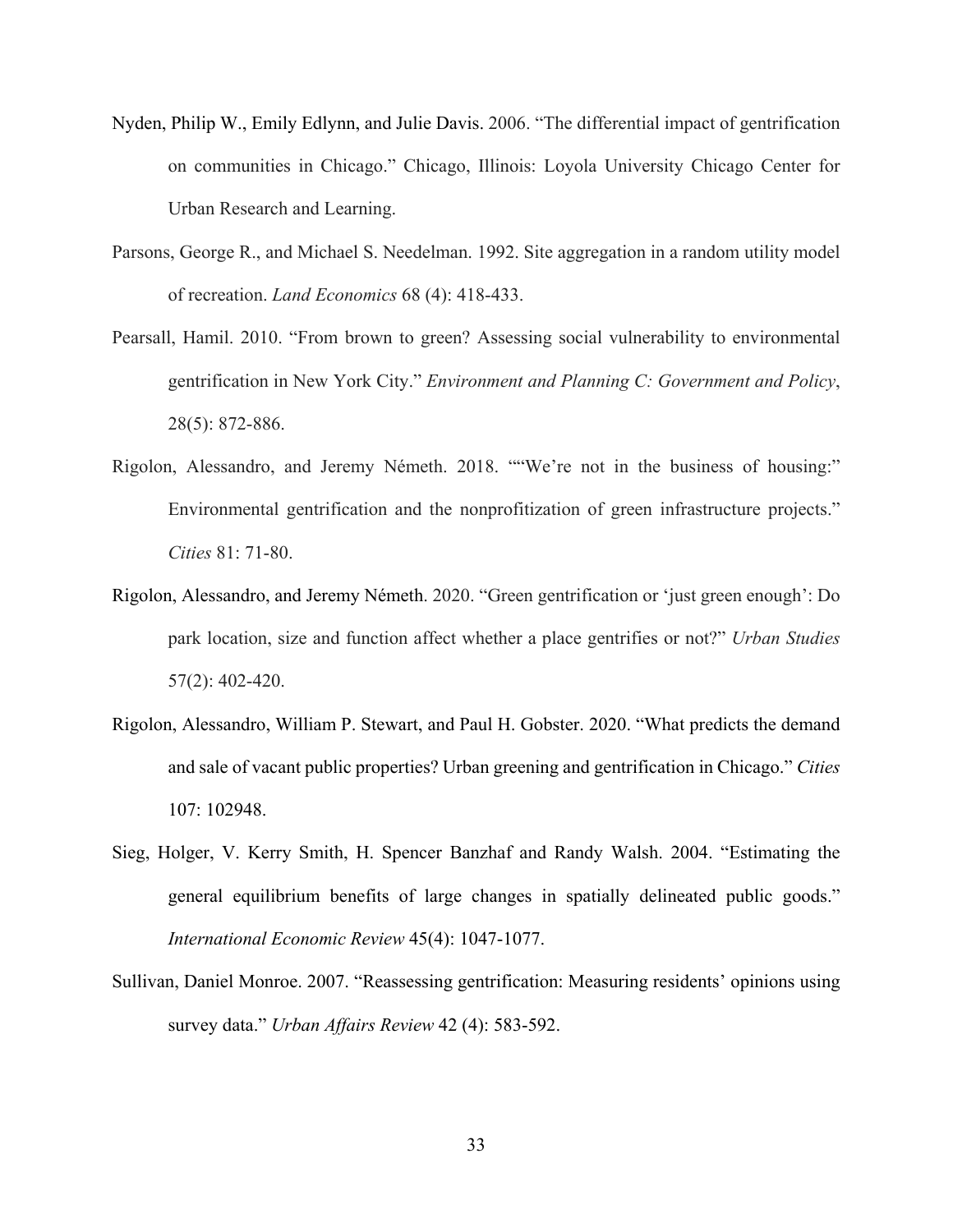- Nyden, Philip W., Emily Edlynn, and Julie Davis. 2006. "The differential impact of gentrification on communities in Chicago." Chicago, Illinois: Loyola University Chicago Center for Urban Research and Learning.
- Parsons, George R., and Michael S. Needelman. 1992. Site aggregation in a random utility model of recreation. *Land Economics* 68 (4): 418-433.
- Pearsall, Hamil. 2010. "From brown to green? Assessing social vulnerability to environmental gentrification in New York City." *Environment and Planning C: Government and Policy*, 28(5): 872-886.
- Rigolon, Alessandro, and Jeremy Németh. 2018. ""We're not in the business of housing:" Environmental gentrification and the nonprofitization of green infrastructure projects." *Cities* 81: 71-80.
- Rigolon, Alessandro, and Jeremy Németh. 2020. "Green gentrification or 'just green enough': Do park location, size and function affect whether a place gentrifies or not?" *Urban Studies* 57(2): 402-420.
- Rigolon, Alessandro, William P. Stewart, and Paul H. Gobster. 2020. "What predicts the demand and sale of vacant public properties? Urban greening and gentrification in Chicago." *Cities* 107: 102948.
- Sieg, Holger, V. Kerry Smith, H. Spencer Banzhaf and Randy Walsh. 2004. "Estimating the general equilibrium benefits of large changes in spatially delineated public goods." *International Economic Review* 45(4): 1047-1077.
- Sullivan, Daniel Monroe. 2007. "Reassessing gentrification: Measuring residents' opinions using survey data." *Urban Affairs Review* 42 (4): 583-592.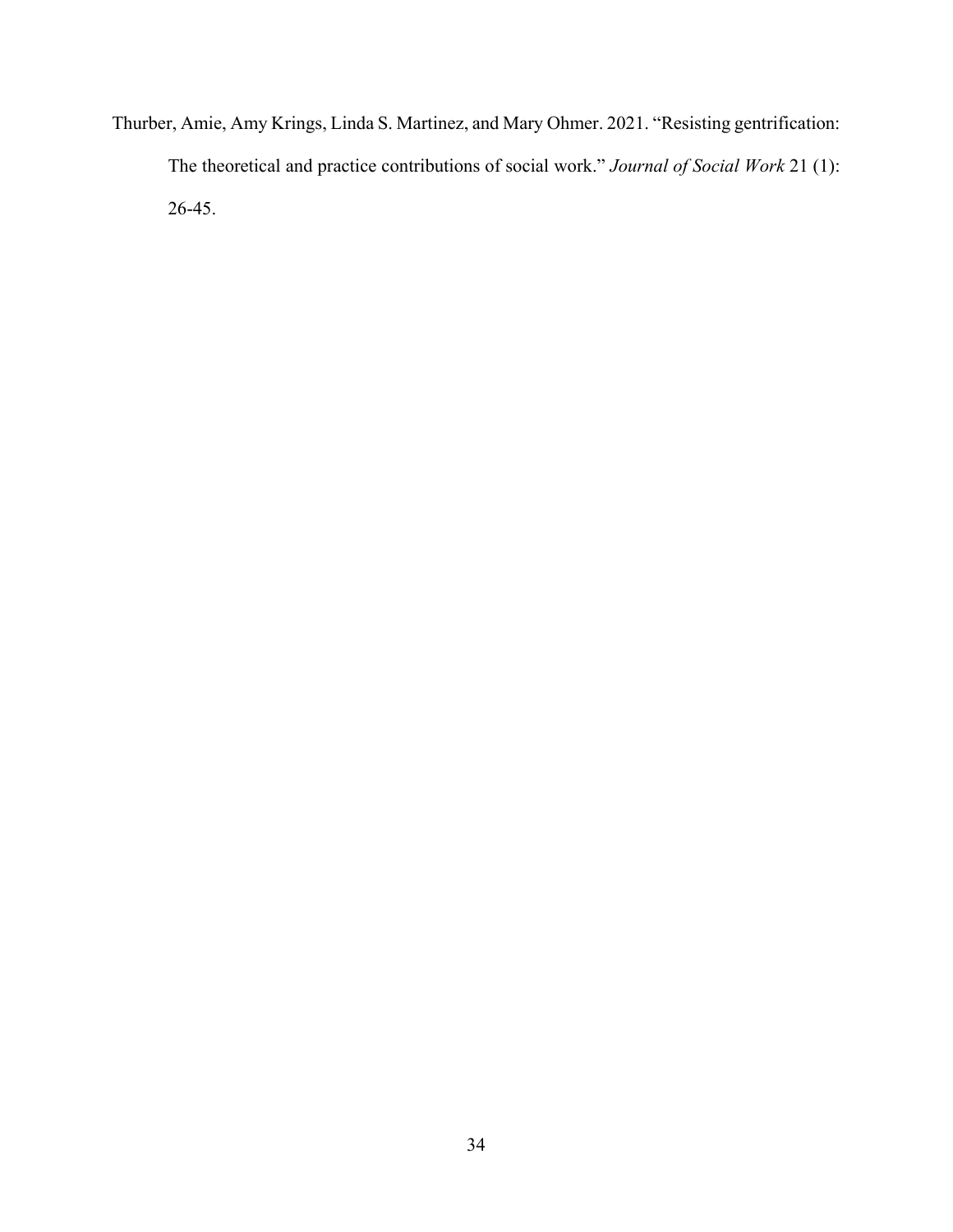Thurber, Amie, Amy Krings, Linda S. Martinez, and Mary Ohmer. 2021. "Resisting gentrification: The theoretical and practice contributions of social work." *Journal of Social Work* 21 (1): 26-45.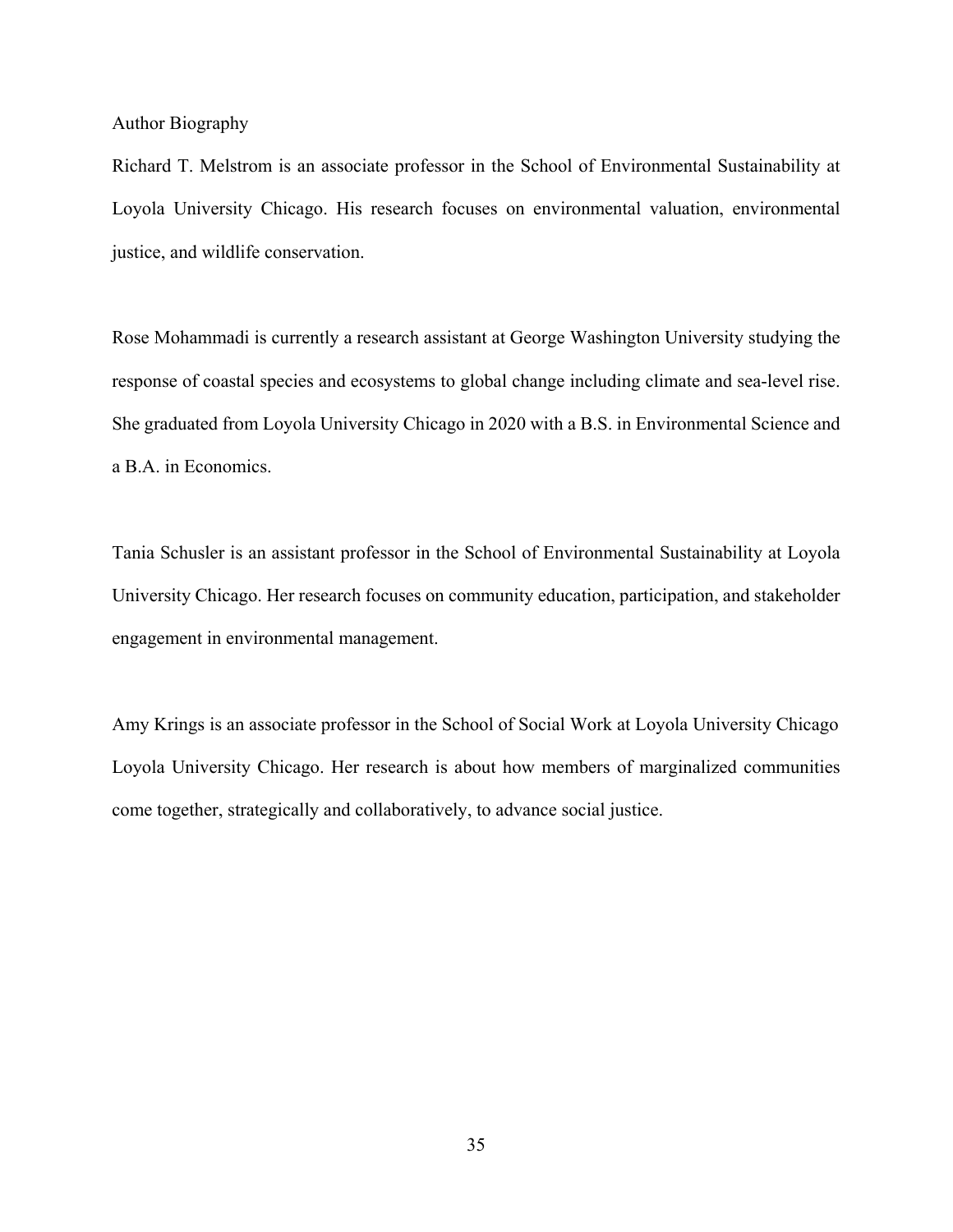Author Biography

Richard T. Melstrom is an associate professor in the School of Environmental Sustainability at Loyola University Chicago. His research focuses on environmental valuation, environmental justice, and wildlife conservation.

Rose Mohammadi is currently a research assistant at George Washington University studying the response of coastal species and ecosystems to global change including climate and sea-level rise. She graduated from Loyola University Chicago in 2020 with a B.S. in Environmental Science and a B.A. in Economics.

Tania Schusler is an assistant professor in the School of Environmental Sustainability at Loyola University Chicago. Her research focuses on community education, participation, and stakeholder engagement in environmental management.

Amy Krings is an associate professor in the School of Social Work at Loyola University Chicago Loyola University Chicago. Her research is about how members of marginalized communities come together, strategically and collaboratively, to advance social justice.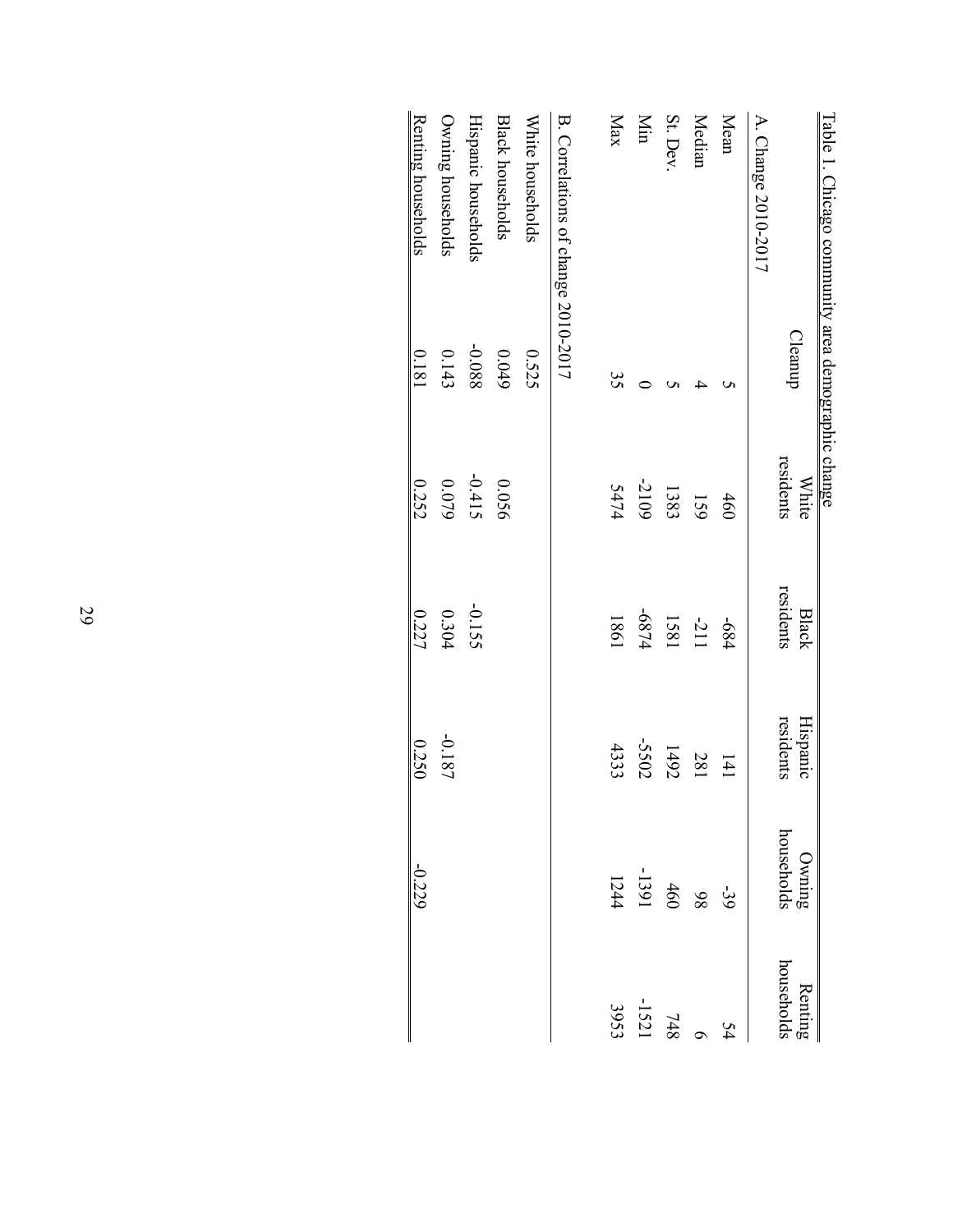| Table 1. Chicago community area demographic change |         |                    |                    |                       |                                      |                                             |
|----------------------------------------------------|---------|--------------------|--------------------|-----------------------|--------------------------------------|---------------------------------------------|
|                                                    | Cleanup | residents<br>White | residents<br>Black | residents<br>Hispanic | households<br>Owning                 | households<br>Renting                       |
| A. Change 2010-2017                                |         |                    |                    |                       |                                      |                                             |
| Mean                                               |         | 460                | -684               | 141                   |                                      | 54                                          |
| Median                                             |         | 159                | $-2111$            | 187                   |                                      |                                             |
| St. Dev                                            |         | 1383               | 1881               | 1492                  |                                      | $\begin{array}{c} 6 \\ 14 \\ 8 \end{array}$ |
| Min                                                |         | -2109              | -6874              | -5502                 | $-39$<br>$-1391$<br>$1244$<br>$1244$ | $-1521$                                     |
| Max                                                | 35      | 5474               | 1981               | 4333                  |                                      | 3953                                        |
| B. Correlations of change 2010-2017                |         |                    |                    |                       |                                      |                                             |
| White households                                   | 0.525   |                    |                    |                       |                                      |                                             |
| <b>Black households</b>                            | 6+00    | 0.056              |                    |                       |                                      |                                             |
| Hispanic households                                | 880.0-  | $-0.415$           | -0.155             |                       |                                      |                                             |
| Owning households                                  | 0.143   | $0.079$            | 0.304              | $-0.187$              |                                      |                                             |
| Renting households                                 | 0.181   | 0.252              | 0.227              | 0.250                 | $-0.229$                             |                                             |
|                                                    |         |                    |                    |                       |                                      |                                             |

29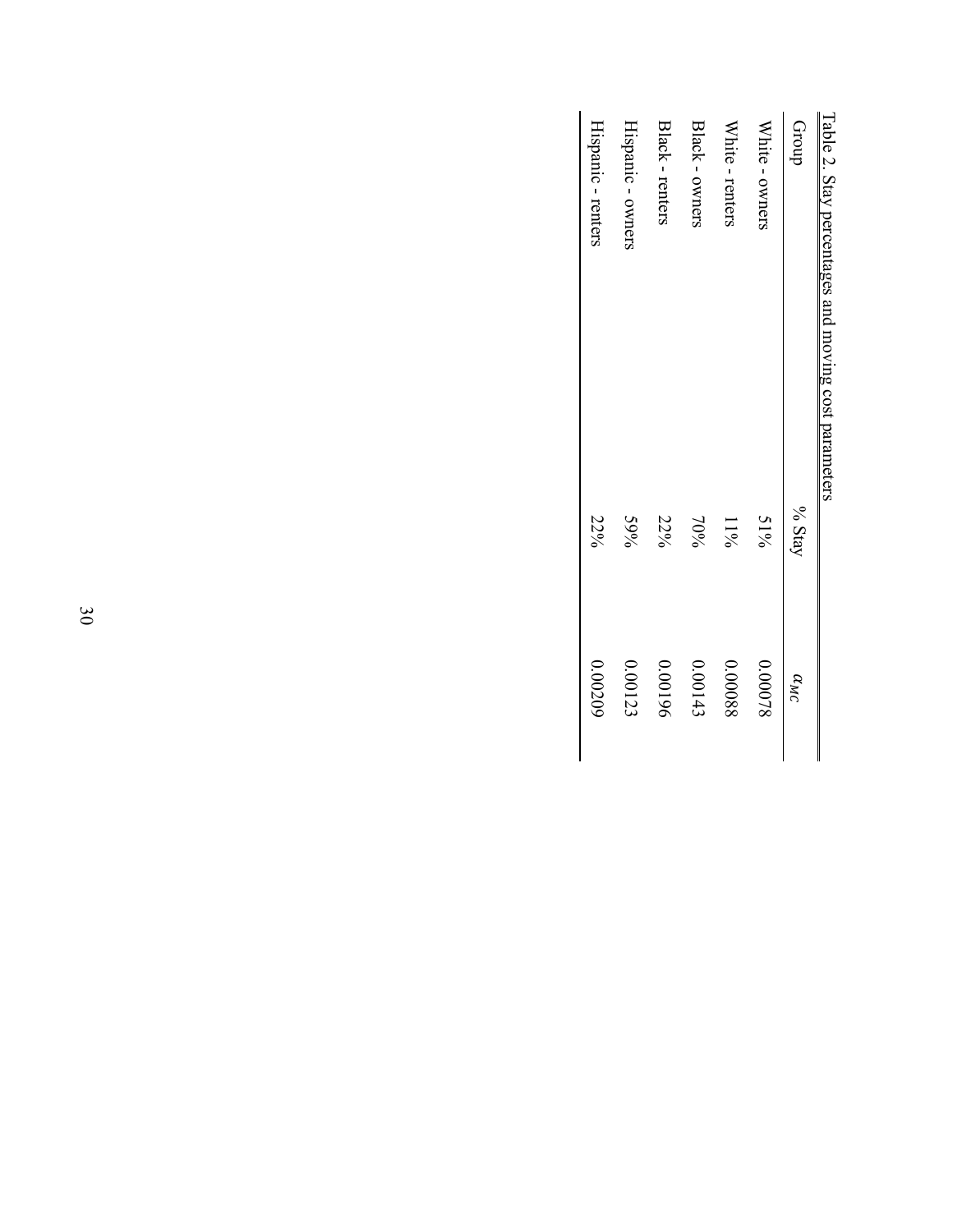| Table 2. Stay percentages and moving cost parameters |        |               |
|------------------------------------------------------|--------|---------------|
| dnou.                                                | % Stay | $\alpha_{MC}$ |
| White - owners                                       | $51\%$ | 0.00078       |
| White - renters                                      | 11%    | 880000        |
| Black - owners                                       | $70\%$ | 0.00143       |
| Black - renters                                      | 22%    | 961000        |
| Hispanic - owners                                    | 59%    | 0.00123       |
| Hispanic - renters                                   | 22%    | 0.00209       |
|                                                      |        |               |

Table 2. Stay percentages and moving cost parameters ù  $\frac{1}{\sqrt{2}}$ ļ.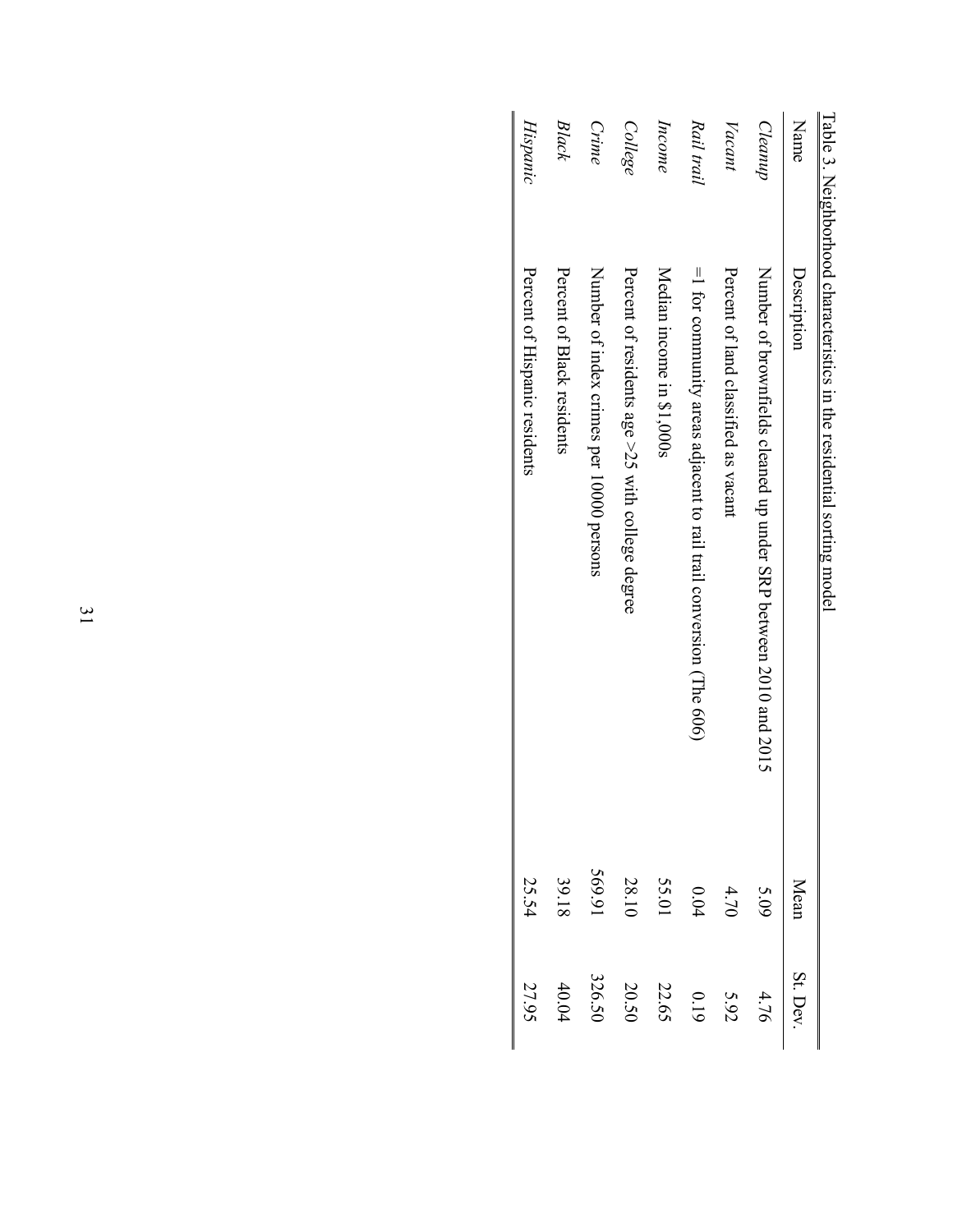|                 | l aple 3. Nelghborhood characteristics in the residential sorung model |        |         |
|-----------------|------------------------------------------------------------------------|--------|---------|
| Name            | Description                                                            | Mean   | St. Dev |
| Cleanup         | Number of proximals cleaned approximation of 2010 and 2012             | 5.09   | 4.76    |
| $\sqrt{accant}$ | Petu of land classified as vacant                                      | 4.70   | 5.92    |
| Rail trail      | $=$ 1 for community areas adjacent to rail trail conversion (The 606)  | 0.04   | 0.19    |
| Income          | Nedian income in \$1,000s                                              | 55.01  | 22.65   |
| College         | Percent of residents age >25 with college degree                       | 28.10  | 20.50   |
| Crime           | Number of index crimes per 10000 persons                               | 569.91 | 326.50  |
| Black           | Percent of Black residents                                             | 39.18  | 40.04   |
| Hispanic        | Percent of Hispanic residents                                          | 25.54  | 27.95   |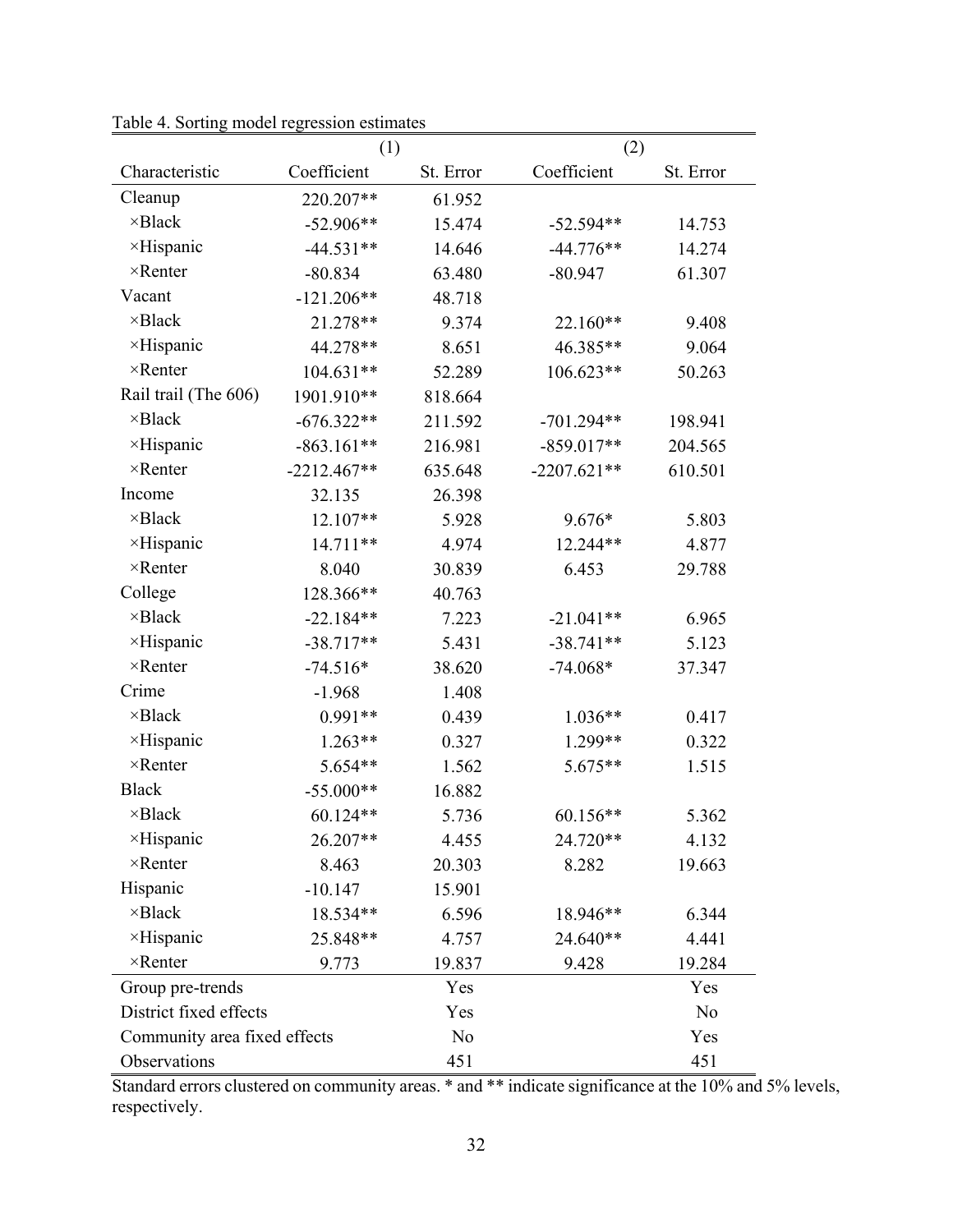|                              | (1)           |           | (2)           |           |
|------------------------------|---------------|-----------|---------------|-----------|
| Characteristic               | Coefficient   | St. Error | Coefficient   | St. Error |
| Cleanup                      | 220.207**     | 61.952    |               |           |
| $\times$ Black               | $-52.906**$   | 15.474    | $-52.594**$   | 14.753    |
| ×Hispanic                    | $-44.531**$   | 14.646    | $-44.776**$   | 14.274    |
| $\times$ Renter              | $-80.834$     | 63.480    | $-80.947$     | 61.307    |
| Vacant                       | $-121.206**$  | 48.718    |               |           |
| $\times$ Black               | 21.278**      | 9.374     | 22.160**      | 9.408     |
| ×Hispanic                    | 44.278**      | 8.651     | 46.385**      | 9.064     |
| $\times$ Renter              | 104.631**     | 52.289    | 106.623**     | 50.263    |
| Rail trail (The 606)         | 1901.910**    | 818.664   |               |           |
| $\times$ Black               | $-676.322**$  | 211.592   | $-701.294**$  | 198.941   |
| ×Hispanic                    | $-863.161**$  | 216.981   | $-859.017**$  | 204.565   |
| $\times$ Renter              | $-2212.467**$ | 635.648   | $-2207.621**$ | 610.501   |
| Income                       | 32.135        | 26.398    |               |           |
| $\times$ Black               | 12.107**      | 5.928     | 9.676*        | 5.803     |
| ×Hispanic                    | 14.711**      | 4.974     | 12.244**      | 4.877     |
| $\times$ Renter              | 8.040         | 30.839    | 6.453         | 29.788    |
| College                      | 128.366**     | 40.763    |               |           |
| $\times$ Black               | $-22.184**$   | 7.223     | $-21.041**$   | 6.965     |
| $\times$ Hispanic            | $-38.717**$   | 5.431     | $-38.741**$   | 5.123     |
| $\times$ Renter              | $-74.516*$    | 38.620    | $-74.068*$    | 37.347    |
| Crime                        | $-1.968$      | 1.408     |               |           |
| $\times$ Black               | $0.991**$     | 0.439     | $1.036**$     | 0.417     |
| ×Hispanic                    | $1.263**$     | 0.327     | 1.299**       | 0.322     |
| $\times$ Renter              | 5.654**       | 1.562     | 5.675**       | 1.515     |
| <b>Black</b>                 | $-55.000**$   | 16.882    |               |           |
| $\times$ Black               | 60.124**      | 5.736     | 60.156**      | 5.362     |
| ×Hispanic                    | 26.207**      | 4.455     | 24.720**      | 4.132     |
| $\times$ Renter              | 8.463         | 20.303    | 8.282         | 19.663    |
| Hispanic                     | $-10.147$     | 15.901    |               |           |
| $\times$ Black               | 18.534**      | 6.596     | 18.946**      | 6.344     |
| $\times$ Hispanic            | 25.848**      | 4.757     | 24.640**      | 4.441     |
| $\times$ Renter              | 9.773         | 19.837    | 9.428         | 19.284    |
| Group pre-trends             |               | Yes       |               | Yes       |
| District fixed effects       |               | Yes       |               | No        |
| Community area fixed effects |               | No        |               | Yes       |
| Observations                 |               | 451       |               | 451       |

Table 4. Sorting model regression estimates

Standard errors clustered on community areas. \* and \*\* indicate significance at the 10% and 5% levels, respectively.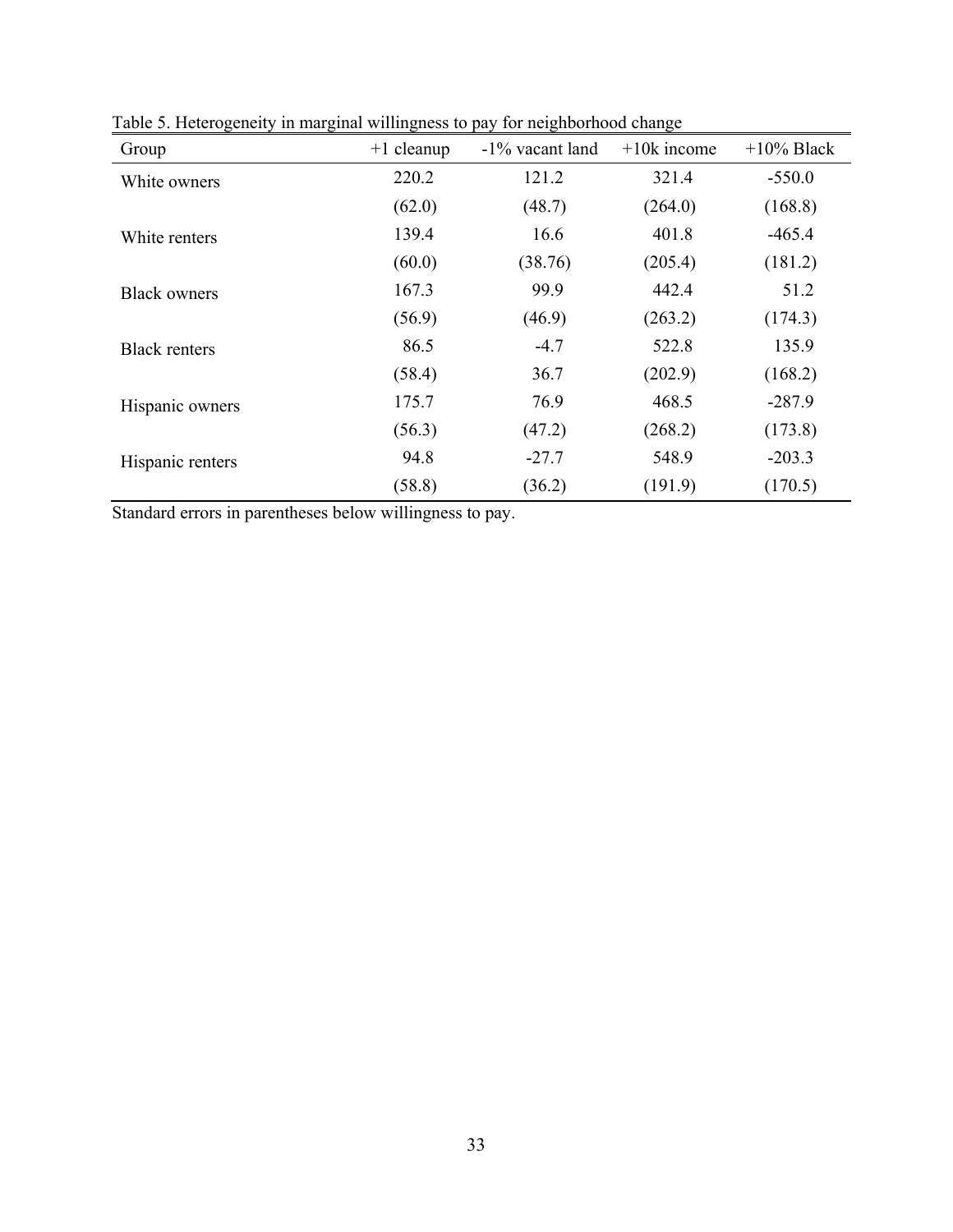| Group                | $+1$ cleanup | -1% vacant land | $+10k$ income | $+10\%$ Black |
|----------------------|--------------|-----------------|---------------|---------------|
| White owners         | 220.2        | 121.2           | 321.4         | $-550.0$      |
|                      | (62.0)       | (48.7)          | (264.0)       | (168.8)       |
| White renters        | 139.4        | 16.6            | 401.8         | $-465.4$      |
|                      | (60.0)       | (38.76)         | (205.4)       | (181.2)       |
| <b>Black owners</b>  | 167.3        | 99.9            | 442.4         | 51.2          |
|                      | (56.9)       | (46.9)          | (263.2)       | (174.3)       |
| <b>Black renters</b> | 86.5         | $-4.7$          | 522.8         | 135.9         |
|                      | (58.4)       | 36.7            | (202.9)       | (168.2)       |
| Hispanic owners      | 175.7        | 76.9            | 468.5         | $-287.9$      |
|                      | (56.3)       | (47.2)          | (268.2)       | (173.8)       |
| Hispanic renters     | 94.8         | $-27.7$         | 548.9         | $-203.3$      |
|                      | (58.8)       | (36.2)          | (191.9)       | (170.5)       |

Table 5. Heterogeneity in marginal willingness to pay for neighborhood change

Standard errors in parentheses below willingness to pay.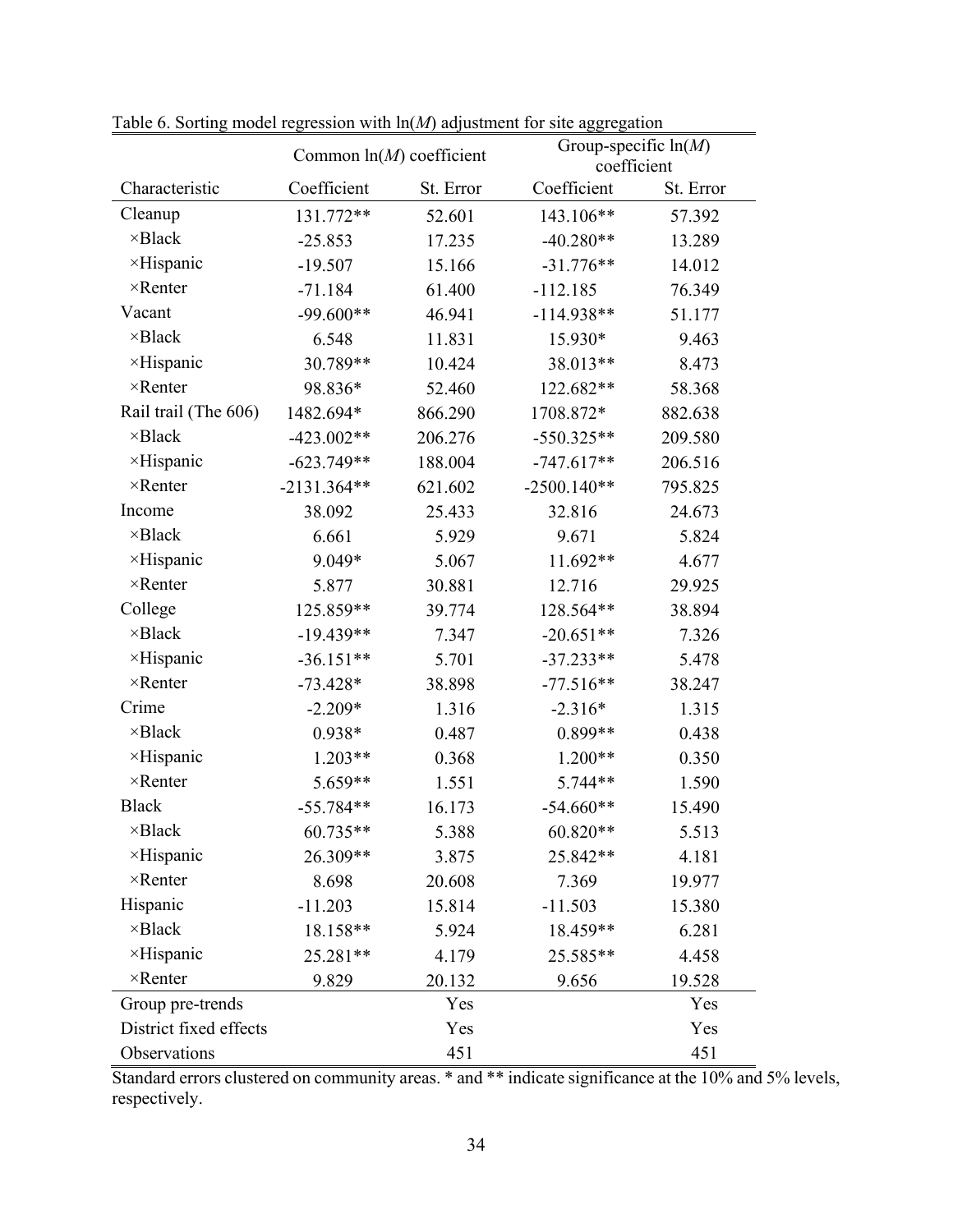|                        | Table 6. Sorting model regression with m( <i>M)</i> adjustment for site aggregation<br>Common $ln(M)$ coefficient |           | Group-specific $ln(M)$<br>coefficient |           |
|------------------------|-------------------------------------------------------------------------------------------------------------------|-----------|---------------------------------------|-----------|
| Characteristic         | Coefficient                                                                                                       | St. Error | Coefficient                           | St. Error |
| Cleanup                | 131.772**                                                                                                         | 52.601    | 143.106**                             | 57.392    |
| $\times$ Black         | $-25.853$                                                                                                         | 17.235    | $-40.280**$                           | 13.289    |
| ×Hispanic              | $-19.507$                                                                                                         | 15.166    | $-31.776**$                           | 14.012    |
| $\times$ Renter        | $-71.184$                                                                                                         | 61.400    | $-112.185$                            | 76.349    |
| Vacant                 | $-99.600**$                                                                                                       | 46.941    | $-114.938**$                          | 51.177    |
| $\times$ Black         | 6.548                                                                                                             | 11.831    | 15.930*                               | 9.463     |
| ×Hispanic              | 30.789**                                                                                                          | 10.424    | 38.013**                              | 8.473     |
| $\times$ Renter        | 98.836*                                                                                                           | 52.460    | 122.682**                             | 58.368    |
| Rail trail (The 606)   | 1482.694*                                                                                                         | 866.290   | 1708.872*                             | 882.638   |
| $\times$ Black         | $-423.002**$                                                                                                      | 206.276   | $-550.325**$                          | 209.580   |
| ×Hispanic              | $-623.749**$                                                                                                      | 188.004   | $-747.617**$                          | 206.516   |
| $\times$ Renter        | $-2131.364**$                                                                                                     | 621.602   | $-2500.140**$                         | 795.825   |
| Income                 | 38.092                                                                                                            | 25.433    | 32.816                                | 24.673    |
| $\times$ Black         | 6.661                                                                                                             | 5.929     | 9.671                                 | 5.824     |
| ×Hispanic              | $9.049*$                                                                                                          | 5.067     | 11.692**                              | 4.677     |
| $\times$ Renter        | 5.877                                                                                                             | 30.881    | 12.716                                | 29.925    |
| College                | 125.859**                                                                                                         | 39.774    | 128.564**                             | 38.894    |
| $\times$ Black         | $-19.439**$                                                                                                       | 7.347     | $-20.651**$                           | 7.326     |
| ×Hispanic              | $-36.151**$                                                                                                       | 5.701     | $-37.233**$                           | 5.478     |
| $\times$ Renter        | $-73.428*$                                                                                                        | 38.898    | $-77.516**$                           | 38.247    |
| Crime                  | $-2.209*$                                                                                                         | 1.316     | $-2.316*$                             | 1.315     |
| $\times$ Black         | $0.938*$                                                                                                          | 0.487     | $0.899**$                             | 0.438     |
| ×Hispanic              | $1.203**$                                                                                                         | 0.368     | $1.200**$                             | 0.350     |
| $\times$ Renter        | 5.659**                                                                                                           | 1.551     | 5.744**                               | 1.590     |
| <b>Black</b>           | $-55.784**$                                                                                                       | 16.173    | $-54.660**$                           | 15.490    |
| $\times$ Black         | 60.735**                                                                                                          | 5.388     | 60.820**                              | 5.513     |
| ×Hispanic              | 26.309**                                                                                                          | 3.875     | 25.842**                              | 4.181     |
| $\times$ Renter        | 8.698                                                                                                             | 20.608    | 7.369                                 | 19.977    |
| Hispanic               | $-11.203$                                                                                                         | 15.814    | $-11.503$                             | 15.380    |
| $\times$ Black         | 18.158**                                                                                                          | 5.924     | 18.459**                              | 6.281     |
| ×Hispanic              | 25.281**                                                                                                          | 4.179     | 25.585**                              | 4.458     |
| $\times$ Renter        | 9.829                                                                                                             | 20.132    | 9.656                                 | 19.528    |
| Group pre-trends       |                                                                                                                   | Yes       |                                       | Yes       |
| District fixed effects |                                                                                                                   | Yes       |                                       | Yes       |
| Observations           |                                                                                                                   | 451       |                                       | 451       |

Table 6. Sorting model regression with ln(*M*) adjustment for site aggregation

Standard errors clustered on community areas. \* and \*\* indicate significance at the 10% and 5% levels, respectively.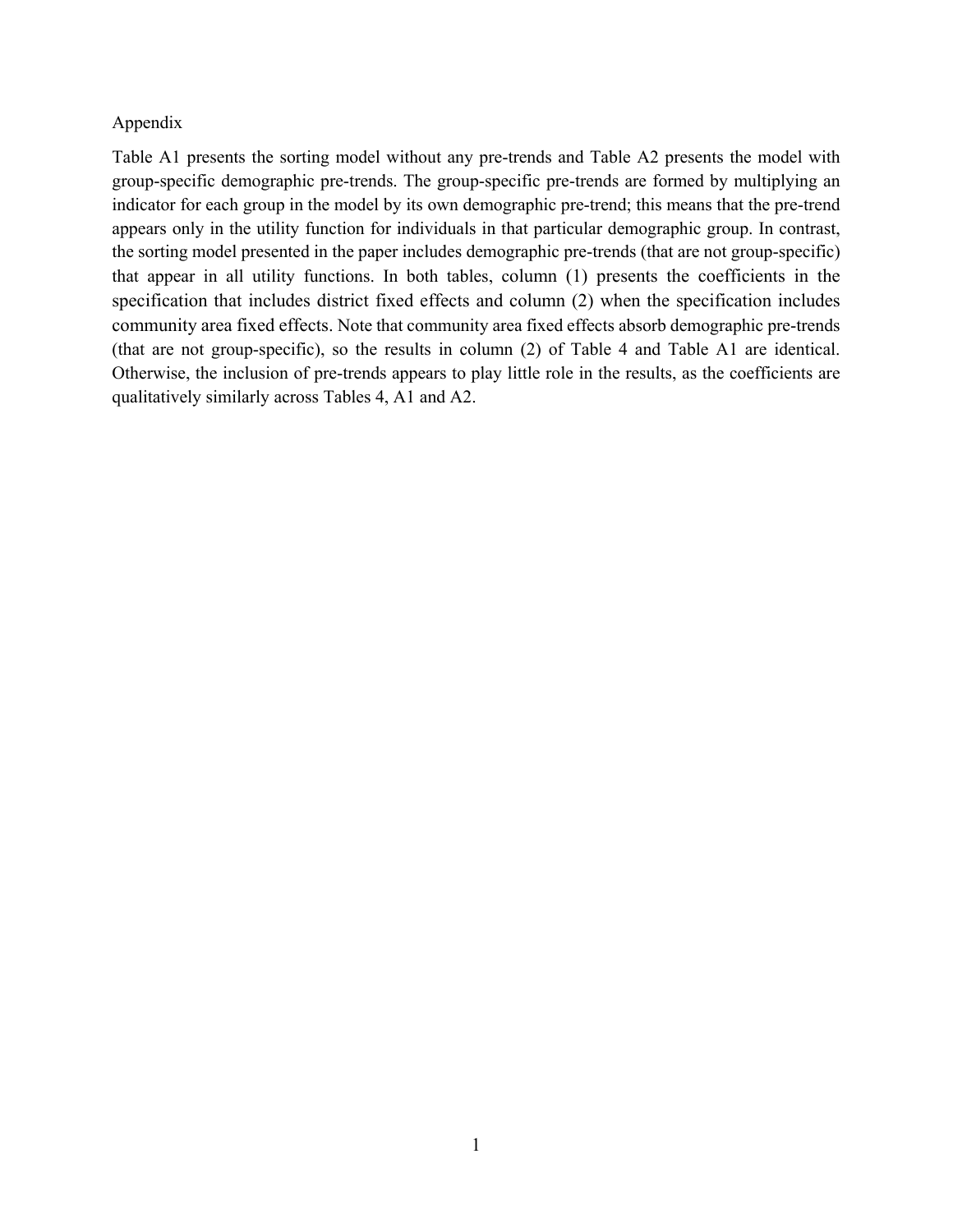#### Appendix

Table A1 presents the sorting model without any pre-trends and Table A2 presents the model with group-specific demographic pre-trends. The group-specific pre-trends are formed by multiplying an indicator for each group in the model by its own demographic pre-trend; this means that the pre-trend appears only in the utility function for individuals in that particular demographic group. In contrast, the sorting model presented in the paper includes demographic pre-trends (that are not group-specific) that appear in all utility functions. In both tables, column (1) presents the coefficients in the specification that includes district fixed effects and column (2) when the specification includes community area fixed effects. Note that community area fixed effects absorb demographic pre-trends (that are not group-specific), so the results in column (2) of Table 4 and Table A1 are identical. Otherwise, the inclusion of pre-trends appears to play little role in the results, as the coefficients are qualitatively similarly across Tables 4, A1 and A2.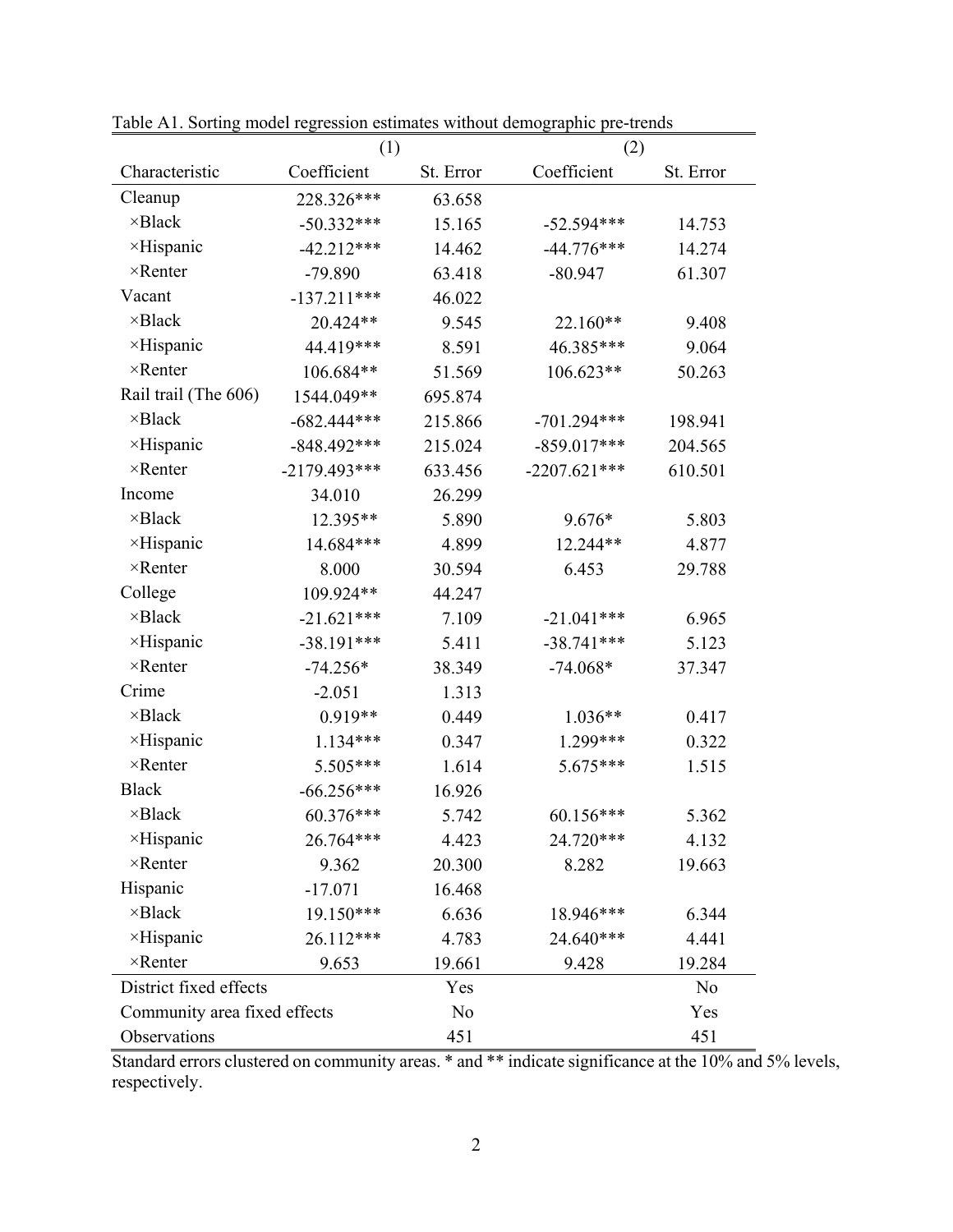| Pavic AT. Sorting moder regression estimates whilout demographic pre-trends<br>(1) |                |           | (2)            |           |  |
|------------------------------------------------------------------------------------|----------------|-----------|----------------|-----------|--|
| Characteristic                                                                     | Coefficient    | St. Error | Coefficient    | St. Error |  |
| Cleanup                                                                            | 228.326***     | 63.658    |                |           |  |
| $\times$ Black                                                                     | $-50.332***$   | 15.165    | $-52.594***$   | 14.753    |  |
| $\times$ Hispanic                                                                  | $-42.212***$   | 14.462    | $-44.776***$   | 14.274    |  |
| $\times$ Renter                                                                    | $-79.890$      | 63.418    | $-80.947$      | 61.307    |  |
| Vacant                                                                             | $-137.211***$  | 46.022    |                |           |  |
| $\times$ Black                                                                     | 20.424**       | 9.545     | 22.160**       | 9.408     |  |
| $\times$ Hispanic                                                                  | 44.419***      | 8.591     | 46.385***      | 9.064     |  |
| $\times$ Renter                                                                    | 106.684**      | 51.569    | 106.623**      | 50.263    |  |
| Rail trail (The 606)                                                               | 1544.049**     | 695.874   |                |           |  |
| $\times$ Black                                                                     | $-682.444***$  | 215.866   | $-701.294***$  | 198.941   |  |
| ×Hispanic                                                                          | $-848.492***$  | 215.024   | $-859.017***$  | 204.565   |  |
| $\times$ Renter                                                                    | $-2179.493***$ | 633.456   | $-2207.621***$ | 610.501   |  |
| Income                                                                             | 34.010         | 26.299    |                |           |  |
| $\times$ Black                                                                     | 12.395**       | 5.890     | $9.676*$       | 5.803     |  |
| $\times$ Hispanic                                                                  | 14.684***      | 4.899     | 12.244**       | 4.877     |  |
| $\times$ Renter                                                                    | 8.000          | 30.594    | 6.453          | 29.788    |  |
| College                                                                            | 109.924**      | 44.247    |                |           |  |
| $\times$ Black                                                                     | $-21.621***$   | 7.109     | $-21.041***$   | 6.965     |  |
| ×Hispanic                                                                          | $-38.191***$   | 5.411     | $-38.741***$   | 5.123     |  |
| $\times$ Renter                                                                    | $-74.256*$     | 38.349    | $-74.068*$     | 37.347    |  |
| Crime                                                                              | $-2.051$       | 1.313     |                |           |  |
| $\times$ Black                                                                     | $0.919**$      | 0.449     | $1.036**$      | 0.417     |  |
| ×Hispanic                                                                          | $1.134***$     | 0.347     | 1.299***       | 0.322     |  |
| $\times$ Renter                                                                    | 5.505***       | 1.614     | 5.675***       | 1.515     |  |
| <b>Black</b>                                                                       | $-66.256***$   | 16.926    |                |           |  |
| $\times$ Black                                                                     | 60.376***      | 5.742     | $60.156***$    | 5.362     |  |
| $\times$ Hispanic                                                                  | 26.764***      | 4.423     | 24.720***      | 4.132     |  |
| $\times$ Renter                                                                    | 9.362          | 20.300    | 8.282          | 19.663    |  |
| Hispanic                                                                           | $-17.071$      | 16.468    |                |           |  |
| $\times$ Black                                                                     | 19.150***      | 6.636     | 18.946***      | 6.344     |  |
| ×Hispanic                                                                          | 26.112***      | 4.783     | 24.640***      | 4.441     |  |
| $\times$ Renter                                                                    | 9.653          | 19.661    | 9.428          | 19.284    |  |
| District fixed effects                                                             |                | Yes       |                | No        |  |
| Community area fixed effects                                                       |                | No        |                | Yes       |  |
| Observations                                                                       |                | 451       |                | 451       |  |

Table A1. Sorting model regression estimates without demographic pre-trends

Standard errors clustered on community areas. \* and \*\* indicate significance at the 10% and 5% levels, respectively.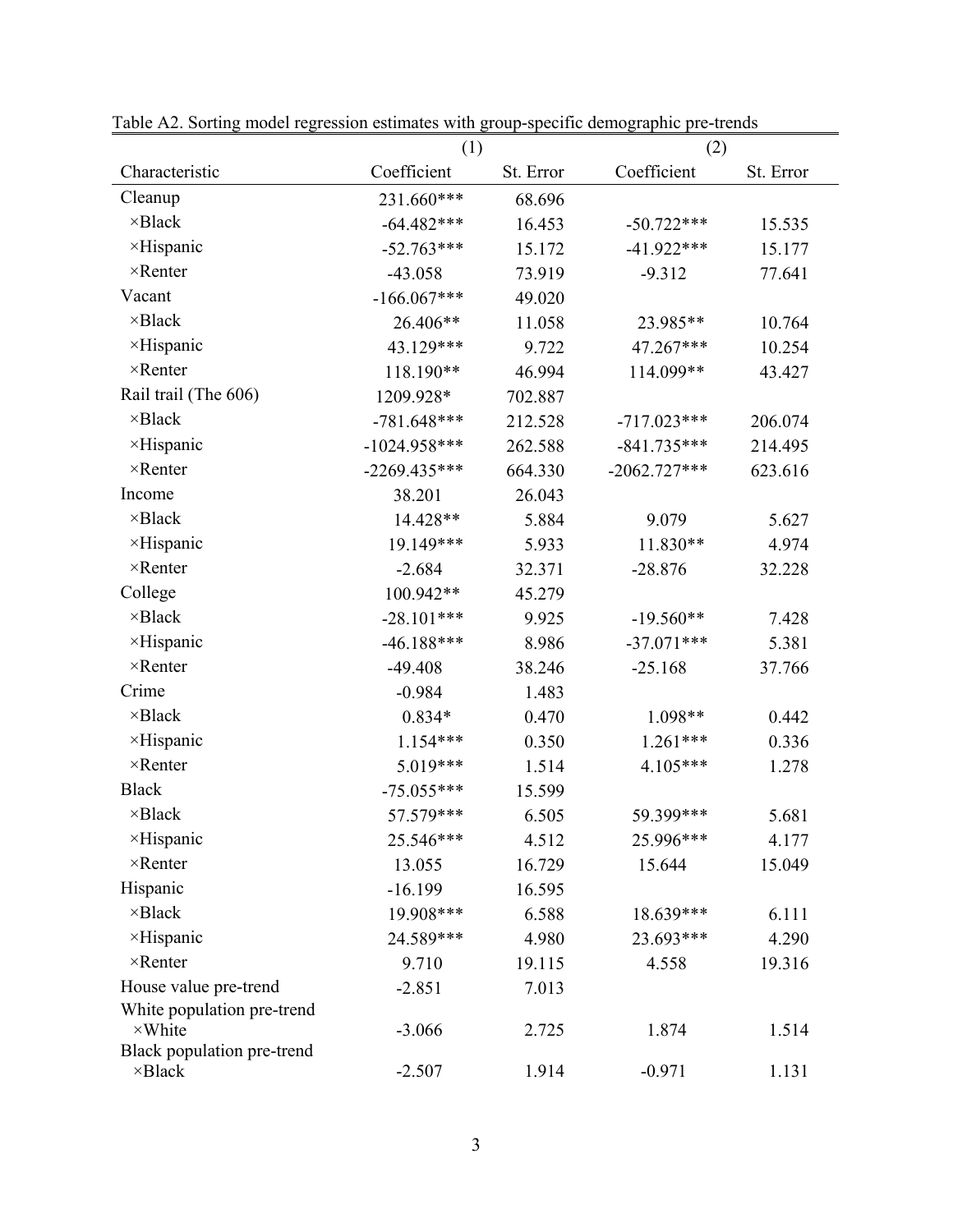|                                              | Table A2. Softing model regression estimates with group-specific demographic pre-trends<br>(1) |           | (2)            |           |  |
|----------------------------------------------|------------------------------------------------------------------------------------------------|-----------|----------------|-----------|--|
| Characteristic                               | Coefficient                                                                                    | St. Error | Coefficient    | St. Error |  |
| Cleanup                                      | 231.660***                                                                                     | 68.696    |                |           |  |
| ×Black                                       | $-64.482***$                                                                                   | 16.453    | $-50.722***$   | 15.535    |  |
| ×Hispanic                                    | $-52.763***$                                                                                   | 15.172    | $-41.922***$   | 15.177    |  |
| $\times$ Renter                              | $-43.058$                                                                                      | 73.919    | $-9.312$       | 77.641    |  |
| Vacant                                       | $-166.067***$                                                                                  | 49.020    |                |           |  |
| $\times$ Black                               | 26.406**                                                                                       | 11.058    | 23.985**       | 10.764    |  |
| ×Hispanic                                    | 43.129***                                                                                      | 9.722     | 47.267***      | 10.254    |  |
| $\times$ Renter                              | 118.190**                                                                                      | 46.994    | 114.099**      | 43.427    |  |
| Rail trail (The 606)                         | 1209.928*                                                                                      | 702.887   |                |           |  |
| $\times$ Black                               | $-781.648***$                                                                                  | 212.528   | $-717.023***$  | 206.074   |  |
| ×Hispanic                                    | $-1024.958***$                                                                                 | 262.588   | $-841.735***$  | 214.495   |  |
| $\times$ Renter                              | $-2269.435***$                                                                                 | 664.330   | $-2062.727***$ | 623.616   |  |
| Income                                       | 38.201                                                                                         | 26.043    |                |           |  |
| $\times$ Black                               | 14.428**                                                                                       | 5.884     | 9.079          | 5.627     |  |
| $\times$ Hispanic                            | 19.149***                                                                                      | 5.933     | 11.830**       | 4.974     |  |
| $\times$ Renter                              | $-2.684$                                                                                       | 32.371    | $-28.876$      | 32.228    |  |
| College                                      | 100.942**                                                                                      | 45.279    |                |           |  |
| $\times$ Black                               | $-28.101***$                                                                                   | 9.925     | $-19.560**$    | 7.428     |  |
| $\times$ Hispanic                            | $-46.188***$                                                                                   | 8.986     | $-37.071***$   | 5.381     |  |
| $\times$ Renter                              | $-49.408$                                                                                      | 38.246    | $-25.168$      | 37.766    |  |
| Crime                                        | $-0.984$                                                                                       | 1.483     |                |           |  |
| $\times$ Black                               | $0.834*$                                                                                       | 0.470     | 1.098**        | 0.442     |  |
| ×Hispanic                                    | $1.154***$                                                                                     | 0.350     | $1.261***$     | 0.336     |  |
| $\times$ Renter                              | 5.019***                                                                                       | 1.514     | 4.105***       | 1.278     |  |
| <b>Black</b>                                 | $-75.055***$                                                                                   | 15.599    |                |           |  |
| $\times$ Black                               | 57.579***                                                                                      | 6.505     | 59.399***      | 5.681     |  |
| ×Hispanic                                    | 25.546***                                                                                      | 4.512     | 25.996***      | 4.177     |  |
| $\times$ Renter                              | 13.055                                                                                         | 16.729    | 15.644         | 15.049    |  |
| Hispanic                                     | $-16.199$                                                                                      | 16.595    |                |           |  |
| ×Black                                       | 19.908***                                                                                      | 6.588     | 18.639***      | 6.111     |  |
| ×Hispanic                                    | 24.589***                                                                                      | 4.980     | 23.693***      | 4.290     |  |
| $\times$ Renter                              | 9.710                                                                                          | 19.115    | 4.558          | 19.316    |  |
| House value pre-trend                        | $-2.851$                                                                                       | 7.013     |                |           |  |
| White population pre-trend                   |                                                                                                |           |                |           |  |
| $\times$ White<br>Black population pre-trend | $-3.066$                                                                                       | 2.725     | 1.874          | 1.514     |  |
| $\times$ Black                               | $-2.507$                                                                                       | 1.914     | $-0.971$       | 1.131     |  |

Table A2. Sorting model regression estimates with group-specific demographic pre-trends